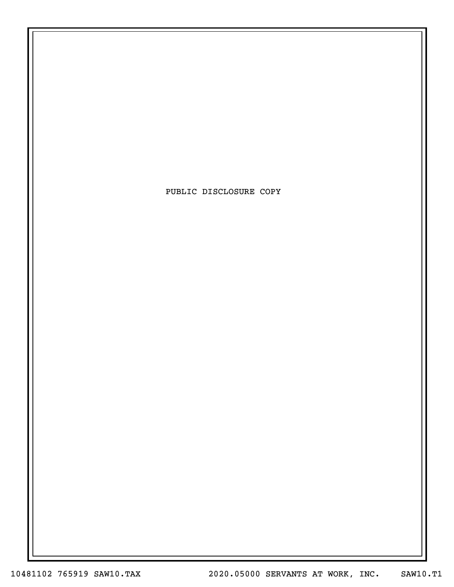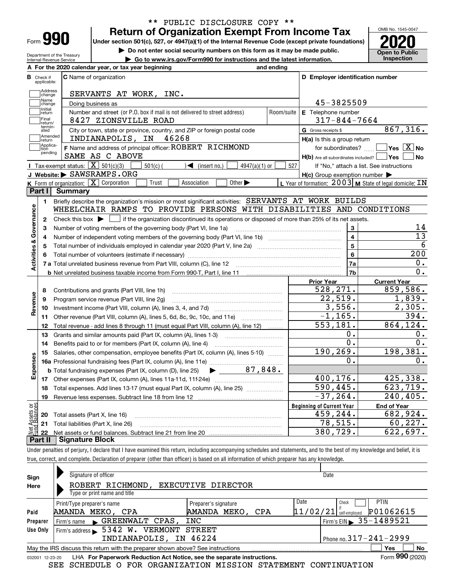| -orm |  |
|------|--|

Department of the Treasury Internal Revenue Service

## **Return of Organization Exempt From Income Tax** \*\* PUBLIC DISCLOSURE COPY \*\*

**Under section 501(c), 527, or 4947(a)(1) of the Internal Revenue Code (except private foundations) 2020**

**| Do not enter social security numbers on this form as it may be made public.**

**| Go to www.irs.gov/Form990 for instructions and the latest information. Inspection**

OMB No. 1545-0047 **Open to Public** 

|                         |                             | A For the 2020 calendar year, or tax year beginning                                                                                                 | and ending |                                                                              |                                                           |
|-------------------------|-----------------------------|-----------------------------------------------------------------------------------------------------------------------------------------------------|------------|------------------------------------------------------------------------------|-----------------------------------------------------------|
| в                       | Check if<br>applicable:     | <b>C</b> Name of organization                                                                                                                       |            | D Employer identification number                                             |                                                           |
|                         | Address<br>change           | SERVANTS AT WORK, INC.                                                                                                                              |            |                                                                              |                                                           |
|                         | Name<br>change              | Doing business as                                                                                                                                   |            | 45-3825509                                                                   |                                                           |
|                         | Initial<br>return           | Number and street (or P.O. box if mail is not delivered to street address)                                                                          | Room/suite | E Telephone number                                                           |                                                           |
|                         | Final<br>return/            | 8427 ZIONSVILLE ROAD                                                                                                                                |            | $317 - 844 - 7664$                                                           |                                                           |
|                         | termin-<br>ated             | City or town, state or province, country, and ZIP or foreign postal code                                                                            |            | G Gross receipts \$                                                          | 867,316.                                                  |
|                         | Amended<br>return           | INDIANAPOLIS, IN 46268                                                                                                                              |            | $H(a)$ is this a group return                                                |                                                           |
|                         | Applica-<br>tion<br>pending | F Name and address of principal officer: ROBERT RICHMOND<br>SAME AS C ABOVE                                                                         |            | for subordinates? $\Box$<br>$H(b)$ Are all subordinates included? $\Box$ Yes | $\boxed{\phantom{1}}$ Yes $\boxed{\mathrm{X}}$ No<br>  No |
|                         |                             | Tax-exempt status: $\boxed{\mathbf{X}}$ 501(c)(3) [<br>$\sqrt{\bullet}$ (insert no.)<br>$501(c)$ (<br>4947(a)(1) or                                 | 527        |                                                                              | If "No," attach a list. See instructions                  |
|                         |                             | J Website: SAWSRAMPS.ORG                                                                                                                            |            | $H(c)$ Group exemption number $\blacktriangleright$                          |                                                           |
|                         |                             | K Form of organization: X Corporation<br>Trust<br>Association<br>Other $\blacktriangleright$                                                        |            |                                                                              | L Year of formation: $2003$ M State of legal domicile: IN |
|                         | Part I                      | <b>Summary</b>                                                                                                                                      |            |                                                                              |                                                           |
|                         | 1.                          | Briefly describe the organization's mission or most significant activities: SERVANTS AT WORK BUILDS                                                 |            |                                                                              |                                                           |
|                         |                             | WHEELCHAIR RAMPS TO PROVIDE PERSONS WITH DISABILITIES AND CONDITIONS                                                                                |            |                                                                              |                                                           |
| Activities & Governance | $\mathbf{2}$                | Check this box $\blacktriangleright$ $\blacksquare$ if the organization discontinued its operations or disposed of more than 25% of its net assets. |            |                                                                              |                                                           |
|                         | 3                           | Number of voting members of the governing body (Part VI, line 1a)                                                                                   |            | 3                                                                            | 14                                                        |
|                         | 4                           |                                                                                                                                                     |            | $\overline{\mathbf{4}}$                                                      | $\overline{13}$                                           |
|                         | 5                           |                                                                                                                                                     |            | 5                                                                            | 6                                                         |
|                         | 6                           |                                                                                                                                                     |            | 6                                                                            | 200                                                       |
|                         |                             |                                                                                                                                                     |            | 7a                                                                           | 0.                                                        |
|                         |                             |                                                                                                                                                     |            | 7b                                                                           | 0.                                                        |
|                         |                             |                                                                                                                                                     |            | <b>Prior Year</b>                                                            | <b>Current Year</b>                                       |
|                         | 8                           | Contributions and grants (Part VIII, line 1h)                                                                                                       |            | 528,271.                                                                     | 859,586.                                                  |
| Revenue                 | 9                           | Program service revenue (Part VIII, line 2g)                                                                                                        |            | 22,519.                                                                      | 1,839.                                                    |
|                         | 10                          |                                                                                                                                                     |            | 3,556.                                                                       | 2,305.                                                    |
|                         | 11                          | Other revenue (Part VIII, column (A), lines 5, 6d, 8c, 9c, 10c, and 11e)                                                                            |            | $-1, 165.$                                                                   | 394.                                                      |
|                         | 12                          | Total revenue - add lines 8 through 11 (must equal Part VIII, column (A), line 12)                                                                  |            | 553, 181.                                                                    | 864, 124.                                                 |
|                         | 13                          | Grants and similar amounts paid (Part IX, column (A), lines 1-3)                                                                                    |            | 0.                                                                           | 0.                                                        |
|                         | 14                          |                                                                                                                                                     |            | $\overline{0}$ .                                                             | 0.                                                        |
|                         | 15                          | Salaries, other compensation, employee benefits (Part IX, column (A), lines 5-10)                                                                   |            | 190, 269.                                                                    | 198, 381.                                                 |
| Expenses                |                             |                                                                                                                                                     |            | 0.                                                                           | О.                                                        |
|                         |                             | $\blacktriangleright$ 87,848.<br><b>b</b> Total fundraising expenses (Part IX, column (D), line 25)                                                 |            |                                                                              |                                                           |
|                         |                             |                                                                                                                                                     |            | 400, 176.                                                                    | 425,338.                                                  |
|                         | 18                          | Total expenses. Add lines 13-17 (must equal Part IX, column (A), line 25)                                                                           |            | 590,445.                                                                     | 623,719.                                                  |
|                         | 19                          |                                                                                                                                                     |            | $-37, 264.$                                                                  | 240,405.                                                  |
| بَوْج                   |                             |                                                                                                                                                     |            | <b>Beginning of Current Year</b>                                             | <b>End of Year</b>                                        |
| psets                   |                             | <b>20</b> Total assets (Part X, line 16)                                                                                                            |            | 459,244.                                                                     | 682,924.                                                  |
|                         |                             | 21 Total liabilities (Part X, line 26)                                                                                                              |            | 78, 515.                                                                     | 60, 227.                                                  |
|                         | 22                          |                                                                                                                                                     |            | 380, 729.                                                                    | 622,697.                                                  |
|                         |                             | <b>Part II   Signature Block</b>                                                                                                                    |            |                                                                              |                                                           |

Under penalties of perjury, I declare that I have examined this return, including accompanying schedules and statements, and to the best of my knowledge and belief, it is true, correct, and complete. Declaration of preparer (other than officer) is based on all information of which preparer has any knowledge.

| Sign            | Signature of officer                                                                         |                      | Date                                   |                 |  |  |
|-----------------|----------------------------------------------------------------------------------------------|----------------------|----------------------------------------|-----------------|--|--|
| Here            | ROBERT RICHMOND,                                                                             | EXECUTIVE DIRECTOR   |                                        |                 |  |  |
|                 | Type or print name and title                                                                 |                      |                                        |                 |  |  |
|                 | Print/Type preparer's name                                                                   | Preparer's signature | Date<br>Check                          | <b>PTIN</b>     |  |  |
| Paid            | AMANDA MEKO, CPA                                                                             | AMANDA MEKO, CPA     | 11/02/21 <br>self-emploved             | P01062615       |  |  |
| Preparer        | Firm's name GREENWALT CPAS,                                                                  | INC                  | Firm's EIN $\triangleright$ 35-1489521 |                 |  |  |
| Use Only        | Firm's address > 5342 W. VERMONT STREET                                                      |                      |                                        |                 |  |  |
|                 | INDIANAPOLIS, IN 46224                                                                       |                      | Phone no. $317 - 241 - 2999$           |                 |  |  |
|                 | No<br>Yes<br>May the IRS discuss this return with the preparer shown above? See instructions |                      |                                        |                 |  |  |
| 032001 12-23-20 | LHA For Paperwork Reduction Act Notice, see the separate instructions.                       |                      |                                        | Form 990 (2020) |  |  |

SEE SCHEDULE O FOR ORGANIZATION MISSION STATEMENT CONTINUATION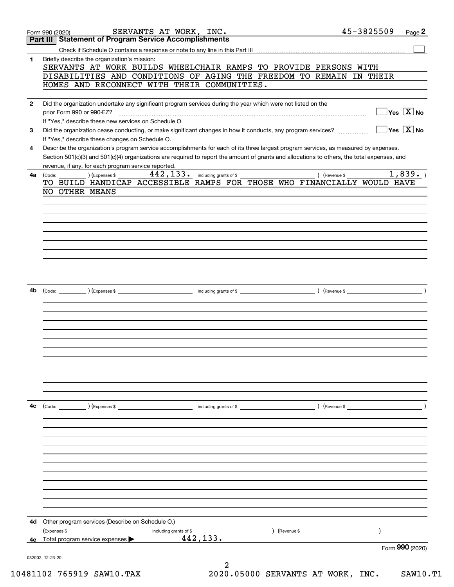|              | SERVANTS AT WORK, INC.<br>Form 990 (2020)                                                                                                    | 45-3825509<br>Page 2                                                   |  |
|--------------|----------------------------------------------------------------------------------------------------------------------------------------------|------------------------------------------------------------------------|--|
|              | <b>Part III Statement of Program Service Accomplishments</b>                                                                                 |                                                                        |  |
|              |                                                                                                                                              |                                                                        |  |
| 1            | Briefly describe the organization's mission:                                                                                                 |                                                                        |  |
|              | SERVANTS AT WORK BUILDS WHEELCHAIR RAMPS TO PROVIDE PERSONS WITH                                                                             |                                                                        |  |
|              | DISABILITIES AND CONDITIONS OF AGING THE FREEDOM TO REMAIN IN THEIR                                                                          |                                                                        |  |
|              | HOMES AND RECONNECT WITH THEIR COMMUNITIES.                                                                                                  |                                                                        |  |
|              |                                                                                                                                              |                                                                        |  |
| $\mathbf{2}$ | Did the organization undertake any significant program services during the year which were not listed on the                                 |                                                                        |  |
|              | prior Form 990 or 990-EZ?                                                                                                                    | $\overline{\mathsf{Yes} \ \mathbb{X}}$ No                              |  |
|              | If "Yes," describe these new services on Schedule O.                                                                                         |                                                                        |  |
|              |                                                                                                                                              | $ {\mathsf Y}{\mathsf e}{\mathsf s}^\top\![\overline{{\mathsf X}}]$ No |  |
| 3            | Did the organization cease conducting, or make significant changes in how it conducts, any program services?                                 |                                                                        |  |
|              | If "Yes," describe these changes on Schedule O.                                                                                              |                                                                        |  |
| 4            | Describe the organization's program service accomplishments for each of its three largest program services, as measured by expenses.         |                                                                        |  |
|              | Section 501(c)(3) and 501(c)(4) organizations are required to report the amount of grants and allocations to others, the total expenses, and |                                                                        |  |
|              | revenue, if any, for each program service reported.                                                                                          |                                                                        |  |
| 4a           | 442, 133. including grants of \$<br>) (Expenses \$<br>(Code:                                                                                 | 1,839.<br>) (Revenue \$                                                |  |
|              | TO BUILD HANDICAP ACCESSIBLE RAMPS FOR THOSE WHO FINANCIALLY WOULD HAVE                                                                      |                                                                        |  |
|              | NO OTHER MEANS                                                                                                                               |                                                                        |  |
|              |                                                                                                                                              |                                                                        |  |
|              |                                                                                                                                              |                                                                        |  |
|              |                                                                                                                                              |                                                                        |  |
|              |                                                                                                                                              |                                                                        |  |
|              |                                                                                                                                              |                                                                        |  |
|              |                                                                                                                                              |                                                                        |  |
|              |                                                                                                                                              |                                                                        |  |
|              |                                                                                                                                              |                                                                        |  |
|              |                                                                                                                                              |                                                                        |  |
|              |                                                                                                                                              |                                                                        |  |
|              |                                                                                                                                              |                                                                        |  |
| 4b           |                                                                                                                                              | $($ Revenue \$                                                         |  |
|              |                                                                                                                                              |                                                                        |  |
|              |                                                                                                                                              |                                                                        |  |
|              |                                                                                                                                              |                                                                        |  |
|              |                                                                                                                                              |                                                                        |  |
|              |                                                                                                                                              |                                                                        |  |
|              |                                                                                                                                              |                                                                        |  |
|              |                                                                                                                                              |                                                                        |  |
|              |                                                                                                                                              |                                                                        |  |
|              |                                                                                                                                              |                                                                        |  |
|              |                                                                                                                                              |                                                                        |  |
|              |                                                                                                                                              |                                                                        |  |
|              |                                                                                                                                              |                                                                        |  |
|              |                                                                                                                                              |                                                                        |  |
| 4c           |                                                                                                                                              | $\left($ Revenue \$ $\right)$                                          |  |
|              |                                                                                                                                              |                                                                        |  |
|              |                                                                                                                                              |                                                                        |  |
|              |                                                                                                                                              |                                                                        |  |
|              |                                                                                                                                              |                                                                        |  |
|              |                                                                                                                                              |                                                                        |  |
|              |                                                                                                                                              |                                                                        |  |
|              |                                                                                                                                              |                                                                        |  |
|              |                                                                                                                                              |                                                                        |  |
|              |                                                                                                                                              |                                                                        |  |
|              |                                                                                                                                              |                                                                        |  |
|              |                                                                                                                                              |                                                                        |  |
|              |                                                                                                                                              |                                                                        |  |
|              |                                                                                                                                              |                                                                        |  |
| 4d           | Other program services (Describe on Schedule O.)                                                                                             |                                                                        |  |
|              | (Expenses \$<br>(Revenue \$<br>including grants of \$                                                                                        |                                                                        |  |
| 4е           | 442, 133.<br>Total program service expenses                                                                                                  |                                                                        |  |
|              |                                                                                                                                              | Form 990 (2020)                                                        |  |
|              | 032002 12-23-20                                                                                                                              |                                                                        |  |
|              | 2                                                                                                                                            |                                                                        |  |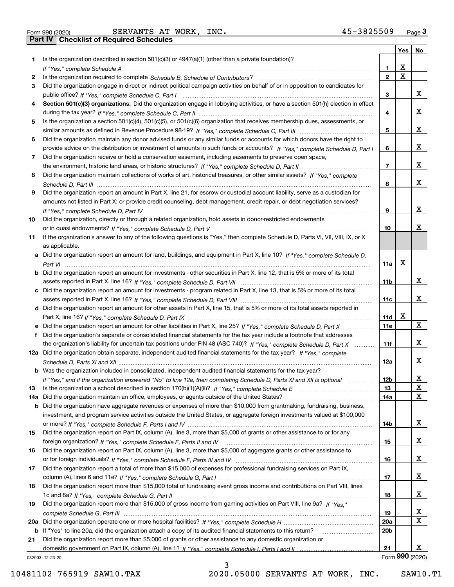|  | Form 990 (2020) |
|--|-----------------|
|  |                 |

Form 990 (2020) Page **3Part IV Checklist of Required Schedules** SERVANTS AT WORK, INC. 45-3825509

|     |                                                                                                                                       |                 | Yes | No              |
|-----|---------------------------------------------------------------------------------------------------------------------------------------|-----------------|-----|-----------------|
| 1   | Is the organization described in section $501(c)(3)$ or $4947(a)(1)$ (other than a private foundation)?                               |                 |     |                 |
|     |                                                                                                                                       | 1.              | X   |                 |
| 2   |                                                                                                                                       | $\overline{2}$  | X   |                 |
| 3   | Did the organization engage in direct or indirect political campaign activities on behalf of or in opposition to candidates for       |                 |     |                 |
|     |                                                                                                                                       | 3               |     | х               |
| 4   | Section 501(c)(3) organizations. Did the organization engage in lobbying activities, or have a section 501(h) election in effect      |                 |     |                 |
|     |                                                                                                                                       | 4               |     | х               |
| 5   | Is the organization a section 501(c)(4), 501(c)(5), or 501(c)(6) organization that receives membership dues, assessments, or          |                 |     |                 |
|     |                                                                                                                                       | 5               |     | х               |
| 6   | Did the organization maintain any donor advised funds or any similar funds or accounts for which donors have the right to             |                 |     |                 |
|     | provide advice on the distribution or investment of amounts in such funds or accounts? If "Yes," complete Schedule D, Part I          | 6               |     | х               |
| 7   | Did the organization receive or hold a conservation easement, including easements to preserve open space,                             |                 |     |                 |
|     |                                                                                                                                       | $\overline{7}$  |     | х               |
| 8   | Did the organization maintain collections of works of art, historical treasures, or other similar assets? If "Yes," complete          |                 |     |                 |
|     |                                                                                                                                       | 8               |     | х               |
| 9   | Did the organization report an amount in Part X, line 21, for escrow or custodial account liability, serve as a custodian for         |                 |     |                 |
|     | amounts not listed in Part X; or provide credit counseling, debt management, credit repair, or debt negotiation services?             |                 |     |                 |
|     |                                                                                                                                       | 9               |     | х               |
| 10  | Did the organization, directly or through a related organization, hold assets in donor-restricted endowments                          |                 |     |                 |
|     |                                                                                                                                       | 10              |     | х               |
| 11  | If the organization's answer to any of the following questions is "Yes," then complete Schedule D, Parts VI, VIII, VIII, IX, or X     |                 |     |                 |
|     | as applicable.                                                                                                                        |                 |     |                 |
|     | a Did the organization report an amount for land, buildings, and equipment in Part X, line 10? If "Yes," complete Schedule D,         |                 | X   |                 |
|     | <b>b</b> Did the organization report an amount for investments - other securities in Part X, line 12, that is 5% or more of its total | 11a             |     |                 |
|     |                                                                                                                                       | 11 <sub>b</sub> |     | х               |
|     | c Did the organization report an amount for investments - program related in Part X, line 13, that is 5% or more of its total         |                 |     |                 |
|     |                                                                                                                                       | 11c             |     | х               |
|     | d Did the organization report an amount for other assets in Part X, line 15, that is 5% or more of its total assets reported in       |                 |     |                 |
|     |                                                                                                                                       | 11d             | х   |                 |
|     | e Did the organization report an amount for other liabilities in Part X, line 25? If "Yes," complete Schedule D, Part X               | <b>11e</b>      |     | X               |
| f   | Did the organization's separate or consolidated financial statements for the tax year include a footnote that addresses               |                 |     |                 |
|     | the organization's liability for uncertain tax positions under FIN 48 (ASC 740)? If "Yes," complete Schedule D, Part X                | 11f             |     | х               |
|     | 12a Did the organization obtain separate, independent audited financial statements for the tax year? If "Yes," complete               |                 |     |                 |
|     |                                                                                                                                       | 12a             |     | х               |
|     | <b>b</b> Was the organization included in consolidated, independent audited financial statements for the tax year?                    |                 |     |                 |
|     | If "Yes," and if the organization answered "No" to line 12a, then completing Schedule D, Parts XI and XII is optional                 | 12D             |     | ᅀ               |
| 13  |                                                                                                                                       | 13              |     | $\mathbf X$     |
| 14a | Did the organization maintain an office, employees, or agents outside of the United States?                                           | 14a             |     | X               |
|     | <b>b</b> Did the organization have aggregate revenues or expenses of more than \$10,000 from grantmaking, fundraising, business,      |                 |     |                 |
|     | investment, and program service activities outside the United States, or aggregate foreign investments valued at \$100,000            |                 |     |                 |
|     |                                                                                                                                       | 14b             |     | x               |
| 15  | Did the organization report on Part IX, column (A), line 3, more than \$5,000 of grants or other assistance to or for any             |                 |     |                 |
|     |                                                                                                                                       | 15              |     | x               |
| 16  | Did the organization report on Part IX, column (A), line 3, more than \$5,000 of aggregate grants or other assistance to              |                 |     |                 |
|     |                                                                                                                                       | 16              |     | x               |
| 17  | Did the organization report a total of more than \$15,000 of expenses for professional fundraising services on Part IX,               |                 |     |                 |
|     |                                                                                                                                       | 17              |     | x               |
| 18  | Did the organization report more than \$15,000 total of fundraising event gross income and contributions on Part VIII, lines          |                 |     |                 |
|     |                                                                                                                                       | 18              |     | x               |
| 19  | Did the organization report more than \$15,000 of gross income from gaming activities on Part VIII, line 9a? If "Yes."                |                 |     |                 |
|     |                                                                                                                                       | 19              |     | х               |
|     |                                                                                                                                       | 20a             |     | $\mathbf X$     |
|     | b If "Yes" to line 20a, did the organization attach a copy of its audited financial statements to this return?                        | 20 <sub>b</sub> |     |                 |
| 21  | Did the organization report more than \$5,000 of grants or other assistance to any domestic organization or                           |                 |     |                 |
|     |                                                                                                                                       | 21              |     | х               |
|     | 032003 12-23-20                                                                                                                       |                 |     | Form 990 (2020) |

3

032003 12-23-20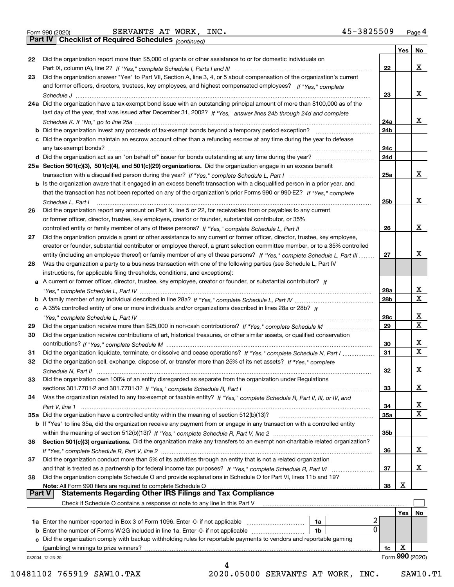|  | Form 990 (2020) |
|--|-----------------|

*(continued)*

|               |                                                                                                                              |                 | Yes | No              |
|---------------|------------------------------------------------------------------------------------------------------------------------------|-----------------|-----|-----------------|
| 22            | Did the organization report more than \$5,000 of grants or other assistance to or for domestic individuals on                |                 |     |                 |
|               |                                                                                                                              | 22              |     | x               |
| 23            | Did the organization answer "Yes" to Part VII, Section A, line 3, 4, or 5 about compensation of the organization's current   |                 |     |                 |
|               | and former officers, directors, trustees, key employees, and highest compensated employees? If "Yes," complete               |                 |     |                 |
|               |                                                                                                                              | 23              |     | x               |
|               | 24a Did the organization have a tax-exempt bond issue with an outstanding principal amount of more than \$100,000 as of the  |                 |     |                 |
|               | last day of the year, that was issued after December 31, 2002? If "Yes," answer lines 24b through 24d and complete           |                 |     |                 |
|               |                                                                                                                              | 24a             |     | x               |
|               | <b>b</b> Did the organization invest any proceeds of tax-exempt bonds beyond a temporary period exception?                   | 24b             |     |                 |
|               | c Did the organization maintain an escrow account other than a refunding escrow at any time during the year to defease       |                 |     |                 |
|               | any tax-exempt bonds?                                                                                                        | 24с             |     |                 |
|               |                                                                                                                              | 24d             |     |                 |
|               | 25a Section 501(c)(3), 501(c)(4), and 501(c)(29) organizations. Did the organization engage in an excess benefit             |                 |     |                 |
|               |                                                                                                                              | 25a             |     | x               |
|               | b Is the organization aware that it engaged in an excess benefit transaction with a disqualified person in a prior year, and |                 |     |                 |
|               | that the transaction has not been reported on any of the organization's prior Forms 990 or 990-EZ? If "Yes," complete        |                 |     |                 |
|               | Schedule L. Part I                                                                                                           | 25b             |     | x               |
| 26            | Did the organization report any amount on Part X, line 5 or 22, for receivables from or payables to any current              |                 |     |                 |
|               | or former officer, director, trustee, key employee, creator or founder, substantial contributor, or 35%                      |                 |     |                 |
|               |                                                                                                                              | 26              |     | x               |
| 27            | Did the organization provide a grant or other assistance to any current or former officer, director, trustee, key employee,  |                 |     |                 |
|               | creator or founder, substantial contributor or employee thereof, a grant selection committee member, or to a 35% controlled  |                 |     |                 |
|               | entity (including an employee thereof) or family member of any of these persons? If "Yes," complete Schedule L, Part III     | 27              |     | x               |
| 28            | Was the organization a party to a business transaction with one of the following parties (see Schedule L, Part IV            |                 |     |                 |
|               | instructions, for applicable filing thresholds, conditions, and exceptions):                                                 |                 |     |                 |
|               | a A current or former officer, director, trustee, key employee, creator or founder, or substantial contributor? If           |                 |     |                 |
|               |                                                                                                                              | 28a             |     | x               |
|               |                                                                                                                              | 28 <sub>b</sub> |     | X               |
|               | c A 35% controlled entity of one or more individuals and/or organizations described in lines 28a or 28b? If                  |                 |     |                 |
|               |                                                                                                                              | 28c             |     | x               |
| 29            |                                                                                                                              | 29              |     | X               |
| 30            | Did the organization receive contributions of art, historical treasures, or other similar assets, or qualified conservation  |                 |     |                 |
|               |                                                                                                                              |                 |     | x               |
|               |                                                                                                                              | 30<br>31        |     | X               |
| 31            | Did the organization liquidate, terminate, or dissolve and cease operations? If "Yes," complete Schedule N, Part I           |                 |     |                 |
| 32            | Did the organization sell, exchange, dispose of, or transfer more than 25% of its net assets? If "Yes," complete             |                 |     | x               |
|               |                                                                                                                              | 32              |     |                 |
| 33            | Did the organization own 100% of an entity disregarded as separate from the organization under Regulations                   |                 |     |                 |
|               |                                                                                                                              | 33              |     | х               |
| 34            | Was the organization related to any tax-exempt or taxable entity? If "Yes," complete Schedule R, Part II, III, or IV, and    |                 |     |                 |
|               |                                                                                                                              | 34              |     | х               |
|               | 35a Did the organization have a controlled entity within the meaning of section 512(b)(13)?                                  | 35a             |     | X               |
|               | b If "Yes" to line 35a, did the organization receive any payment from or engage in any transaction with a controlled entity  |                 |     |                 |
|               |                                                                                                                              | 35b             |     |                 |
| 36            | Section 501(c)(3) organizations. Did the organization make any transfers to an exempt non-charitable related organization?   |                 |     |                 |
|               |                                                                                                                              | 36              |     | x               |
| 37            | Did the organization conduct more than 5% of its activities through an entity that is not a related organization             |                 |     |                 |
|               | and that is treated as a partnership for federal income tax purposes? If "Yes," complete Schedule R, Part VI                 | 37              |     | x               |
| 38            | Did the organization complete Schedule O and provide explanations in Schedule O for Part VI, lines 11b and 19?               |                 |     |                 |
|               | Note: All Form 990 filers are required to complete Schedule O                                                                | 38              | X   |                 |
| <b>Part V</b> | <b>Statements Regarding Other IRS Filings and Tax Compliance</b>                                                             |                 |     |                 |
|               | Check if Schedule O contains a response or note to any line in this Part V                                                   |                 |     |                 |
|               |                                                                                                                              |                 | Yes | No              |
|               | 2<br>1a Enter the number reported in Box 3 of Form 1096. Enter -0- if not applicable<br>1a                                   |                 |     |                 |
|               | 0<br><b>b</b> Enter the number of Forms W-2G included in line 1a. Enter -0- if not applicable<br>1b                          |                 |     |                 |
|               | c Did the organization comply with backup withholding rules for reportable payments to vendors and reportable gaming         |                 |     |                 |
|               | (gambling) winnings to prize winners?                                                                                        | 1c              | X   |                 |
|               | 032004 12-23-20                                                                                                              |                 |     | Form 990 (2020) |
|               | 4                                                                                                                            |                 |     |                 |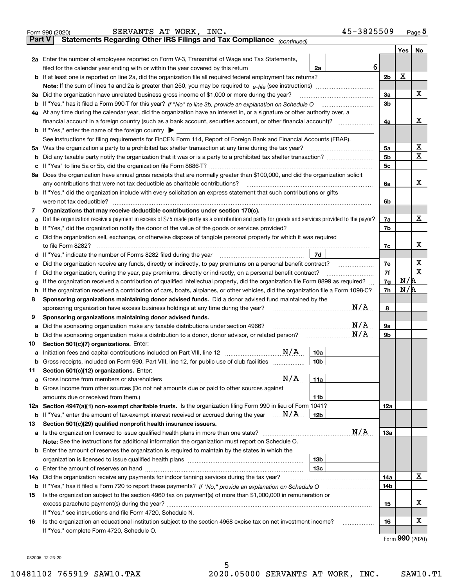|               | 45-3825509<br>SERVANTS AT WORK, INC.<br>Form 990 (2020)                                                                                                                                   |                |         | <u>Page</u> 5 |
|---------------|-------------------------------------------------------------------------------------------------------------------------------------------------------------------------------------------|----------------|---------|---------------|
| <b>Part V</b> | Statements Regarding Other IRS Filings and Tax Compliance (continued)                                                                                                                     |                |         |               |
|               |                                                                                                                                                                                           |                | Yes $ $ | No            |
|               | 2a Enter the number of employees reported on Form W-3, Transmittal of Wage and Tax Statements,                                                                                            |                |         |               |
|               | 6<br>filed for the calendar year ending with or within the year covered by this return [111] [11] filed for the calendar year ending with or within the year covered by this return<br>2a |                |         |               |
|               |                                                                                                                                                                                           | 2 <sub>b</sub> | X       |               |
|               |                                                                                                                                                                                           |                |         |               |
|               | 3a Did the organization have unrelated business gross income of \$1,000 or more during the year?                                                                                          | 3a             |         | x             |
|               |                                                                                                                                                                                           | 3b             |         |               |
|               | 4a At any time during the calendar year, did the organization have an interest in, or a signature or other authority over, a                                                              |                |         |               |
|               |                                                                                                                                                                                           | 4a             |         | х             |
|               | <b>b</b> If "Yes," enter the name of the foreign country $\blacktriangleright$                                                                                                            |                |         |               |
|               | See instructions for filing requirements for FinCEN Form 114, Report of Foreign Bank and Financial Accounts (FBAR).                                                                       |                |         |               |
|               | 5a Was the organization a party to a prohibited tax shelter transaction at any time during the tax year?                                                                                  | 5a             |         | х             |
| b             |                                                                                                                                                                                           | 5 <sub>b</sub> |         | х             |
|               |                                                                                                                                                                                           | 5 <sub>c</sub> |         |               |
|               | 6a Does the organization have annual gross receipts that are normally greater than \$100,000, and did the organization solicit                                                            |                |         |               |
|               |                                                                                                                                                                                           | 6a             |         | х             |
|               | <b>b</b> If "Yes," did the organization include with every solicitation an express statement that such contributions or gifts                                                             |                |         |               |
|               | were not tax deductible?                                                                                                                                                                  | 6b             |         |               |
| 7             | Organizations that may receive deductible contributions under section 170(c).                                                                                                             |                |         |               |
| а             | Did the organization receive a payment in excess of \$75 made partly as a contribution and partly for goods and services provided to the payor?                                           | 7a             |         | х             |
|               | <b>b</b> If "Yes," did the organization notify the donor of the value of the goods or services provided?                                                                                  | 7b             |         |               |
|               | c Did the organization sell, exchange, or otherwise dispose of tangible personal property for which it was required                                                                       |                |         |               |
|               |                                                                                                                                                                                           | 7с             |         | х             |
|               | 7d                                                                                                                                                                                        |                |         |               |
| е             |                                                                                                                                                                                           | 7e             |         | х             |
| f             | Did the organization, during the year, pay premiums, directly or indirectly, on a personal benefit contract?                                                                              | 7f             |         | х             |
| g             | If the organization received a contribution of qualified intellectual property, did the organization file Form 8899 as required?                                                          | 7g             | N/R     |               |
| h.            | If the organization received a contribution of cars, boats, airplanes, or other vehicles, did the organization file a Form 1098-C?                                                        | 7h             | N/R     |               |
| 8             | Sponsoring organizations maintaining donor advised funds. Did a donor advised fund maintained by the                                                                                      |                |         |               |
|               | N/A<br>sponsoring organization have excess business holdings at any time during the year?                                                                                                 | 8              |         |               |
| 9             | Sponsoring organizations maintaining donor advised funds.                                                                                                                                 |                |         |               |
| а             | N/A<br>Did the sponsoring organization make any taxable distributions under section 4966?                                                                                                 | 9а             |         |               |
|               | N/A<br><b>b</b> Did the sponsoring organization make a distribution to a donor, donor advisor, or related person?                                                                         | 9b             |         |               |
| 10            | Section 501(c)(7) organizations. Enter:                                                                                                                                                   |                |         |               |
|               | N/A<br>10a<br>a Initiation fees and capital contributions included on Part VIII, line 12 [111] [12] [12] [12] [13] [13] [13]                                                              |                |         |               |
|               | $10b$<br>Gross receipts, included on Form 990, Part VIII, line 12, for public use of club facilities                                                                                      |                |         |               |
| 11            | Section 501(c)(12) organizations. Enter:                                                                                                                                                  |                |         |               |
|               | N/A<br>11a                                                                                                                                                                                |                |         |               |
|               | b Gross income from other sources (Do not net amounts due or paid to other sources against                                                                                                |                |         |               |
|               | 11b                                                                                                                                                                                       |                |         |               |
|               | 12a Section 4947(a)(1) non-exempt charitable trusts. Is the organization filing Form 990 in lieu of Form 1041?                                                                            | 12a            |         |               |
|               | <b>b</b> If "Yes," enter the amount of tax-exempt interest received or accrued during the year $\ldots \mathbf{N}/\mathbf{A}$<br>12b                                                      |                |         |               |
| 13            | Section 501(c)(29) qualified nonprofit health insurance issuers.                                                                                                                          |                |         |               |
|               | N/A<br>a Is the organization licensed to issue qualified health plans in more than one state?                                                                                             | 13а            |         |               |
|               | Note: See the instructions for additional information the organization must report on Schedule O.                                                                                         |                |         |               |
|               | <b>b</b> Enter the amount of reserves the organization is required to maintain by the states in which the                                                                                 |                |         |               |
|               | 13b                                                                                                                                                                                       |                |         |               |
|               | 13с                                                                                                                                                                                       |                |         |               |
| 14a           | Did the organization receive any payments for indoor tanning services during the tax year?                                                                                                | 14a            |         | x             |
|               | <b>b</b> If "Yes," has it filed a Form 720 to report these payments? If "No," provide an explanation on Schedule O                                                                        | 14b            |         |               |
| 15            | Is the organization subject to the section 4960 tax on payment(s) of more than \$1,000,000 in remuneration or                                                                             |                |         |               |
|               |                                                                                                                                                                                           | 15             |         | x             |
|               | If "Yes," see instructions and file Form 4720, Schedule N.                                                                                                                                |                |         |               |
| 16            | Is the organization an educational institution subject to the section 4968 excise tax on net investment income?                                                                           | 16             |         | х             |
|               | If "Yes," complete Form 4720, Schedule O.                                                                                                                                                 |                |         |               |
|               |                                                                                                                                                                                           |                |         | QQQ           |

Form (2020) **990**

032005 12-23-20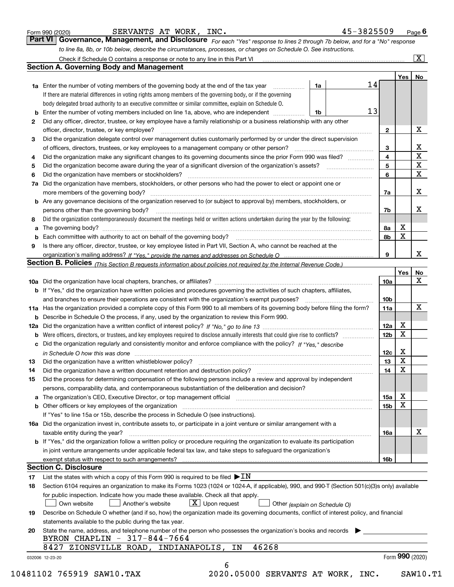|  | Form 990 (2020) |
|--|-----------------|
|  |                 |

| SERVANTS AT WORK, |  |  | INC. |
|-------------------|--|--|------|
|-------------------|--|--|------|

| Form 990 (2020)                                                                                                  | SERVANTS AT WORK, INC.                                                                                                        | 45-3825509 | Page $6$                |  |
|------------------------------------------------------------------------------------------------------------------|-------------------------------------------------------------------------------------------------------------------------------|------------|-------------------------|--|
|                                                                                                                  | Part VI   Governance, Management, and Disclosure For each "Yes" response to lines 2 through 7b below, and for a "No" response |            |                         |  |
| to line 8a, 8b, or 10b below, describe the circumstances, processes, or changes on Schedule O. See instructions. |                                                                                                                               |            |                         |  |
|                                                                                                                  | Check if Schedule O contains a response or note to any line in this Part VI                                                   |            | $\overline{\mathbf{x}}$ |  |

|    |                                                                                                                                                                            |    |  |    |              | Yes | No                      |  |
|----|----------------------------------------------------------------------------------------------------------------------------------------------------------------------------|----|--|----|--------------|-----|-------------------------|--|
|    | <b>1a</b> Enter the number of voting members of the governing body at the end of the tax year <i>manumum</i>                                                               | 1a |  | 14 |              |     |                         |  |
|    | If there are material differences in voting rights among members of the governing body, or if the governing                                                                |    |  |    |              |     |                         |  |
|    | body delegated broad authority to an executive committee or similar committee, explain on Schedule O.                                                                      |    |  |    |              |     |                         |  |
| b  | Enter the number of voting members included on line 1a, above, who are independent <i>manumum</i>                                                                          | 1b |  | 13 |              |     |                         |  |
| 2  | Did any officer, director, trustee, or key employee have a family relationship or a business relationship with any other                                                   |    |  |    |              |     |                         |  |
|    | officer, director, trustee, or key employee?                                                                                                                               |    |  |    | $\mathbf{2}$ |     | X                       |  |
| 3  | Did the organization delegate control over management duties customarily performed by or under the direct supervision                                                      |    |  |    |              |     |                         |  |
|    |                                                                                                                                                                            |    |  |    | 3            |     | X                       |  |
| 4  | Did the organization make any significant changes to its governing documents since the prior Form 990 was filed?                                                           |    |  |    | 4            |     | $\overline{\mathbf{x}}$ |  |
| 5  |                                                                                                                                                                            |    |  |    | 5            |     | X                       |  |
| 6  | Did the organization have members or stockholders?                                                                                                                         |    |  |    | 6            |     | X                       |  |
| 7a | Did the organization have members, stockholders, or other persons who had the power to elect or appoint one or                                                             |    |  |    |              |     |                         |  |
|    |                                                                                                                                                                            |    |  |    | 7a           |     | X                       |  |
|    | <b>b</b> Are any governance decisions of the organization reserved to (or subject to approval by) members, stockholders, or                                                |    |  |    |              |     |                         |  |
|    | persons other than the governing body?                                                                                                                                     |    |  |    | 7b           |     | х                       |  |
| 8  | Did the organization contemporaneously document the meetings held or written actions undertaken during the year by the following:                                          |    |  |    |              |     |                         |  |
| a  |                                                                                                                                                                            |    |  |    | 8a           | X   |                         |  |
| b  |                                                                                                                                                                            |    |  |    | 8b           | X   |                         |  |
| 9  | Is there any officer, director, trustee, or key employee listed in Part VII, Section A, who cannot be reached at the                                                       |    |  |    |              |     |                         |  |
|    |                                                                                                                                                                            |    |  |    | 9            |     | x                       |  |
|    | <b>Section B. Policies</b> (This Section B requests information about policies not required by the Internal Revenue Code.)                                                 |    |  |    |              |     |                         |  |
|    |                                                                                                                                                                            |    |  |    |              | Yes | No                      |  |
|    |                                                                                                                                                                            |    |  |    | 10a          |     | X                       |  |
|    | <b>b</b> If "Yes," did the organization have written policies and procedures governing the activities of such chapters, affiliates,                                        |    |  |    |              |     |                         |  |
|    |                                                                                                                                                                            |    |  |    | 10b          |     |                         |  |
|    | 11a Has the organization provided a complete copy of this Form 990 to all members of its governing body before filing the form?                                            |    |  |    | 11a          |     | X                       |  |
|    | <b>b</b> Describe in Schedule O the process, if any, used by the organization to review this Form 990.                                                                     |    |  |    |              |     |                         |  |
|    |                                                                                                                                                                            |    |  |    | 12a          | Х   |                         |  |
| b  |                                                                                                                                                                            |    |  |    | 12b          | X   |                         |  |
|    | c Did the organization regularly and consistently monitor and enforce compliance with the policy? If "Yes." describe                                                       |    |  |    |              |     |                         |  |
|    | in Schedule O how this was done manufactured and continuum control of the state of the state of the state of t                                                             |    |  |    | 12c          | Х   |                         |  |
| 13 |                                                                                                                                                                            |    |  |    | 13           | X   |                         |  |
| 14 | Did the organization have a written document retention and destruction policy? manufactured and the organization have a written document retention and destruction policy? |    |  |    | 14           | X   |                         |  |
| 15 | Did the process for determining compensation of the following persons include a review and approval by independent                                                         |    |  |    |              |     |                         |  |
|    | persons, comparability data, and contemporaneous substantiation of the deliberation and decision?                                                                          |    |  |    |              |     |                         |  |
|    |                                                                                                                                                                            |    |  |    | <b>15a</b>   | X   |                         |  |
|    |                                                                                                                                                                            |    |  |    | 15b          | X   |                         |  |
|    | If "Yes" to line 15a or 15b, describe the process in Schedule O (see instructions).                                                                                        |    |  |    |              |     |                         |  |
|    | 16a Did the organization invest in, contribute assets to, or participate in a joint venture or similar arrangement with a                                                  |    |  |    |              |     |                         |  |
|    | taxable entity during the year?                                                                                                                                            |    |  |    | 16a          |     | X                       |  |
|    | b If "Yes," did the organization follow a written policy or procedure requiring the organization to evaluate its participation                                             |    |  |    |              |     |                         |  |
|    | in joint venture arrangements under applicable federal tax law, and take steps to safeguard the organization's                                                             |    |  |    |              |     |                         |  |
|    | exempt status with respect to such arrangements?                                                                                                                           |    |  |    | 16b          |     |                         |  |
|    | <b>Section C. Disclosure</b>                                                                                                                                               |    |  |    |              |     |                         |  |
| 17 | List the states with which a copy of this Form 990 is required to be filed $\blacktriangleright \text{IN}$                                                                 |    |  |    |              |     |                         |  |
| 18 | Section 6104 requires an organization to make its Forms 1023 (1024 or 1024-A, if applicable), 990, and 990-T (Section 501(c)(3)s only) available                           |    |  |    |              |     |                         |  |
|    | for public inspection. Indicate how you made these available. Check all that apply.                                                                                        |    |  |    |              |     |                         |  |
|    | $X$ Upon request<br>Another's website<br>Own website<br>Other (explain on Schedule O)                                                                                      |    |  |    |              |     |                         |  |
| 19 | Describe on Schedule O whether (and if so, how) the organization made its governing documents, conflict of interest policy, and financial                                  |    |  |    |              |     |                         |  |
|    | statements available to the public during the tax year.                                                                                                                    |    |  |    |              |     |                         |  |
|    |                                                                                                                                                                            |    |  |    |              |     |                         |  |
| 20 | State the name, address, and telephone number of the person who possesses the organization's books and records<br>BYRON CHAPLIN - 317-844-7664                             |    |  |    |              |     |                         |  |
|    | 46268<br>8427 ZIONSVILLE ROAD, INDIANAPOLIS,<br>IN                                                                                                                         |    |  |    |              |     |                         |  |
|    |                                                                                                                                                                            |    |  |    |              |     | Form 990 (2020)         |  |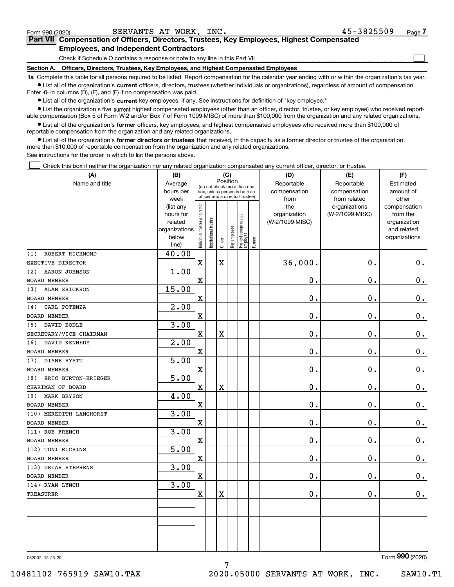| Form 990 (2020) | SERVANTS AT WORK, INC.                                                                                                                                     | $45 - 3825509$ | Page |  |  |  |  |  |  |  |
|-----------------|------------------------------------------------------------------------------------------------------------------------------------------------------------|----------------|------|--|--|--|--|--|--|--|
|                 | <b>Part VII</b> Compensation of Officers, Directors, Trustees, Key Employees, Highest Compensated                                                          |                |      |  |  |  |  |  |  |  |
|                 | <b>Employees, and Independent Contractors</b>                                                                                                              |                |      |  |  |  |  |  |  |  |
|                 | Check if Schedule O contains a response or note to any line in this Part VII                                                                               |                |      |  |  |  |  |  |  |  |
| Section A.      | Officers, Directors, Trustees, Key Employees, and Highest Compensated Employees                                                                            |                |      |  |  |  |  |  |  |  |
|                 | 1a Complete this table for all persons required to be listed. Report compensation for the calendar year ending with or within the organization's tay year. |                |      |  |  |  |  |  |  |  |

**1a •** List all of the organization's current officers, directors, trustees (whether individuals or organizations), regardless of amount of compensation. his table for all persons required to be listed. Report compensation for the calendar year ending with or within the orgal Enter -0- in columns (D), (E), and (F) if no compensation was paid.

 $\bullet$  List all of the organization's  $\,$ current key employees, if any. See instructions for definition of "key employee."

**•** List the organization's five current highest compensated employees (other than an officer, director, trustee, or key employee) who received reportable compensation (Box 5 of Form W-2 and/or Box 7 of Form 1099-MISC) of more than \$100,000 from the organization and any related organizations.

**•** List all of the organization's former officers, key employees, and highest compensated employees who received more than \$100,000 of reportable compensation from the organization and any related organizations.

**former directors or trustees**  ¥ List all of the organization's that received, in the capacity as a former director or trustee of the organization, more than \$10,000 of reportable compensation from the organization and any related organizations.

See instructions for the order in which to list the persons above.

Check this box if neither the organization nor any related organization compensated any current officer, director, or trustee.  $\mathcal{L}^{\text{max}}$ 

| (A)                         | (B)               | (C)<br>Position               |                                                                  |             |              |                                   |        | (D)                  | (E)                          | (F)                |
|-----------------------------|-------------------|-------------------------------|------------------------------------------------------------------|-------------|--------------|-----------------------------------|--------|----------------------|------------------------------|--------------------|
| Name and title              | Average           |                               | (do not check more than one                                      |             |              |                                   |        | Reportable           | Reportable                   | Estimated          |
|                             | hours per<br>week |                               | box, unless person is both an<br>officer and a director/trustee) |             |              |                                   |        | compensation<br>from | compensation<br>from related | amount of<br>other |
|                             | (list any         |                               |                                                                  |             |              |                                   |        | the                  | organizations                | compensation       |
|                             | hours for         |                               |                                                                  |             |              |                                   |        | organization         | (W-2/1099-MISC)              | from the           |
|                             | related           |                               |                                                                  |             |              |                                   |        | (W-2/1099-MISC)      |                              | organization       |
|                             | organizations     |                               |                                                                  |             |              |                                   |        |                      |                              | and related        |
|                             | below             | ndividual trustee or director | In stitutional trustee                                           | Officer     | Key employee | Highest compensated<br>  employee | Former |                      |                              | organizations      |
| ROBERT RICHMOND<br>(1)      | line)<br>40.00    |                               |                                                                  |             |              |                                   |        |                      |                              |                    |
| EXECTIVE DIRECTOR           |                   | $\mathbf x$                   |                                                                  | X           |              |                                   |        | 36,000.              | $\mathbf 0$ .                | $0_{.}$            |
| <b>AARON JOHNSON</b><br>(2) |                   |                               |                                                                  |             |              |                                   |        |                      |                              |                    |
|                             | 1.00              |                               |                                                                  |             |              |                                   |        |                      |                              |                    |
| <b>BOARD MEMBER</b>         |                   | $\mathbf X$                   |                                                                  |             |              |                                   |        | $\mathbf 0$ .        | $\mathbf 0$ .                | $\mathbf 0$ .      |
| ALAN ERICKSON<br>(3)        | 15.00             |                               |                                                                  |             |              |                                   |        |                      |                              |                    |
| <b>BOARD MEMBER</b>         |                   | $\mathbf X$                   |                                                                  |             |              |                                   |        | 0.                   | $\mathbf 0$ .                | $0 \cdot$          |
| CARL POTENZA<br>(4)         | 2.00              |                               |                                                                  |             |              |                                   |        |                      |                              |                    |
| <b>BOARD MEMBER</b>         |                   | $\mathbf X$                   |                                                                  |             |              |                                   |        | $\mathbf 0$ .        | 0.                           | $\mathbf 0$ .      |
| (5) DAVID BODLE             | 3.00              |                               |                                                                  |             |              |                                   |        |                      |                              |                    |
| SECRETARY/VICE CHAIRMAN     |                   | $\mathbf x$                   |                                                                  | $\mathbf X$ |              |                                   |        | $\mathbf 0$ .        | 0.                           | $\mathbf 0$ .      |
| (6)<br>DAVID KENNEDY        | 2.00              |                               |                                                                  |             |              |                                   |        |                      |                              |                    |
| <b>BOARD MEMBER</b>         |                   | $\mathbf X$                   |                                                                  |             |              |                                   |        | $0$ .                | 0.                           | $\mathbf 0$ .      |
| DIANE HYATT<br>(7)          | 5.00              |                               |                                                                  |             |              |                                   |        |                      |                              |                    |
| <b>BOARD MEMBER</b>         |                   | $\mathbf x$                   |                                                                  |             |              |                                   |        | $\mathbf 0$ .        | $\mathbf 0$ .                | $\mathbf 0$ .      |
| ERIC BURTON-KRIEGER<br>(8)  | 5.00              |                               |                                                                  |             |              |                                   |        |                      |                              |                    |
| CHARIMAN OF BOARD           |                   | $\mathbf X$                   |                                                                  | X           |              |                                   |        | $0$ .                | 0.                           | $\mathbf 0$ .      |
| <b>MARK BRYSON</b><br>(9)   | 4.00              |                               |                                                                  |             |              |                                   |        |                      |                              |                    |
| <b>BOARD MEMBER</b>         |                   | $\mathbf X$                   |                                                                  |             |              |                                   |        | $\mathbf 0$ .        | $\mathbf 0$ .                | $\mathbf 0$ .      |
| (10) MEREDITH LANGHORST     | 3.00              |                               |                                                                  |             |              |                                   |        |                      |                              |                    |
| <b>BOARD MEMBER</b>         |                   | $\mathbf X$                   |                                                                  |             |              |                                   |        | $\mathbf 0$ .        | $\mathbf 0$ .                | 0.                 |
| (11) ROB FRENCH             | 3.00              |                               |                                                                  |             |              |                                   |        |                      |                              |                    |
| <b>BOARD MEMBER</b>         |                   | $\mathbf X$                   |                                                                  |             |              |                                   |        | $\mathbf 0$ .        | $\mathbf 0$ .                | $\mathbf 0$ .      |
| (12) TONI RICHINS           | 5.00              |                               |                                                                  |             |              |                                   |        |                      |                              |                    |
| <b>BOARD MEMBER</b>         |                   | $\mathbf X$                   |                                                                  |             |              |                                   |        | $\mathbf 0$ .        | $\mathbf 0$ .                | $\mathbf 0$ .      |
| (13) URIAH STEPHENS         | 3.00              |                               |                                                                  |             |              |                                   |        |                      |                              |                    |
| <b>BOARD MEMBER</b>         |                   | $\mathbf x$                   |                                                                  |             |              |                                   |        | $\mathbf 0$ .        | $\mathbf 0$ .                | $\mathbf 0$ .      |
| (14) RYAN LYNCH             | 3.00              |                               |                                                                  |             |              |                                   |        |                      |                              |                    |
| <b>TREASURER</b>            |                   | $\mathbf X$                   |                                                                  | X           |              |                                   |        | $\mathbf 0$ .        | 0.                           | 0.                 |
|                             |                   |                               |                                                                  |             |              |                                   |        |                      |                              |                    |
|                             |                   |                               |                                                                  |             |              |                                   |        |                      |                              |                    |
|                             |                   |                               |                                                                  |             |              |                                   |        |                      |                              |                    |
|                             |                   |                               |                                                                  |             |              |                                   |        |                      |                              |                    |
|                             |                   |                               |                                                                  |             |              |                                   |        |                      |                              |                    |
|                             |                   |                               |                                                                  |             |              |                                   |        |                      |                              |                    |

7

032007 12-23-20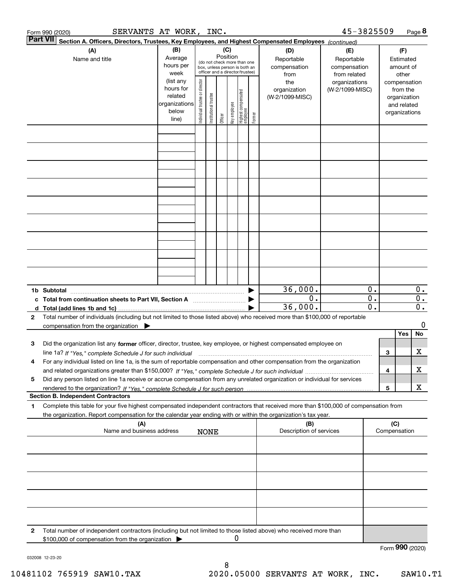|              | SERVANTS AT WORK, INC.<br>Form 990 (2020)                                                                                                                                                                                                              |                                                                              |                                |                       |                                                                                 |              |                                   |        |                                                | 45-3825509                                       |                                 |     |                                                                                   | Page 8                    |
|--------------|--------------------------------------------------------------------------------------------------------------------------------------------------------------------------------------------------------------------------------------------------------|------------------------------------------------------------------------------|--------------------------------|-----------------------|---------------------------------------------------------------------------------|--------------|-----------------------------------|--------|------------------------------------------------|--------------------------------------------------|---------------------------------|-----|-----------------------------------------------------------------------------------|---------------------------|
|              | <b>Part VII</b><br>Section A. Officers, Directors, Trustees, Key Employees, and Highest Compensated Employees (continued)                                                                                                                              |                                                                              |                                |                       |                                                                                 |              |                                   |        |                                                |                                                  |                                 |     |                                                                                   |                           |
|              | (A)<br>Name and title                                                                                                                                                                                                                                  | (B)<br>Average<br>hours per                                                  |                                |                       | (C)<br>Position<br>(do not check more than one<br>box, unless person is both an |              |                                   |        | (D)<br>Reportable<br>compensation              | (E)<br>Reportable<br>compensation                |                                 |     | (F)<br>Estimated<br>amount of                                                     |                           |
|              |                                                                                                                                                                                                                                                        | week<br>(list any<br>hours for<br>related<br>organizations<br>below<br>line) | Individual trustee or director | Institutional trustee | officer and a director/trustee)<br>Officer                                      | key employee | Highest compensated<br>  employee | Former | from<br>the<br>organization<br>(W-2/1099-MISC) | from related<br>organizations<br>(W-2/1099-MISC) |                                 |     | other<br>compensation<br>from the<br>organization<br>and related<br>organizations |                           |
|              |                                                                                                                                                                                                                                                        |                                                                              |                                |                       |                                                                                 |              |                                   |        |                                                |                                                  |                                 |     |                                                                                   |                           |
|              |                                                                                                                                                                                                                                                        |                                                                              |                                |                       |                                                                                 |              |                                   |        |                                                |                                                  |                                 |     |                                                                                   |                           |
|              |                                                                                                                                                                                                                                                        |                                                                              |                                |                       |                                                                                 |              |                                   |        |                                                |                                                  |                                 |     |                                                                                   |                           |
|              |                                                                                                                                                                                                                                                        |                                                                              |                                |                       |                                                                                 |              |                                   |        |                                                |                                                  |                                 |     |                                                                                   |                           |
|              |                                                                                                                                                                                                                                                        |                                                                              |                                |                       |                                                                                 |              |                                   |        |                                                |                                                  |                                 |     |                                                                                   |                           |
|              |                                                                                                                                                                                                                                                        |                                                                              |                                |                       |                                                                                 |              |                                   |        |                                                |                                                  |                                 |     |                                                                                   |                           |
|              |                                                                                                                                                                                                                                                        |                                                                              |                                |                       |                                                                                 |              |                                   |        |                                                |                                                  |                                 |     |                                                                                   |                           |
|              |                                                                                                                                                                                                                                                        |                                                                              |                                |                       |                                                                                 |              |                                   |        |                                                |                                                  |                                 |     |                                                                                   |                           |
|              | 1b Subtotal                                                                                                                                                                                                                                            |                                                                              |                                |                       |                                                                                 |              |                                   |        | 36,000.<br>0.                                  |                                                  | 0.<br>$\overline{\mathbf{0}}$ . |     |                                                                                   | $0$ .<br>$\overline{0}$ . |
|              | c Total from continuation sheets to Part VII, Section A                                                                                                                                                                                                |                                                                              |                                |                       |                                                                                 |              |                                   |        | 36,000.                                        |                                                  | $\overline{\mathfrak{o}}$ .     |     |                                                                                   | $\overline{\mathbf{0}}$ . |
| $\mathbf{2}$ | Total number of individuals (including but not limited to those listed above) who received more than \$100,000 of reportable<br>compensation from the organization $\blacktriangleright$                                                               |                                                                              |                                |                       |                                                                                 |              |                                   |        |                                                |                                                  |                                 |     |                                                                                   | 0                         |
|              |                                                                                                                                                                                                                                                        |                                                                              |                                |                       |                                                                                 |              |                                   |        |                                                |                                                  |                                 |     | Yes                                                                               | No                        |
| з            | Did the organization list any former officer, director, trustee, key employee, or highest compensated employee on                                                                                                                                      |                                                                              |                                |                       |                                                                                 |              |                                   |        |                                                |                                                  |                                 |     |                                                                                   |                           |
| 4            | For any individual listed on line 1a, is the sum of reportable compensation and other compensation from the organization                                                                                                                               |                                                                              |                                |                       |                                                                                 |              |                                   |        |                                                |                                                  |                                 | 3   |                                                                                   | х                         |
|              |                                                                                                                                                                                                                                                        |                                                                              |                                |                       |                                                                                 |              |                                   |        |                                                |                                                  |                                 | 4   |                                                                                   | х                         |
| 5            | Did any person listed on line 1a receive or accrue compensation from any unrelated organization or individual for services                                                                                                                             |                                                                              |                                |                       |                                                                                 |              |                                   |        |                                                |                                                  |                                 | 5   |                                                                                   | X                         |
|              | <b>Section B. Independent Contractors</b>                                                                                                                                                                                                              |                                                                              |                                |                       |                                                                                 |              |                                   |        |                                                |                                                  |                                 |     |                                                                                   |                           |
| 1            | Complete this table for your five highest compensated independent contractors that received more than \$100,000 of compensation from<br>the organization. Report compensation for the calendar year ending with or within the organization's tax year. |                                                                              |                                |                       |                                                                                 |              |                                   |        |                                                |                                                  |                                 |     |                                                                                   |                           |
|              | (A)<br>Name and business address                                                                                                                                                                                                                       |                                                                              |                                | <b>NONE</b>           |                                                                                 |              |                                   |        | (B)<br>Description of services                 |                                                  |                                 | (C) | Compensation                                                                      |                           |
|              |                                                                                                                                                                                                                                                        |                                                                              |                                |                       |                                                                                 |              |                                   |        |                                                |                                                  |                                 |     |                                                                                   |                           |
|              |                                                                                                                                                                                                                                                        |                                                                              |                                |                       |                                                                                 |              |                                   |        |                                                |                                                  |                                 |     |                                                                                   |                           |
|              |                                                                                                                                                                                                                                                        |                                                                              |                                |                       |                                                                                 |              |                                   |        |                                                |                                                  |                                 |     |                                                                                   |                           |
|              |                                                                                                                                                                                                                                                        |                                                                              |                                |                       |                                                                                 |              |                                   |        |                                                |                                                  |                                 |     |                                                                                   |                           |
| 2            | Total number of independent contractors (including but not limited to those listed above) who received more than                                                                                                                                       |                                                                              |                                |                       |                                                                                 |              |                                   |        |                                                |                                                  |                                 |     |                                                                                   |                           |
|              | \$100,000 of compensation from the organization                                                                                                                                                                                                        |                                                                              |                                |                       |                                                                                 | 0            |                                   |        |                                                |                                                  |                                 |     | Form 990 (2020)                                                                   |                           |

032008 12-23-20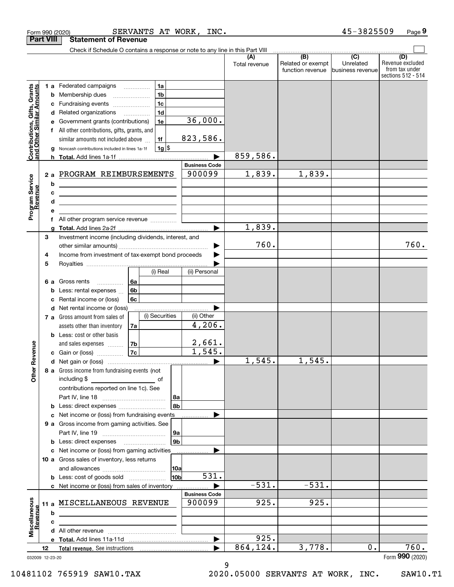|                                                           |                  | SERVANTS AT WORK, INC.<br>Form 990 (2020)                                                                                                                                      |                       |                      |                                                     | 45-3825509                    | Page 9                                                          |
|-----------------------------------------------------------|------------------|--------------------------------------------------------------------------------------------------------------------------------------------------------------------------------|-----------------------|----------------------|-----------------------------------------------------|-------------------------------|-----------------------------------------------------------------|
|                                                           | <b>Part VIII</b> | <b>Statement of Revenue</b>                                                                                                                                                    |                       |                      |                                                     |                               |                                                                 |
|                                                           |                  | Check if Schedule O contains a response or note to any line in this Part VIII                                                                                                  |                       |                      | $\overline{(\mathsf{B})}$ $\overline{(\mathsf{C})}$ |                               |                                                                 |
|                                                           |                  |                                                                                                                                                                                |                       | (A)<br>Total revenue | Related or exempt<br>function revenue               | Unrelated<br>business revenue | (D)<br>Revenue excluded<br>from tax under<br>sections 512 - 514 |
|                                                           |                  | 1a<br>1 a Federated campaigns                                                                                                                                                  |                       |                      |                                                     |                               |                                                                 |
| Contributions, Gifts, Grants<br>and Other Similar Amounts |                  | 1 <sub>b</sub><br><b>b</b> Membership dues<br>$\ldots \ldots \ldots \ldots \ldots$                                                                                             |                       |                      |                                                     |                               |                                                                 |
|                                                           | с                | 1 <sub>c</sub><br>Fundraising events                                                                                                                                           |                       |                      |                                                     |                               |                                                                 |
|                                                           |                  | 1 <sub>d</sub><br>d Related organizations                                                                                                                                      |                       |                      |                                                     |                               |                                                                 |
|                                                           | е                | 1e<br>Government grants (contributions)                                                                                                                                        | 36,000.               |                      |                                                     |                               |                                                                 |
|                                                           |                  | f All other contributions, gifts, grants, and                                                                                                                                  |                       |                      |                                                     |                               |                                                                 |
|                                                           |                  | similar amounts not included above<br>1f                                                                                                                                       | 823,586.              |                      |                                                     |                               |                                                                 |
|                                                           | g                | $1g$ \$<br>Noncash contributions included in lines 1a-1f                                                                                                                       |                       | 859,586.             |                                                     |                               |                                                                 |
|                                                           |                  |                                                                                                                                                                                | <b>Business Code</b>  |                      |                                                     |                               |                                                                 |
|                                                           | 2a               | PROGRAM REIMBURSEMENTS                                                                                                                                                         | 900099                | 1,839.               | 1,839.                                              |                               |                                                                 |
| Program Service<br>Revenue                                | b                |                                                                                                                                                                                |                       |                      |                                                     |                               |                                                                 |
|                                                           | c                | <u> 1989 - Johann Barn, fransk politik (d. 1989)</u><br><u> De Carlos de Carlos de Carlos de Carlos de Carlos de Carlos de Carlos de Carlos de Carlos de Carlos de Carlos </u> |                       |                      |                                                     |                               |                                                                 |
|                                                           | d                | <u> 1989 - Johann Stein, mars an de Frankryk († 1958)</u>                                                                                                                      |                       |                      |                                                     |                               |                                                                 |
|                                                           | е                |                                                                                                                                                                                |                       |                      |                                                     |                               |                                                                 |
|                                                           | f                | All other program service revenue                                                                                                                                              |                       |                      |                                                     |                               |                                                                 |
|                                                           | a                |                                                                                                                                                                                |                       | 1,839.               |                                                     |                               |                                                                 |
|                                                           | 3                | Investment income (including dividends, interest, and                                                                                                                          |                       |                      |                                                     |                               |                                                                 |
|                                                           |                  |                                                                                                                                                                                | ▶                     | 760.                 |                                                     |                               | 760.                                                            |
|                                                           | 4                | Income from investment of tax-exempt bond proceeds                                                                                                                             |                       |                      |                                                     |                               |                                                                 |
|                                                           | 5                |                                                                                                                                                                                |                       |                      |                                                     |                               |                                                                 |
|                                                           |                  | (i) Real                                                                                                                                                                       | (ii) Personal         |                      |                                                     |                               |                                                                 |
|                                                           | 6а               | 6a<br>Gross rents<br>6b                                                                                                                                                        |                       |                      |                                                     |                               |                                                                 |
|                                                           | b<br>c           | Less: rental expenses<br>Rental income or (loss)<br>6c                                                                                                                         |                       |                      |                                                     |                               |                                                                 |
|                                                           |                  | d Net rental income or (loss)                                                                                                                                                  |                       |                      |                                                     |                               |                                                                 |
|                                                           |                  | (i) Securities<br>7 a Gross amount from sales of                                                                                                                               | (ii) Other            |                      |                                                     |                               |                                                                 |
|                                                           |                  | assets other than inventory<br>7a                                                                                                                                              | 4,206.                |                      |                                                     |                               |                                                                 |
|                                                           |                  | <b>b</b> Less: cost or other basis                                                                                                                                             |                       |                      |                                                     |                               |                                                                 |
|                                                           |                  | 7b<br>and sales expenses                                                                                                                                                       | 2,661.                |                      |                                                     |                               |                                                                 |
| evenue                                                    |                  | 7c<br>c Gain or (loss)                                                                                                                                                         | 1,545.                |                      |                                                     |                               |                                                                 |
|                                                           |                  |                                                                                                                                                                                |                       | 1,545.               | 1,545.                                              |                               |                                                                 |
| Other <sub>R</sub>                                        |                  | 8 a Gross income from fundraising events (not                                                                                                                                  |                       |                      |                                                     |                               |                                                                 |
|                                                           |                  | including \$<br><u>____________________________</u> _ of                                                                                                                       |                       |                      |                                                     |                               |                                                                 |
|                                                           |                  | contributions reported on line 1c). See                                                                                                                                        |                       |                      |                                                     |                               |                                                                 |
|                                                           |                  | 8a<br>8b                                                                                                                                                                       |                       |                      |                                                     |                               |                                                                 |
|                                                           |                  | <b>b</b> Less: direct expenses <i>manually contained</i><br>c Net income or (loss) from fundraising events                                                                     |                       |                      |                                                     |                               |                                                                 |
|                                                           |                  | 9 a Gross income from gaming activities. See                                                                                                                                   |                       |                      |                                                     |                               |                                                                 |
|                                                           |                  | 9a                                                                                                                                                                             |                       |                      |                                                     |                               |                                                                 |
|                                                           |                  | 9 <sub>b</sub><br><b>b</b> Less: direct expenses <b>manually</b>                                                                                                               |                       |                      |                                                     |                               |                                                                 |
|                                                           |                  | c Net income or (loss) from gaming activities                                                                                                                                  |                       |                      |                                                     |                               |                                                                 |
|                                                           |                  | 10 a Gross sales of inventory, less returns                                                                                                                                    |                       |                      |                                                     |                               |                                                                 |
|                                                           |                  | 10a                                                                                                                                                                            |                       |                      |                                                     |                               |                                                                 |
|                                                           |                  | 10 <sub>b</sub><br><b>b</b> Less: cost of goods sold                                                                                                                           | 531.                  |                      |                                                     |                               |                                                                 |
|                                                           |                  | c Net income or (loss) from sales of inventory                                                                                                                                 |                       | $-531.$              | $-531.$                                             |                               |                                                                 |
|                                                           |                  |                                                                                                                                                                                | <b>Business Code</b>  |                      |                                                     |                               |                                                                 |
|                                                           |                  | 11 a MISCELLANEOUS REVENUE                                                                                                                                                     | 900099                | 925.                 | 925.                                                |                               |                                                                 |
|                                                           | b                | the control of the control of the control of the control of the control of the control of                                                                                      |                       |                      |                                                     |                               |                                                                 |
| Miscellaneous<br>Revenue                                  | с                |                                                                                                                                                                                |                       |                      |                                                     |                               |                                                                 |
|                                                           |                  |                                                                                                                                                                                | $\blacktriangleright$ | 925.                 |                                                     |                               |                                                                 |
|                                                           | 12               |                                                                                                                                                                                |                       | 864,124.             | 3,778.                                              | 0.                            | 760.                                                            |
|                                                           | 032009 12-23-20  |                                                                                                                                                                                |                       |                      |                                                     |                               | Form 990 (2020)                                                 |
|                                                           |                  |                                                                                                                                                                                |                       |                      |                                                     |                               |                                                                 |

9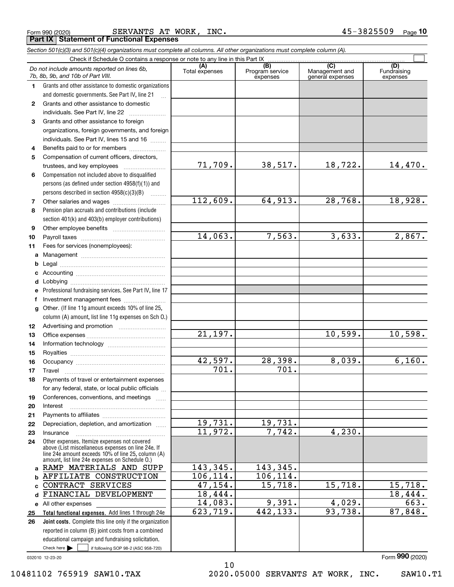|  | Form 990 (2020) |
|--|-----------------|
|  |                 |

Form 990 (2020) Page SERVANTS AT WORK, INC. 45-3825509 **Part IX Statement of Functional Expenses**

*Section 501(c)(3) and 501(c)(4) organizations must complete all columns. All other organizations must complete column (A).*

|              | Do not include amounts reported on lines 6b,<br>7b, 8b, 9b, and 10b of Part VIII.                                                                        | (A)<br>Total expenses | (B)<br>Program service<br>expenses | $\overline{(C)}$<br>Management and<br>general expenses | (D)<br>Fundraising<br>expenses |
|--------------|----------------------------------------------------------------------------------------------------------------------------------------------------------|-----------------------|------------------------------------|--------------------------------------------------------|--------------------------------|
| 1            | Grants and other assistance to domestic organizations                                                                                                    |                       |                                    |                                                        |                                |
|              | and domestic governments. See Part IV, line 21                                                                                                           |                       |                                    |                                                        |                                |
| $\mathbf{2}$ | Grants and other assistance to domestic                                                                                                                  |                       |                                    |                                                        |                                |
|              | individuals. See Part IV, line 22                                                                                                                        |                       |                                    |                                                        |                                |
| 3            | Grants and other assistance to foreign                                                                                                                   |                       |                                    |                                                        |                                |
|              | organizations, foreign governments, and foreign                                                                                                          |                       |                                    |                                                        |                                |
|              | individuals. See Part IV, lines 15 and 16                                                                                                                |                       |                                    |                                                        |                                |
| 4            | Benefits paid to or for members                                                                                                                          |                       |                                    |                                                        |                                |
| 5            | Compensation of current officers, directors,                                                                                                             |                       |                                    |                                                        |                                |
|              | trustees, and key employees                                                                                                                              | 71,709.               | 38,517.                            | 18,722.                                                | 14,470.                        |
| 6            | Compensation not included above to disqualified                                                                                                          |                       |                                    |                                                        |                                |
|              | persons (as defined under section 4958(f)(1)) and                                                                                                        |                       |                                    |                                                        |                                |
|              | persons described in section 4958(c)(3)(B)                                                                                                               |                       |                                    |                                                        |                                |
| 7            |                                                                                                                                                          | 112,609.              | 64,913.                            | 28,768.                                                | 18,928.                        |
| 8            | Pension plan accruals and contributions (include                                                                                                         |                       |                                    |                                                        |                                |
|              | section 401(k) and 403(b) employer contributions)                                                                                                        |                       |                                    |                                                        |                                |
| 9            |                                                                                                                                                          |                       |                                    |                                                        |                                |
| 10           |                                                                                                                                                          | 14,063.               | 7,563.                             | 3,633.                                                 | 2,867.                         |
| 11           | Fees for services (nonemployees):                                                                                                                        |                       |                                    |                                                        |                                |
| a            |                                                                                                                                                          |                       |                                    |                                                        |                                |
| b            |                                                                                                                                                          |                       |                                    |                                                        |                                |
| c            |                                                                                                                                                          |                       |                                    |                                                        |                                |
| d            |                                                                                                                                                          |                       |                                    |                                                        |                                |
| е            | Professional fundraising services. See Part IV, line 17                                                                                                  |                       |                                    |                                                        |                                |
| f            | Investment management fees                                                                                                                               |                       |                                    |                                                        |                                |
| g            | Other. (If line 11g amount exceeds 10% of line 25,                                                                                                       |                       |                                    |                                                        |                                |
|              | column (A) amount, list line 11g expenses on Sch 0.)                                                                                                     |                       |                                    |                                                        |                                |
| 12           |                                                                                                                                                          |                       |                                    |                                                        |                                |
| 13           |                                                                                                                                                          | $\overline{21,197}$ . |                                    | 10,599.                                                | 10,598.                        |
| 14           |                                                                                                                                                          |                       |                                    |                                                        |                                |
| 15           |                                                                                                                                                          |                       |                                    |                                                        |                                |
| 16           |                                                                                                                                                          | 42,597.               | 28,398.                            | 8,039.                                                 | 6,160.                         |
| 17           | Travel                                                                                                                                                   | 701.                  | 701.                               |                                                        |                                |
| 18           | Payments of travel or entertainment expenses                                                                                                             |                       |                                    |                                                        |                                |
|              | for any federal, state, or local public officials                                                                                                        |                       |                                    |                                                        |                                |
| 19           | Conferences, conventions, and meetings                                                                                                                   |                       |                                    |                                                        |                                |
| 20           | Interest                                                                                                                                                 |                       |                                    |                                                        |                                |
| 21           |                                                                                                                                                          | 19,731.               | 19,731.                            |                                                        |                                |
| 22           | Depreciation, depletion, and amortization                                                                                                                | 11,972.               | 7,742.                             | 4,230.                                                 |                                |
| 23           | Insurance                                                                                                                                                |                       |                                    |                                                        |                                |
| 24           | Other expenses. Itemize expenses not covered<br>above (List miscellaneous expenses on line 24e. If<br>line 24e amount exceeds 10% of line 25, column (A) |                       |                                    |                                                        |                                |
|              | amount, list line 24e expenses on Schedule O.)<br>RAMP MATERIALS AND SUPP                                                                                | 143,345.              | 143,345.                           |                                                        |                                |
| a            | AFFILIATE CONSTRUCTION                                                                                                                                   | 106, 114.             | 106, 114.                          |                                                        |                                |
| b            | CONTRACT SERVICES                                                                                                                                        | 47, 154.              | 15,718.                            | 15,718.                                                | 15,718.                        |
| c<br>d       | FINANCIAL DEVELOPMENT                                                                                                                                    | 18,444.               |                                    |                                                        | 18,444.                        |
|              |                                                                                                                                                          | 14,083.               | 9,391.                             | 4,029.                                                 | 663.                           |
|              | e All other expenses<br>Total functional expenses. Add lines 1 through 24e                                                                               | 623, 719.             | 442, 133.                          | 93,738.                                                | 87,848.                        |
| 25<br>26     | Joint costs. Complete this line only if the organization                                                                                                 |                       |                                    |                                                        |                                |
|              | reported in column (B) joint costs from a combined                                                                                                       |                       |                                    |                                                        |                                |
|              | educational campaign and fundraising solicitation.                                                                                                       |                       |                                    |                                                        |                                |
|              | Check here $\blacktriangleright$<br>if following SOP 98-2 (ASC 958-720)                                                                                  |                       |                                    |                                                        |                                |

10

032010 12-23-20

10481102 765919 SAW10.TAX 2020.05000 SERVANTS AT WORK, INC. SAW10.T1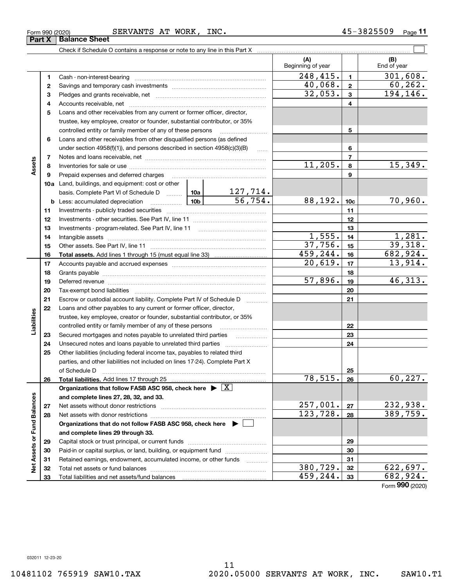**Part X Balance Sheet** 

**11**

|                             |    |                                                                                                                 |                 |                       | (A)<br>Beginning of year |                 | (B)<br>End of year |
|-----------------------------|----|-----------------------------------------------------------------------------------------------------------------|-----------------|-----------------------|--------------------------|-----------------|--------------------|
|                             | 1  |                                                                                                                 |                 |                       | 248,415.                 | $\mathbf{1}$    | 301,608.           |
|                             | 2  |                                                                                                                 |                 |                       | 40,068.                  | $\mathbf 2$     | 60, 262.           |
|                             | 3  |                                                                                                                 |                 |                       | 32,053.                  | 3               | 194,146.           |
|                             | 4  |                                                                                                                 |                 |                       |                          | 4               |                    |
|                             | 5  | Loans and other receivables from any current or former officer, director,                                       |                 |                       |                          |                 |                    |
|                             |    | trustee, key employee, creator or founder, substantial contributor, or 35%                                      |                 |                       |                          |                 |                    |
|                             |    | controlled entity or family member of any of these persons                                                      |                 |                       |                          | 5               |                    |
|                             | 6  | Loans and other receivables from other disqualified persons (as defined                                         |                 |                       |                          |                 |                    |
|                             |    | under section 4958(f)(1)), and persons described in section 4958(c)(3)(B)                                       |                 | 1.1.1.1               |                          | 6               |                    |
|                             | 7  |                                                                                                                 |                 |                       |                          | $\overline{7}$  |                    |
| Assets                      | 8  |                                                                                                                 |                 |                       | 11, 205.                 | 8               | 15,349.            |
|                             | 9  | Prepaid expenses and deferred charges                                                                           |                 |                       |                          | 9               |                    |
|                             |    | <b>10a</b> Land, buildings, and equipment: cost or other                                                        |                 |                       |                          |                 |                    |
|                             |    | basis. Complete Part VI of Schedule D  10a                                                                      |                 | <u> 127,714.</u>      |                          |                 |                    |
|                             |    | <b>b</b> Less: accumulated depreciation<br>. 1                                                                  | 10 <sub>b</sub> | $\frac{1}{56}$ , 754. | 88,192.                  | 10 <sub>c</sub> | 70,960.            |
|                             | 11 |                                                                                                                 |                 | 11                    |                          |                 |                    |
|                             | 12 |                                                                                                                 |                 | 12                    |                          |                 |                    |
|                             | 13 |                                                                                                                 |                 | 13                    |                          |                 |                    |
|                             | 14 |                                                                                                                 |                 | 1,555.                | 14                       | 1,281.          |                    |
|                             | 15 |                                                                                                                 |                 |                       | 37,756.                  | 15              | 39,318.            |
|                             | 16 |                                                                                                                 |                 |                       | 459,244.                 | 16              | 682,924.           |
|                             | 17 |                                                                                                                 |                 | 20,619.               | 17                       | 13,914.         |                    |
|                             | 18 |                                                                                                                 |                 | 18                    |                          |                 |                    |
|                             | 19 | Deferred revenue manual contracts and contracts are all the manual contracts and contracts are the contracts of |                 | $\overline{57,896}$ . | 19                       | 46,313.         |                    |
|                             | 20 |                                                                                                                 |                 |                       | 20                       |                 |                    |
|                             | 21 | Escrow or custodial account liability. Complete Part IV of Schedule D                                           |                 |                       |                          | 21              |                    |
|                             | 22 | Loans and other payables to any current or former officer, director,                                            |                 |                       |                          |                 |                    |
| Liabilities                 |    | trustee, key employee, creator or founder, substantial contributor, or 35%                                      |                 |                       |                          |                 |                    |
|                             |    | controlled entity or family member of any of these persons                                                      |                 |                       |                          | 22              |                    |
|                             | 23 | Secured mortgages and notes payable to unrelated third parties                                                  |                 | .                     |                          | 23              |                    |
|                             | 24 |                                                                                                                 |                 |                       |                          | 24              |                    |
|                             | 25 | Other liabilities (including federal income tax, payables to related third                                      |                 |                       |                          |                 |                    |
|                             |    | parties, and other liabilities not included on lines 17-24). Complete Part X                                    |                 |                       |                          |                 |                    |
|                             |    | of Schedule D                                                                                                   |                 |                       |                          | 25              |                    |
|                             | 26 | Total liabilities. Add lines 17 through 25                                                                      |                 |                       | 78,515.                  | 26              | 60, 227.           |
|                             |    | Organizations that follow FASB ASC 958, check here $\blacktriangleright \boxed{X}$                              |                 |                       |                          |                 |                    |
|                             |    | and complete lines 27, 28, 32, and 33.                                                                          |                 |                       |                          |                 |                    |
|                             | 27 |                                                                                                                 |                 |                       | 257,001.                 | 27              | 232,938.           |
|                             | 28 |                                                                                                                 |                 | 123, 728.             | 28                       | 389,759.        |                    |
|                             |    | Organizations that do not follow FASB ASC 958, check here ▶ [                                                   |                 |                       |                          |                 |                    |
|                             |    | and complete lines 29 through 33.                                                                               |                 |                       |                          |                 |                    |
|                             | 29 |                                                                                                                 |                 |                       |                          | 29              |                    |
| Net Assets or Fund Balances | 30 | Paid-in or capital surplus, or land, building, or equipment fund                                                |                 |                       |                          | 30              |                    |
|                             | 31 | Retained earnings, endowment, accumulated income, or other funds                                                |                 | .                     |                          | 31              |                    |
|                             | 32 |                                                                                                                 |                 |                       | 380,729.                 | 32              | 622,697.           |
|                             | 33 |                                                                                                                 |                 |                       | 459,244.                 | 33              | 682,924.           |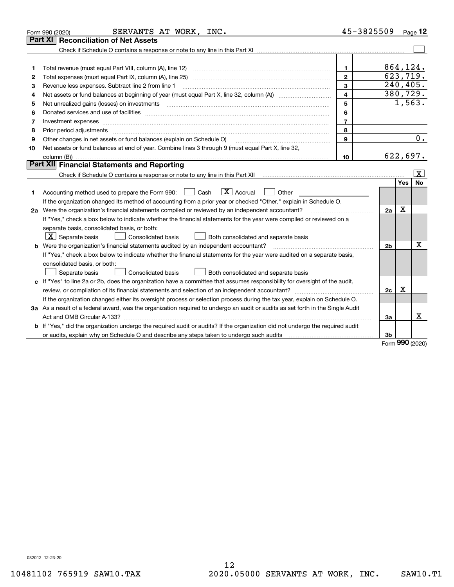|    | SERVANTS AT WORK, INC.<br>Form 990 (2020)                                                                                                                                                                                      | 45-3825509     |                |     | $P_{\text{aqe}}$ 12   |
|----|--------------------------------------------------------------------------------------------------------------------------------------------------------------------------------------------------------------------------------|----------------|----------------|-----|-----------------------|
|    | <b>Part XI   Reconciliation of Net Assets</b>                                                                                                                                                                                  |                |                |     |                       |
|    |                                                                                                                                                                                                                                |                |                |     |                       |
|    |                                                                                                                                                                                                                                |                |                |     |                       |
| 1  | Total revenue (must equal Part VIII, column (A), line 12)                                                                                                                                                                      | $\mathbf{1}$   | 864,124.       |     |                       |
| 2  |                                                                                                                                                                                                                                | $\mathbf{2}$   | 623,719.       |     |                       |
| з  | Revenue less expenses. Subtract line 2 from line 1                                                                                                                                                                             | 3              |                |     | 240,405.              |
| 4  |                                                                                                                                                                                                                                | 4              |                |     | 380,729.              |
| 5  |                                                                                                                                                                                                                                | 5              |                |     | $\overline{1}$ , 563. |
| 6  | Donated services and use of facilities [111] matter contracts and the service of facilities [11] matter contracts and use of facilities [11] matter contracts and the service of facilities [11] matter contracts and the serv | 6              |                |     |                       |
| 7  | Investment expenses www.communication.com/www.communication.com/www.communication.com/www.com                                                                                                                                  | $\overline{7}$ |                |     |                       |
| 8  | Prior period adjustments                                                                                                                                                                                                       | 8              |                |     |                       |
| 9  | Other changes in net assets or fund balances (explain on Schedule O)                                                                                                                                                           | 9              |                |     | 0.                    |
| 10 | Net assets or fund balances at end of year. Combine lines 3 through 9 (must equal Part X, line 32,                                                                                                                             |                |                |     |                       |
|    | column (B))                                                                                                                                                                                                                    | 10             |                |     | 622,697.              |
|    | Part XII Financial Statements and Reporting                                                                                                                                                                                    |                |                |     |                       |
|    |                                                                                                                                                                                                                                |                |                |     | x                     |
|    |                                                                                                                                                                                                                                |                |                | Yes | <b>No</b>             |
| 1  | $ X $ Accrual<br>Accounting method used to prepare the Form 990: <u>I</u> Cash<br>Other                                                                                                                                        |                |                |     |                       |
|    | If the organization changed its method of accounting from a prior year or checked "Other," explain in Schedule O.                                                                                                              |                |                |     |                       |
|    | 2a Were the organization's financial statements compiled or reviewed by an independent accountant?                                                                                                                             |                | 2a             | X   |                       |
|    | If "Yes," check a box below to indicate whether the financial statements for the year were compiled or reviewed on a                                                                                                           |                |                |     |                       |
|    | separate basis, consolidated basis, or both:                                                                                                                                                                                   |                |                |     |                       |
|    | $\boxed{\textbf{X}}$ Separate basis<br>Consolidated basis<br>Both consolidated and separate basis                                                                                                                              |                |                |     |                       |
|    | <b>b</b> Were the organization's financial statements audited by an independent accountant?                                                                                                                                    |                | 2 <sub>b</sub> |     | x                     |
|    | If "Yes," check a box below to indicate whether the financial statements for the year were audited on a separate basis,                                                                                                        |                |                |     |                       |
|    | consolidated basis, or both:                                                                                                                                                                                                   |                |                |     |                       |
|    | Separate basis<br>Consolidated basis<br>Both consolidated and separate basis                                                                                                                                                   |                |                |     |                       |
| c  | If "Yes" to line 2a or 2b, does the organization have a committee that assumes responsibility for oversight of the audit,                                                                                                      |                |                |     |                       |
|    | review, or compilation of its financial statements and selection of an independent accountant?                                                                                                                                 |                | 2c             | х   |                       |
|    | If the organization changed either its oversight process or selection process during the tax year, explain on Schedule O.                                                                                                      |                |                |     |                       |
|    | 3a As a result of a federal award, was the organization required to undergo an audit or audits as set forth in the Single Audit                                                                                                |                |                |     |                       |
|    |                                                                                                                                                                                                                                |                | 3a             |     | X                     |
|    | b If "Yes," did the organization undergo the required audit or audits? If the organization did not undergo the required audit                                                                                                  |                |                |     |                       |
|    | or audits, explain why on Schedule O and describe any steps taken to undergo such audits                                                                                                                                       |                | 3b             | מהה |                       |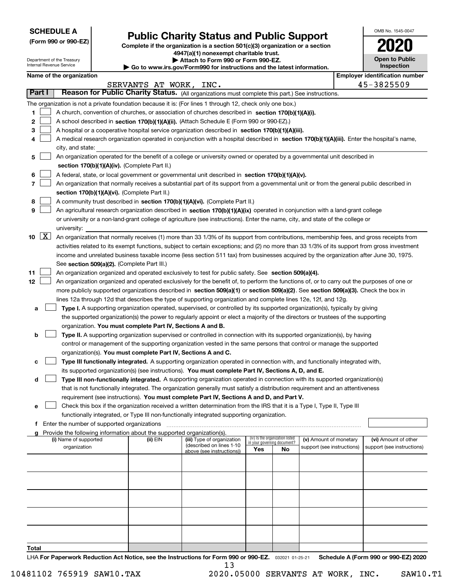| <b>SCHEDULE A</b> |
|-------------------|
|-------------------|

Department of the Treasury Internal Revenue Service

|  |  |  | (Form 990 or 990-EZ) |
|--|--|--|----------------------|
|--|--|--|----------------------|

## **Public Charity Status and Public Support**

**Complete if the organization is a section 501(c)(3) organization or a section 4947(a)(1) nonexempt charitable trust.**

| Attach to Form 990 or Form 990-EZ. |  |  |  |  |
|------------------------------------|--|--|--|--|
|                                    |  |  |  |  |

**| Go to www.irs.gov/Form990 for instructions and the latest information.**

| OMB No. 1545-0047                   |
|-------------------------------------|
| 2020                                |
| <b>Open to Public</b><br>Inspection |

| Name of the organization |  |
|--------------------------|--|
|--------------------------|--|

| Name of the organization<br><b>Employer identification number</b>                                                                                                                           |                            |                            |  |  |  |  |  |  |
|---------------------------------------------------------------------------------------------------------------------------------------------------------------------------------------------|----------------------------|----------------------------|--|--|--|--|--|--|
| SERVANTS AT WORK,<br>INC.                                                                                                                                                                   |                            | 45-3825509                 |  |  |  |  |  |  |
| Part I<br>Reason for Public Charity Status. (All organizations must complete this part.) See instructions.                                                                                  |                            |                            |  |  |  |  |  |  |
| The organization is not a private foundation because it is: (For lines 1 through 12, check only one box.)                                                                                   |                            |                            |  |  |  |  |  |  |
| 1<br>A church, convention of churches, or association of churches described in section 170(b)(1)(A)(i).                                                                                     |                            |                            |  |  |  |  |  |  |
| 2<br>A school described in section 170(b)(1)(A)(ii). (Attach Schedule E (Form 990 or 990-EZ).)                                                                                              |                            |                            |  |  |  |  |  |  |
| 3<br>A hospital or a cooperative hospital service organization described in section $170(b)(1)(A)(iii)$ .                                                                                   |                            |                            |  |  |  |  |  |  |
| A medical research organization operated in conjunction with a hospital described in section 170(b)(1)(A)(iii). Enter the hospital's name,<br>4                                             |                            |                            |  |  |  |  |  |  |
| city, and state:                                                                                                                                                                            |                            |                            |  |  |  |  |  |  |
| An organization operated for the benefit of a college or university owned or operated by a governmental unit described in<br>5                                                              |                            |                            |  |  |  |  |  |  |
| section 170(b)(1)(A)(iv). (Complete Part II.)                                                                                                                                               |                            |                            |  |  |  |  |  |  |
| A federal, state, or local government or governmental unit described in section 170(b)(1)(A)(v).<br>6                                                                                       |                            |                            |  |  |  |  |  |  |
| 7<br>An organization that normally receives a substantial part of its support from a governmental unit or from the general public described in                                              |                            |                            |  |  |  |  |  |  |
| section 170(b)(1)(A)(vi). (Complete Part II.)                                                                                                                                               |                            |                            |  |  |  |  |  |  |
| A community trust described in section 170(b)(1)(A)(vi). (Complete Part II.)<br>8                                                                                                           |                            |                            |  |  |  |  |  |  |
| 9<br>An agricultural research organization described in section 170(b)(1)(A)(ix) operated in conjunction with a land-grant college                                                          |                            |                            |  |  |  |  |  |  |
| or university or a non-land-grant college of agriculture (see instructions). Enter the name, city, and state of the college or                                                              |                            |                            |  |  |  |  |  |  |
| university:                                                                                                                                                                                 |                            |                            |  |  |  |  |  |  |
| $\lfloor x \rfloor$<br>10<br>An organization that normally receives (1) more than 33 1/3% of its support from contributions, membership fees, and gross receipts from                       |                            |                            |  |  |  |  |  |  |
| activities related to its exempt functions, subject to certain exceptions; and (2) no more than 33 1/3% of its support from gross investment                                                |                            |                            |  |  |  |  |  |  |
| income and unrelated business taxable income (less section 511 tax) from businesses acquired by the organization after June 30, 1975.                                                       |                            |                            |  |  |  |  |  |  |
| See section 509(a)(2). (Complete Part III.)                                                                                                                                                 |                            |                            |  |  |  |  |  |  |
| 11<br>An organization organized and operated exclusively to test for public safety. See section 509(a)(4).                                                                                  |                            |                            |  |  |  |  |  |  |
| 12<br>An organization organized and operated exclusively for the benefit of, to perform the functions of, or to carry out the purposes of one or                                            |                            |                            |  |  |  |  |  |  |
| more publicly supported organizations described in section 509(a)(1) or section 509(a)(2). See section 509(a)(3). Check the box in                                                          |                            |                            |  |  |  |  |  |  |
| lines 12a through 12d that describes the type of supporting organization and complete lines 12e, 12f, and 12g.                                                                              |                            |                            |  |  |  |  |  |  |
| Type I. A supporting organization operated, supervised, or controlled by its supported organization(s), typically by giving<br>а                                                            |                            |                            |  |  |  |  |  |  |
| the supported organization(s) the power to regularly appoint or elect a majority of the directors or trustees of the supporting                                                             |                            |                            |  |  |  |  |  |  |
| organization. You must complete Part IV, Sections A and B.                                                                                                                                  |                            |                            |  |  |  |  |  |  |
| <b>Type II.</b> A supporting organization supervised or controlled in connection with its supported organization(s), by having<br>b                                                         |                            |                            |  |  |  |  |  |  |
| control or management of the supporting organization vested in the same persons that control or manage the supported                                                                        |                            |                            |  |  |  |  |  |  |
| organization(s). You must complete Part IV, Sections A and C.<br>Type III functionally integrated. A supporting organization operated in connection with, and functionally integrated with, |                            |                            |  |  |  |  |  |  |
| с<br>its supported organization(s) (see instructions). You must complete Part IV, Sections A, D, and E.                                                                                     |                            |                            |  |  |  |  |  |  |
| Type III non-functionally integrated. A supporting organization operated in connection with its supported organization(s)<br>d                                                              |                            |                            |  |  |  |  |  |  |
| that is not functionally integrated. The organization generally must satisfy a distribution requirement and an attentiveness                                                                |                            |                            |  |  |  |  |  |  |
| requirement (see instructions). You must complete Part IV, Sections A and D, and Part V.                                                                                                    |                            |                            |  |  |  |  |  |  |
| Check this box if the organization received a written determination from the IRS that it is a Type I, Type II, Type III                                                                     |                            |                            |  |  |  |  |  |  |
| functionally integrated, or Type III non-functionally integrated supporting organization.                                                                                                   |                            |                            |  |  |  |  |  |  |
| Enter the number of supported organizations<br>f                                                                                                                                            |                            |                            |  |  |  |  |  |  |
| g Provide the following information about the supported organization(s).                                                                                                                    |                            |                            |  |  |  |  |  |  |
| (iv) Is the organization listed<br>(i) Name of supported<br>(ii) EIN<br>(iii) Type of organization<br>in your governing document?                                                           | (v) Amount of monetary     | (vi) Amount of other       |  |  |  |  |  |  |
| (described on lines 1-10<br>organization<br>Yes<br>No<br>above (see instructions))                                                                                                          | support (see instructions) | support (see instructions) |  |  |  |  |  |  |
|                                                                                                                                                                                             |                            |                            |  |  |  |  |  |  |
|                                                                                                                                                                                             |                            |                            |  |  |  |  |  |  |
|                                                                                                                                                                                             |                            |                            |  |  |  |  |  |  |
|                                                                                                                                                                                             |                            |                            |  |  |  |  |  |  |
|                                                                                                                                                                                             |                            |                            |  |  |  |  |  |  |
|                                                                                                                                                                                             |                            |                            |  |  |  |  |  |  |
|                                                                                                                                                                                             |                            |                            |  |  |  |  |  |  |
|                                                                                                                                                                                             |                            |                            |  |  |  |  |  |  |
|                                                                                                                                                                                             |                            |                            |  |  |  |  |  |  |
|                                                                                                                                                                                             |                            |                            |  |  |  |  |  |  |
| Total                                                                                                                                                                                       |                            |                            |  |  |  |  |  |  |

LHA For Paperwork Reduction Act Notice, see the Instructions for Form 990 or 990-EZ. <sub>032021</sub> o1-25-21 Schedule A (Form 990 or 990-EZ) 2020 13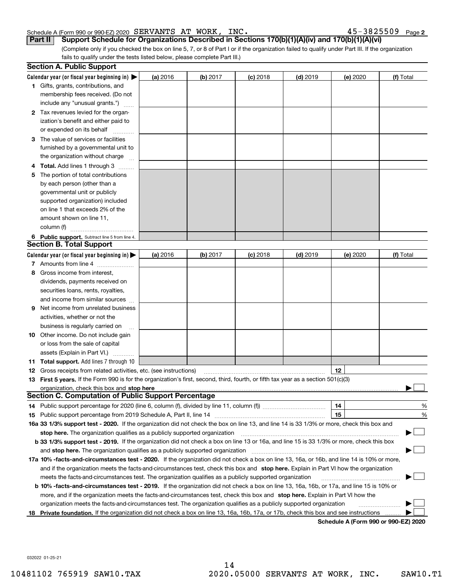#### Schedule A (Form 990 or 990-EZ) 2020 SERVANTS AT WORK, INC。 4 5~3 8 2 5 5 Uソ Page SERVANTS AT WORK, INC. 45-3825509

 $45 - 3825509$  Page 2

(Complete only if you checked the box on line 5, 7, or 8 of Part I or if the organization failed to qualify under Part III. If the organization fails to qualify under the tests listed below, please complete Part III.) **Part II Support Schedule for Organizations Described in Sections 170(b)(1)(A)(iv) and 170(b)(1)(A)(vi)**

|     | <b>Section A. Public Support</b>                                                                                                               |          |            |            |            |          |                                      |
|-----|------------------------------------------------------------------------------------------------------------------------------------------------|----------|------------|------------|------------|----------|--------------------------------------|
|     | Calendar year (or fiscal year beginning in) $\blacktriangleright$                                                                              | (a) 2016 | $(b)$ 2017 | $(c)$ 2018 | $(d)$ 2019 | (e) 2020 | (f) Total                            |
|     | 1 Gifts, grants, contributions, and                                                                                                            |          |            |            |            |          |                                      |
|     | membership fees received. (Do not                                                                                                              |          |            |            |            |          |                                      |
|     | include any "unusual grants.")                                                                                                                 |          |            |            |            |          |                                      |
|     | 2 Tax revenues levied for the organ-                                                                                                           |          |            |            |            |          |                                      |
|     | ization's benefit and either paid to                                                                                                           |          |            |            |            |          |                                      |
|     | or expended on its behalf                                                                                                                      |          |            |            |            |          |                                      |
|     | 3 The value of services or facilities                                                                                                          |          |            |            |            |          |                                      |
|     | furnished by a governmental unit to                                                                                                            |          |            |            |            |          |                                      |
|     | the organization without charge                                                                                                                |          |            |            |            |          |                                      |
|     | 4 Total. Add lines 1 through 3                                                                                                                 |          |            |            |            |          |                                      |
| 5.  | The portion of total contributions                                                                                                             |          |            |            |            |          |                                      |
|     | by each person (other than a                                                                                                                   |          |            |            |            |          |                                      |
|     | governmental unit or publicly                                                                                                                  |          |            |            |            |          |                                      |
|     | supported organization) included                                                                                                               |          |            |            |            |          |                                      |
|     | on line 1 that exceeds 2% of the                                                                                                               |          |            |            |            |          |                                      |
|     | amount shown on line 11,                                                                                                                       |          |            |            |            |          |                                      |
|     | column (f)                                                                                                                                     |          |            |            |            |          |                                      |
|     | 6 Public support. Subtract line 5 from line 4.                                                                                                 |          |            |            |            |          |                                      |
|     | <b>Section B. Total Support</b>                                                                                                                |          |            |            |            |          |                                      |
|     | Calendar year (or fiscal year beginning in) $\blacktriangleright$                                                                              | (a) 2016 | $(b)$ 2017 | $(c)$ 2018 | $(d)$ 2019 | (e) 2020 | (f) Total                            |
|     | 7 Amounts from line 4                                                                                                                          |          |            |            |            |          |                                      |
|     | 8 Gross income from interest,                                                                                                                  |          |            |            |            |          |                                      |
|     | dividends, payments received on                                                                                                                |          |            |            |            |          |                                      |
|     | securities loans, rents, royalties,                                                                                                            |          |            |            |            |          |                                      |
|     | and income from similar sources                                                                                                                |          |            |            |            |          |                                      |
|     | <b>9</b> Net income from unrelated business                                                                                                    |          |            |            |            |          |                                      |
|     | activities, whether or not the                                                                                                                 |          |            |            |            |          |                                      |
|     | business is regularly carried on                                                                                                               |          |            |            |            |          |                                      |
|     | <b>10</b> Other income. Do not include gain                                                                                                    |          |            |            |            |          |                                      |
|     | or loss from the sale of capital                                                                                                               |          |            |            |            |          |                                      |
|     | assets (Explain in Part VI.)                                                                                                                   |          |            |            |            |          |                                      |
|     | <b>11 Total support.</b> Add lines 7 through 10                                                                                                |          |            |            |            |          |                                      |
|     | <b>12</b> Gross receipts from related activities, etc. (see instructions)                                                                      |          |            |            |            | 12       |                                      |
|     | 13 First 5 years. If the Form 990 is for the organization's first, second, third, fourth, or fifth tax year as a section 501(c)(3)             |          |            |            |            |          |                                      |
|     |                                                                                                                                                |          |            |            |            |          |                                      |
|     | <b>Section C. Computation of Public Support Percentage</b>                                                                                     |          |            |            |            |          |                                      |
|     | 14 Public support percentage for 2020 (line 6, column (f), divided by line 11, column (f) <i>mummumumum</i>                                    |          |            |            |            | 14       | %                                    |
|     |                                                                                                                                                |          |            |            |            | 15       | %                                    |
|     | 16a 33 1/3% support test - 2020. If the organization did not check the box on line 13, and line 14 is 33 1/3% or more, check this box and      |          |            |            |            |          |                                      |
|     | stop here. The organization qualifies as a publicly supported organization                                                                     |          |            |            |            |          |                                      |
|     | b 33 1/3% support test - 2019. If the organization did not check a box on line 13 or 16a, and line 15 is 33 1/3% or more, check this box       |          |            |            |            |          |                                      |
|     | and stop here. The organization qualifies as a publicly supported organization                                                                 |          |            |            |            |          |                                      |
|     | 17a 10% -facts-and-circumstances test - 2020. If the organization did not check a box on line 13, 16a, or 16b, and line 14 is 10% or more,     |          |            |            |            |          |                                      |
|     | and if the organization meets the facts-and-circumstances test, check this box and stop here. Explain in Part VI how the organization          |          |            |            |            |          |                                      |
|     | meets the facts-and-circumstances test. The organization qualifies as a publicly supported organization                                        |          |            |            |            |          |                                      |
|     | <b>b 10% -facts-and-circumstances test - 2019.</b> If the organization did not check a box on line 13, 16a, 16b, or 17a, and line 15 is 10% or |          |            |            |            |          |                                      |
|     | more, and if the organization meets the facts-and-circumstances test, check this box and stop here. Explain in Part VI how the                 |          |            |            |            |          |                                      |
|     | organization meets the facts-and-circumstances test. The organization qualifies as a publicly supported organization                           |          |            |            |            |          |                                      |
| 18. | Private foundation. If the organization did not check a box on line 13, 16a, 16b, 17a, or 17b, check this box and see instructions             |          |            |            |            |          | Schedule A (Form 990 or 990-F7) 2020 |

**Schedule A (Form 990 or 990-EZ) 2020**

032022 01-25-21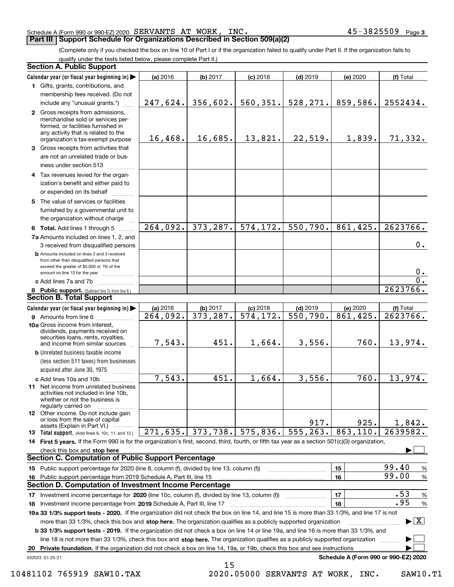#### Schedule A (Form 990 or 990-EZ) 2020 Page SERVANTS AT WORK, INC. 45-3825509

### **Part III Support Schedule for Organizations Described in Section 509(a)(2)**

(Complete only if you checked the box on line 10 of Part I or if the organization failed to qualify under Part II. If the organization fails to qualify under the tests listed below, please complete Part II.)

|    | <b>Section A. Public Support</b>                                                                                                                                                                                                                          |          |           |            |            |                                      |                                          |
|----|-----------------------------------------------------------------------------------------------------------------------------------------------------------------------------------------------------------------------------------------------------------|----------|-----------|------------|------------|--------------------------------------|------------------------------------------|
|    | Calendar year (or fiscal year beginning in)                                                                                                                                                                                                               | (a) 2016 | (b) 2017  | $(c)$ 2018 | $(d)$ 2019 | (e) 2020                             | (f) Total                                |
|    | 1 Gifts, grants, contributions, and                                                                                                                                                                                                                       |          |           |            |            |                                      |                                          |
|    | membership fees received. (Do not                                                                                                                                                                                                                         |          |           |            |            |                                      |                                          |
|    | include any "unusual grants.")                                                                                                                                                                                                                            | 247,624. | 356,602.  | 560, 351.  | 528, 271.  | 859,586.                             | 2552434.                                 |
|    | 2 Gross receipts from admissions,<br>merchandise sold or services per-<br>formed, or facilities furnished in<br>any activity that is related to the<br>organization's tax-exempt purpose                                                                  | 16,468.  | 16,685.   | 13,821.    | 22,519.    | 1,839.                               | 71,332.                                  |
|    | 3 Gross receipts from activities that<br>are not an unrelated trade or bus-<br>iness under section 513                                                                                                                                                    |          |           |            |            |                                      |                                          |
|    | 4 Tax revenues levied for the organ-<br>ization's benefit and either paid to                                                                                                                                                                              |          |           |            |            |                                      |                                          |
|    | or expended on its behalf<br>5 The value of services or facilities<br>furnished by a governmental unit to                                                                                                                                                 |          |           |            |            |                                      |                                          |
|    | the organization without charge                                                                                                                                                                                                                           | 264,092. | 373,287.  | 574,172.   | 550,790.   | 861,425.                             | 2623766.                                 |
|    | 6 Total. Add lines 1 through 5<br>7a Amounts included on lines 1, 2, and<br>3 received from disqualified persons                                                                                                                                          |          |           |            |            |                                      | 0.                                       |
|    | <b>b</b> Amounts included on lines 2 and 3 received<br>from other than disqualified persons that<br>exceed the greater of \$5,000 or 1% of the<br>amount on line 13 for the year                                                                          |          |           |            |            |                                      | $0$ .                                    |
|    | c Add lines 7a and 7b                                                                                                                                                                                                                                     |          |           |            |            |                                      | $\overline{0}$ .                         |
|    | 8 Public support. (Subtract line 7c from line 6.)<br><b>Section B. Total Support</b>                                                                                                                                                                      |          |           |            |            |                                      | 2623766.                                 |
|    | Calendar year (or fiscal year beginning in)                                                                                                                                                                                                               | (a) 2016 | (b) 2017  | $(c)$ 2018 | $(d)$ 2019 | (e) 2020                             | (f) Total                                |
|    | 9 Amounts from line 6                                                                                                                                                                                                                                     | 264,092. | 373, 287. | 574, 172.  | 550,790.   | 861,425.                             | 2623766.                                 |
|    | 10a Gross income from interest,<br>dividends, payments received on<br>securities loans, rents, royalties,<br>and income from similar sources                                                                                                              | 7,543.   | 451.      | 1,664.     | 3,556.     | 760.                                 | 13,974.                                  |
|    | <b>b</b> Unrelated business taxable income<br>(less section 511 taxes) from businesses<br>acquired after June 30, 1975                                                                                                                                    |          |           |            |            |                                      |                                          |
|    | c Add lines 10a and 10b                                                                                                                                                                                                                                   | 7,543.   | 451.      | 1,664.     | 3,556.     | $\overline{760}$ .                   | 13,974.                                  |
|    | 11 Net income from unrelated business<br>activities not included in line 10b,<br>whether or not the business is<br>regularly carried on                                                                                                                   |          |           |            |            |                                      |                                          |
|    | <b>12</b> Other income. Do not include gain<br>or loss from the sale of capital<br>assets (Explain in Part VI.)                                                                                                                                           |          |           |            | 917.       | 925.                                 | 1,842.                                   |
|    | <b>13</b> Total support. (Add lines 9, 10c, 11, and 12.)                                                                                                                                                                                                  | 271,635. | 373,738.  | 575,836.   | 555, 263.  | 863,110.                             | $\overline{26}39582.$                    |
|    | 14 First 5 years. If the Form 990 is for the organization's first, second, third, fourth, or fifth tax year as a section 501(c)(3) organization,                                                                                                          |          |           |            |            |                                      |                                          |
|    | check this box and stop here                                                                                                                                                                                                                              |          |           |            |            |                                      |                                          |
|    | <b>Section C. Computation of Public Support Percentage</b>                                                                                                                                                                                                |          |           |            |            |                                      |                                          |
|    | 15 Public support percentage for 2020 (line 8, column (f), divided by line 13, column (f))                                                                                                                                                                |          |           |            |            | 15                                   | 99.40<br>$\%$                            |
|    | 16 Public support percentage from 2019 Schedule A, Part III, line 15                                                                                                                                                                                      |          |           |            |            | 16                                   | 99.00<br>$\%$                            |
|    | <b>Section D. Computation of Investment Income Percentage</b>                                                                                                                                                                                             |          |           |            |            |                                      | .53                                      |
|    | 17 Investment income percentage for 2020 (line 10c, column (f), divided by line 13, column (f))                                                                                                                                                           |          |           |            |            | 17                                   | %<br>.95                                 |
|    | 18 Investment income percentage from 2019 Schedule A, Part III, line 17<br>19a 33 1/3% support tests - 2020. If the organization did not check the box on line 14, and line 15 is more than 33 1/3%, and line 17 is not                                   |          |           |            |            | 18                                   | $\%$                                     |
|    |                                                                                                                                                                                                                                                           |          |           |            |            |                                      | $\blacktriangleright$ $\boxed{\text{X}}$ |
|    | more than 33 1/3%, check this box and stop here. The organization qualifies as a publicly supported organization<br>b 33 1/3% support tests - 2019. If the organization did not check a box on line 14 or line 19a, and line 16 is more than 33 1/3%, and |          |           |            |            |                                      |                                          |
|    | line 18 is not more than 33 1/3%, check this box and stop here. The organization qualifies as a publicly supported organization                                                                                                                           |          |           |            |            |                                      |                                          |
| 20 | <b>Private foundation.</b> If the organization did not check a box on line 14, 19a, or 19b, check this box and see instructions                                                                                                                           |          |           |            |            |                                      |                                          |
|    | 032023 01-25-21                                                                                                                                                                                                                                           |          |           |            |            | Schedule A (Form 990 or 990-EZ) 2020 |                                          |
|    |                                                                                                                                                                                                                                                           |          | 15        |            |            |                                      |                                          |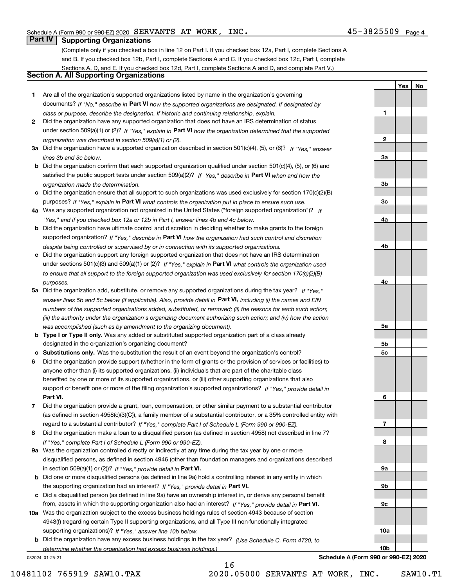**1**

**2**

**3a**

**3b**

**3c**

**4a**

**4b**

**4c**

**5a**

**5b5c**

**6**

**7**

**8**

**9a**

**9b**

**9c**

**10a**

**10b**

**YesNo**

## **Part IV Supporting Organizations**

(Complete only if you checked a box in line 12 on Part I. If you checked box 12a, Part I, complete Sections A and B. If you checked box 12b, Part I, complete Sections A and C. If you checked box 12c, Part I, complete Sections A, D, and E. If you checked box 12d, Part I, complete Sections A and D, and complete Part V.)

### **Section A. All Supporting Organizations**

- **1** Are all of the organization's supported organizations listed by name in the organization's governing documents? If "No," describe in **Part VI** how the supported organizations are designated. If designated by *class or purpose, describe the designation. If historic and continuing relationship, explain.*
- **2** Did the organization have any supported organization that does not have an IRS determination of status under section 509(a)(1) or (2)? If "Yes," explain in Part VI how the organization determined that the supported *organization was described in section 509(a)(1) or (2).*
- **3a** Did the organization have a supported organization described in section 501(c)(4), (5), or (6)? If "Yes," answer *lines 3b and 3c below.*
- **b** Did the organization confirm that each supported organization qualified under section 501(c)(4), (5), or (6) and satisfied the public support tests under section 509(a)(2)? If "Yes," describe in **Part VI** when and how the *organization made the determination.*
- **c**Did the organization ensure that all support to such organizations was used exclusively for section 170(c)(2)(B) purposes? If "Yes," explain in **Part VI** what controls the organization put in place to ensure such use.
- **4a***If* Was any supported organization not organized in the United States ("foreign supported organization")? *"Yes," and if you checked box 12a or 12b in Part I, answer lines 4b and 4c below.*
- **b** Did the organization have ultimate control and discretion in deciding whether to make grants to the foreign supported organization? If "Yes," describe in **Part VI** how the organization had such control and discretion *despite being controlled or supervised by or in connection with its supported organizations.*
- **c** Did the organization support any foreign supported organization that does not have an IRS determination under sections 501(c)(3) and 509(a)(1) or (2)? If "Yes," explain in **Part VI** what controls the organization used *to ensure that all support to the foreign supported organization was used exclusively for section 170(c)(2)(B) purposes.*
- **5a** Did the organization add, substitute, or remove any supported organizations during the tax year? If "Yes," answer lines 5b and 5c below (if applicable). Also, provide detail in **Part VI,** including (i) the names and EIN *numbers of the supported organizations added, substituted, or removed; (ii) the reasons for each such action; (iii) the authority under the organization's organizing document authorizing such action; and (iv) how the action was accomplished (such as by amendment to the organizing document).*
- **b** Type I or Type II only. Was any added or substituted supported organization part of a class already designated in the organization's organizing document?
- **cSubstitutions only.**  Was the substitution the result of an event beyond the organization's control?
- **6** Did the organization provide support (whether in the form of grants or the provision of services or facilities) to **Part VI.** *If "Yes," provide detail in* support or benefit one or more of the filing organization's supported organizations? anyone other than (i) its supported organizations, (ii) individuals that are part of the charitable class benefited by one or more of its supported organizations, or (iii) other supporting organizations that also
- **7**Did the organization provide a grant, loan, compensation, or other similar payment to a substantial contributor *If "Yes," complete Part I of Schedule L (Form 990 or 990-EZ).* regard to a substantial contributor? (as defined in section 4958(c)(3)(C)), a family member of a substantial contributor, or a 35% controlled entity with
- **8** Did the organization make a loan to a disqualified person (as defined in section 4958) not described in line 7? *If "Yes," complete Part I of Schedule L (Form 990 or 990-EZ).*
- **9a** Was the organization controlled directly or indirectly at any time during the tax year by one or more in section 509(a)(1) or (2))? If "Yes," *provide detail in* <code>Part VI.</code> disqualified persons, as defined in section 4946 (other than foundation managers and organizations described
- **b** Did one or more disqualified persons (as defined in line 9a) hold a controlling interest in any entity in which the supporting organization had an interest? If "Yes," provide detail in P**art VI**.
- **c**Did a disqualified person (as defined in line 9a) have an ownership interest in, or derive any personal benefit from, assets in which the supporting organization also had an interest? If "Yes," provide detail in P**art VI.**
- **10a** Was the organization subject to the excess business holdings rules of section 4943 because of section supporting organizations)? If "Yes," answer line 10b below. 4943(f) (regarding certain Type II supporting organizations, and all Type III non-functionally integrated
- **b** Did the organization have any excess business holdings in the tax year? (Use Schedule C, Form 4720, to *determine whether the organization had excess business holdings.)*

16

032024 01-25-21

**Schedule A (Form 990 or 990-EZ) 2020**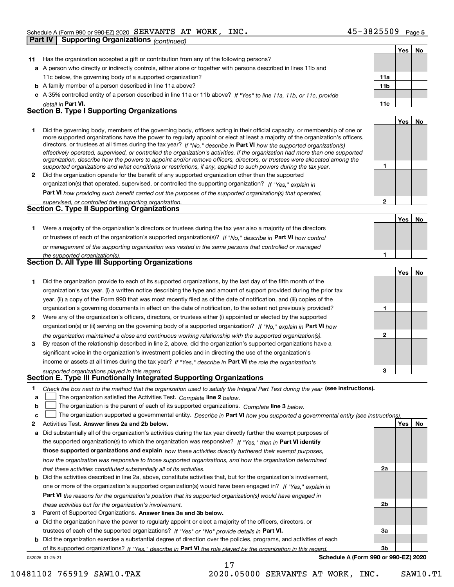|              | <b>Supporting Organizations (continued)</b><br>Part IV                                                                                                                                                                                                                                                                                                                                                                                                                                                                                                                                                                                               |              |            |    |
|--------------|------------------------------------------------------------------------------------------------------------------------------------------------------------------------------------------------------------------------------------------------------------------------------------------------------------------------------------------------------------------------------------------------------------------------------------------------------------------------------------------------------------------------------------------------------------------------------------------------------------------------------------------------------|--------------|------------|----|
|              |                                                                                                                                                                                                                                                                                                                                                                                                                                                                                                                                                                                                                                                      |              | Yes        | No |
| 11           | Has the organization accepted a gift or contribution from any of the following persons?                                                                                                                                                                                                                                                                                                                                                                                                                                                                                                                                                              |              |            |    |
|              | a A person who directly or indirectly controls, either alone or together with persons described in lines 11b and                                                                                                                                                                                                                                                                                                                                                                                                                                                                                                                                     |              |            |    |
|              | 11c below, the governing body of a supported organization?                                                                                                                                                                                                                                                                                                                                                                                                                                                                                                                                                                                           | 11a          |            |    |
|              | <b>b</b> A family member of a person described in line 11a above?                                                                                                                                                                                                                                                                                                                                                                                                                                                                                                                                                                                    | 11b          |            |    |
|              | c A 35% controlled entity of a person described in line 11a or 11b above? If "Yes" to line 11a, 11b, or 11c, provide                                                                                                                                                                                                                                                                                                                                                                                                                                                                                                                                 |              |            |    |
|              | detail in Part VI.                                                                                                                                                                                                                                                                                                                                                                                                                                                                                                                                                                                                                                   | 11c          |            |    |
|              | <b>Section B. Type I Supporting Organizations</b>                                                                                                                                                                                                                                                                                                                                                                                                                                                                                                                                                                                                    |              |            |    |
|              |                                                                                                                                                                                                                                                                                                                                                                                                                                                                                                                                                                                                                                                      |              | Yes        | No |
| 1            | Did the governing body, members of the governing body, officers acting in their official capacity, or membership of one or<br>more supported organizations have the power to regularly appoint or elect at least a majority of the organization's officers,<br>directors, or trustees at all times during the tax year? If "No," describe in Part VI how the supported organization(s)<br>effectively operated, supervised, or controlled the organization's activities. If the organization had more than one supported<br>organization, describe how the powers to appoint and/or remove officers, directors, or trustees were allocated among the |              |            |    |
|              | supported organizations and what conditions or restrictions, if any, applied to such powers during the tax year.                                                                                                                                                                                                                                                                                                                                                                                                                                                                                                                                     | 1            |            |    |
| $\mathbf{2}$ | Did the organization operate for the benefit of any supported organization other than the supported                                                                                                                                                                                                                                                                                                                                                                                                                                                                                                                                                  |              |            |    |
|              | organization(s) that operated, supervised, or controlled the supporting organization? If "Yes," explain in                                                                                                                                                                                                                                                                                                                                                                                                                                                                                                                                           |              |            |    |
|              | Part VI how providing such benefit carried out the purposes of the supported organization(s) that operated,                                                                                                                                                                                                                                                                                                                                                                                                                                                                                                                                          |              |            |    |
|              | supervised, or controlled the supporting organization.<br><b>Section C. Type II Supporting Organizations</b>                                                                                                                                                                                                                                                                                                                                                                                                                                                                                                                                         | $\mathbf{2}$ |            |    |
|              |                                                                                                                                                                                                                                                                                                                                                                                                                                                                                                                                                                                                                                                      |              |            |    |
|              |                                                                                                                                                                                                                                                                                                                                                                                                                                                                                                                                                                                                                                                      |              | Yes        | No |
| 1.           | Were a majority of the organization's directors or trustees during the tax year also a majority of the directors                                                                                                                                                                                                                                                                                                                                                                                                                                                                                                                                     |              |            |    |
|              | or trustees of each of the organization's supported organization(s)? If "No," describe in Part VI how control                                                                                                                                                                                                                                                                                                                                                                                                                                                                                                                                        |              |            |    |
|              | or management of the supporting organization was vested in the same persons that controlled or managed                                                                                                                                                                                                                                                                                                                                                                                                                                                                                                                                               |              |            |    |
|              | the supported organization(s).<br>Section D. All Type III Supporting Organizations                                                                                                                                                                                                                                                                                                                                                                                                                                                                                                                                                                   | 1            |            |    |
|              |                                                                                                                                                                                                                                                                                                                                                                                                                                                                                                                                                                                                                                                      |              |            |    |
|              |                                                                                                                                                                                                                                                                                                                                                                                                                                                                                                                                                                                                                                                      |              | Yes        | No |
| 1.           | Did the organization provide to each of its supported organizations, by the last day of the fifth month of the                                                                                                                                                                                                                                                                                                                                                                                                                                                                                                                                       |              |            |    |
|              | organization's tax year, (i) a written notice describing the type and amount of support provided during the prior tax                                                                                                                                                                                                                                                                                                                                                                                                                                                                                                                                |              |            |    |
|              | year, (ii) a copy of the Form 990 that was most recently filed as of the date of notification, and (iii) copies of the                                                                                                                                                                                                                                                                                                                                                                                                                                                                                                                               |              |            |    |
|              | organization's governing documents in effect on the date of notification, to the extent not previously provided?                                                                                                                                                                                                                                                                                                                                                                                                                                                                                                                                     | 1            |            |    |
| 2            | Were any of the organization's officers, directors, or trustees either (i) appointed or elected by the supported                                                                                                                                                                                                                                                                                                                                                                                                                                                                                                                                     |              |            |    |
|              | organization(s) or (ii) serving on the governing body of a supported organization? If "No," explain in Part VI how                                                                                                                                                                                                                                                                                                                                                                                                                                                                                                                                   |              |            |    |
|              | the organization maintained a close and continuous working relationship with the supported organization(s).                                                                                                                                                                                                                                                                                                                                                                                                                                                                                                                                          | 2            |            |    |
| 3            | By reason of the relationship described in line 2, above, did the organization's supported organizations have a                                                                                                                                                                                                                                                                                                                                                                                                                                                                                                                                      |              |            |    |
|              | significant voice in the organization's investment policies and in directing the use of the organization's                                                                                                                                                                                                                                                                                                                                                                                                                                                                                                                                           |              |            |    |
|              | income or assets at all times during the tax year? If "Yes," describe in Part VI the role the organization's                                                                                                                                                                                                                                                                                                                                                                                                                                                                                                                                         |              |            |    |
|              | supported organizations played in this regard.<br>Section E. Type III Functionally Integrated Supporting Organizations                                                                                                                                                                                                                                                                                                                                                                                                                                                                                                                               | з            |            |    |
|              |                                                                                                                                                                                                                                                                                                                                                                                                                                                                                                                                                                                                                                                      |              |            |    |
| 1            | Check the box next to the method that the organization used to satisfy the Integral Part Test during the year (see instructions).                                                                                                                                                                                                                                                                                                                                                                                                                                                                                                                    |              |            |    |
| a            | The organization satisfied the Activities Test. Complete line 2 below.                                                                                                                                                                                                                                                                                                                                                                                                                                                                                                                                                                               |              |            |    |
| b            | The organization is the parent of each of its supported organizations. Complete line 3 below.                                                                                                                                                                                                                                                                                                                                                                                                                                                                                                                                                        |              |            |    |
| c            |                                                                                                                                                                                                                                                                                                                                                                                                                                                                                                                                                                                                                                                      |              |            |    |
| 2            | The organization supported a governmental entity. Describe in Part VI how you supported a governmental entity (see instructions)                                                                                                                                                                                                                                                                                                                                                                                                                                                                                                                     |              |            |    |
|              | Activities Test. Answer lines 2a and 2b below.                                                                                                                                                                                                                                                                                                                                                                                                                                                                                                                                                                                                       |              | <b>Yes</b> | No |
| а            | Did substantially all of the organization's activities during the tax year directly further the exempt purposes of                                                                                                                                                                                                                                                                                                                                                                                                                                                                                                                                   |              |            |    |
|              | the supported organization(s) to which the organization was responsive? If "Yes." then in Part VI identify                                                                                                                                                                                                                                                                                                                                                                                                                                                                                                                                           |              |            |    |
|              | those supported organizations and explain how these activities directly furthered their exempt purposes,                                                                                                                                                                                                                                                                                                                                                                                                                                                                                                                                             |              |            |    |
|              | how the organization was responsive to those supported organizations, and how the organization determined                                                                                                                                                                                                                                                                                                                                                                                                                                                                                                                                            |              |            |    |
|              | that these activities constituted substantially all of its activities.                                                                                                                                                                                                                                                                                                                                                                                                                                                                                                                                                                               | 2a           |            |    |
| b            | Did the activities described in line 2a, above, constitute activities that, but for the organization's involvement,<br>one or more of the organization's supported organization(s) would have been engaged in? If "Yes," explain in                                                                                                                                                                                                                                                                                                                                                                                                                  |              |            |    |

**Part VI**  *the reasons for the organization's position that its supported organization(s) would have engaged in these activities but for the organization's involvement.*

**3** Parent of Supported Organizations. Answer lines 3a and 3b below.

**a** Did the organization have the power to regularly appoint or elect a majority of the officers, directors, or trustees of each of the supported organizations? If "Yes" or "No" provide details in **Part VI.** 

**b** Did the organization exercise a substantial degree of direction over the policies, programs, and activities of each of its supported organizations? If "Yes," describe in Part VI the role played by the organization in this regard.

17

032025 01-25-21

**Schedule A (Form 990 or 990-EZ) 2020**

**2b**

**3a**

**3b**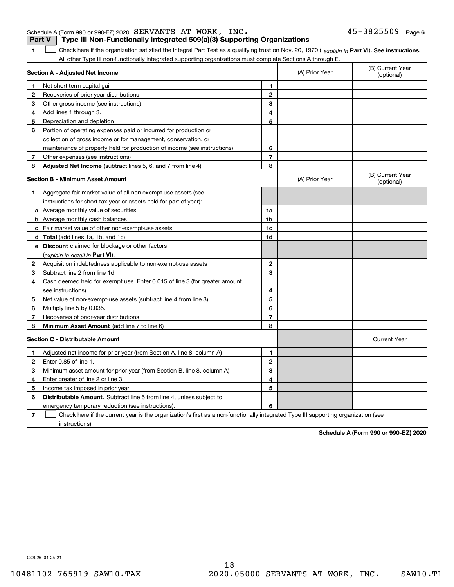#### Schedule A (Form 990 or 990-EZ) 2020 Page SERVANTS AT WORK, INC. 45-3825509 **Part V Type III Non-Functionally Integrated 509(a)(3) Supporting Organizations**

**1**1 Check here if the organization satisfied the Integral Part Test as a qualifying trust on Nov. 20, 1970 (explain in Part VI). See instructions. All other Type III non-functionally integrated supporting organizations must complete Sections A through E.

|              | Section A - Adjusted Net Income                                                                                                   |                | (A) Prior Year | (B) Current Year<br>(optional) |
|--------------|-----------------------------------------------------------------------------------------------------------------------------------|----------------|----------------|--------------------------------|
| 1.           | Net short-term capital gain                                                                                                       | 1              |                |                                |
| 2            | Recoveries of prior-year distributions                                                                                            | $\overline{2}$ |                |                                |
| з            | Other gross income (see instructions)                                                                                             | 3              |                |                                |
| 4            | Add lines 1 through 3.                                                                                                            | 4              |                |                                |
| 5            | Depreciation and depletion                                                                                                        | 5              |                |                                |
| 6            | Portion of operating expenses paid or incurred for production or                                                                  |                |                |                                |
|              | collection of gross income or for management, conservation, or                                                                    |                |                |                                |
|              | maintenance of property held for production of income (see instructions)                                                          | 6              |                |                                |
| 7            | Other expenses (see instructions)                                                                                                 | $\overline{7}$ |                |                                |
| 8            | Adjusted Net Income (subtract lines 5, 6, and 7 from line 4)                                                                      | 8              |                |                                |
|              | <b>Section B - Minimum Asset Amount</b>                                                                                           |                | (A) Prior Year | (B) Current Year<br>(optional) |
| 1.           | Aggregate fair market value of all non-exempt-use assets (see                                                                     |                |                |                                |
|              | instructions for short tax year or assets held for part of year):                                                                 |                |                |                                |
|              | a Average monthly value of securities                                                                                             | 1a             |                |                                |
|              | <b>b</b> Average monthly cash balances                                                                                            | 1b             |                |                                |
|              | c Fair market value of other non-exempt-use assets                                                                                | 1c             |                |                                |
|              | d Total (add lines 1a, 1b, and 1c)                                                                                                | 1d             |                |                                |
|              | e Discount claimed for blockage or other factors                                                                                  |                |                |                                |
|              | (explain in detail in Part VI):                                                                                                   |                |                |                                |
| $\mathbf{2}$ | Acquisition indebtedness applicable to non-exempt-use assets                                                                      | $\mathbf{2}$   |                |                                |
| 3            | Subtract line 2 from line 1d.                                                                                                     | 3              |                |                                |
| 4            | Cash deemed held for exempt use. Enter 0.015 of line 3 (for greater amount,                                                       |                |                |                                |
|              | see instructions).                                                                                                                | 4              |                |                                |
| 5            | Net value of non-exempt-use assets (subtract line 4 from line 3)                                                                  | 5              |                |                                |
| 6            | Multiply line 5 by 0.035.                                                                                                         | 6              |                |                                |
| 7            | Recoveries of prior-year distributions                                                                                            | $\overline{7}$ |                |                                |
| 8            | Minimum Asset Amount (add line 7 to line 6)                                                                                       | 8              |                |                                |
|              | <b>Section C - Distributable Amount</b>                                                                                           |                |                | <b>Current Year</b>            |
| 1            | Adjusted net income for prior year (from Section A, line 8, column A)                                                             | 1              |                |                                |
| 2            | Enter 0.85 of line 1.                                                                                                             | $\overline{2}$ |                |                                |
| з            | Minimum asset amount for prior year (from Section B, line 8, column A)                                                            | 3              |                |                                |
| 4            | Enter greater of line 2 or line 3.                                                                                                | 4              |                |                                |
| 5            | Income tax imposed in prior year                                                                                                  | 5              |                |                                |
| 6            | <b>Distributable Amount.</b> Subtract line 5 from line 4, unless subject to                                                       |                |                |                                |
|              | emergency temporary reduction (see instructions).                                                                                 | 6              |                |                                |
| 7            | Check here if the current year is the organization's first as a non-functionally integrated Type III supporting organization (see |                |                |                                |

instructions).

**Schedule A (Form 990 or 990-EZ) 2020**

032026 01-25-21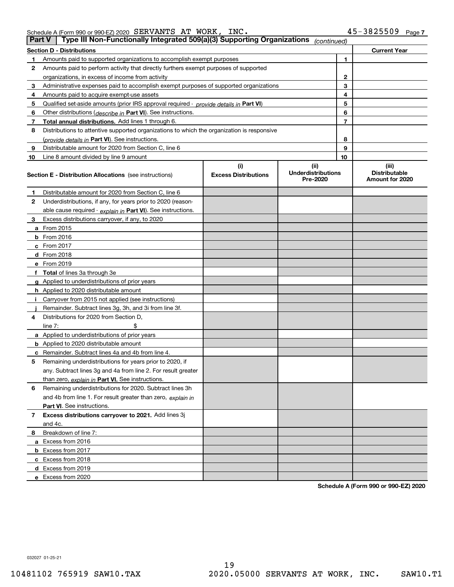Schedule A (Form 990 or 990-EZ) 2020 Page SERVANTS AT WORK, INC. 45-3825509

| <b>Part V</b> | Type III Non-Functionally Integrated 509(a)(3) Supporting Organizations                    |                             | (continued)                           |    |                                         |
|---------------|--------------------------------------------------------------------------------------------|-----------------------------|---------------------------------------|----|-----------------------------------------|
|               | <b>Section D - Distributions</b>                                                           |                             |                                       |    | <b>Current Year</b>                     |
| 1             | Amounts paid to supported organizations to accomplish exempt purposes                      |                             |                                       | 1  |                                         |
| 2             | Amounts paid to perform activity that directly furthers exempt purposes of supported       |                             |                                       |    |                                         |
|               | organizations, in excess of income from activity                                           | 2                           |                                       |    |                                         |
| 3             | Administrative expenses paid to accomplish exempt purposes of supported organizations      |                             |                                       | 3  |                                         |
| 4             | Amounts paid to acquire exempt-use assets                                                  |                             |                                       | 4  |                                         |
| 5             | Qualified set-aside amounts (prior IRS approval required - provide details in Part VI)     |                             |                                       | 5  |                                         |
| 6             | Other distributions (describe in Part VI). See instructions.                               |                             |                                       | 6  |                                         |
| 7             | Total annual distributions. Add lines 1 through 6.                                         |                             |                                       | 7  |                                         |
| 8             | Distributions to attentive supported organizations to which the organization is responsive |                             |                                       |    |                                         |
|               | (provide details in Part VI). See instructions.                                            |                             |                                       | 8  |                                         |
| 9             | Distributable amount for 2020 from Section C, line 6                                       |                             |                                       | 9  |                                         |
| 10            | Line 8 amount divided by line 9 amount                                                     |                             |                                       | 10 |                                         |
|               |                                                                                            | (i)                         | (ii)                                  |    | (iii)                                   |
|               | <b>Section E - Distribution Allocations</b> (see instructions)                             | <b>Excess Distributions</b> | <b>Underdistributions</b><br>Pre-2020 |    | <b>Distributable</b><br>Amount for 2020 |
| 1             | Distributable amount for 2020 from Section C, line 6                                       |                             |                                       |    |                                         |
| 2             | Underdistributions, if any, for years prior to 2020 (reason-                               |                             |                                       |    |                                         |
|               | able cause required - explain in Part VI). See instructions.                               |                             |                                       |    |                                         |
| 3             | Excess distributions carryover, if any, to 2020                                            |                             |                                       |    |                                         |
|               | <b>a</b> From 2015                                                                         |                             |                                       |    |                                         |
|               | <b>b</b> From 2016                                                                         |                             |                                       |    |                                         |
|               | c From 2017                                                                                |                             |                                       |    |                                         |
|               | <b>d</b> From 2018                                                                         |                             |                                       |    |                                         |
|               | e From 2019                                                                                |                             |                                       |    |                                         |
|               | f Total of lines 3a through 3e                                                             |                             |                                       |    |                                         |
|               | g Applied to underdistributions of prior years                                             |                             |                                       |    |                                         |
|               | <b>h</b> Applied to 2020 distributable amount                                              |                             |                                       |    |                                         |
|               | Carryover from 2015 not applied (see instructions)                                         |                             |                                       |    |                                         |
|               | Remainder. Subtract lines 3g, 3h, and 3i from line 3f.                                     |                             |                                       |    |                                         |
| 4             | Distributions for 2020 from Section D,                                                     |                             |                                       |    |                                         |
|               | line $7:$                                                                                  |                             |                                       |    |                                         |
|               | a Applied to underdistributions of prior years                                             |                             |                                       |    |                                         |
|               | <b>b</b> Applied to 2020 distributable amount                                              |                             |                                       |    |                                         |
|               | c Remainder. Subtract lines 4a and 4b from line 4.                                         |                             |                                       |    |                                         |
| 5             | Remaining underdistributions for years prior to 2020, if                                   |                             |                                       |    |                                         |
|               | any. Subtract lines 3g and 4a from line 2. For result greater                              |                             |                                       |    |                                         |
|               | than zero, explain in Part VI. See instructions.                                           |                             |                                       |    |                                         |
| 6             | Remaining underdistributions for 2020. Subtract lines 3h                                   |                             |                                       |    |                                         |
|               | and 4b from line 1. For result greater than zero, explain in                               |                             |                                       |    |                                         |
|               | Part VI. See instructions.                                                                 |                             |                                       |    |                                         |
| 7             | Excess distributions carryover to 2021. Add lines 3j                                       |                             |                                       |    |                                         |
|               | and 4c.                                                                                    |                             |                                       |    |                                         |
| 8             | Breakdown of line 7:                                                                       |                             |                                       |    |                                         |
|               | a Excess from 2016                                                                         |                             |                                       |    |                                         |
|               | <b>b</b> Excess from 2017                                                                  |                             |                                       |    |                                         |
|               | c Excess from 2018                                                                         |                             |                                       |    |                                         |
|               | d Excess from 2019                                                                         |                             |                                       |    |                                         |
|               | e Excess from 2020                                                                         |                             |                                       |    |                                         |

**Schedule A (Form 990 or 990-EZ) 2020**

032027 01-25-21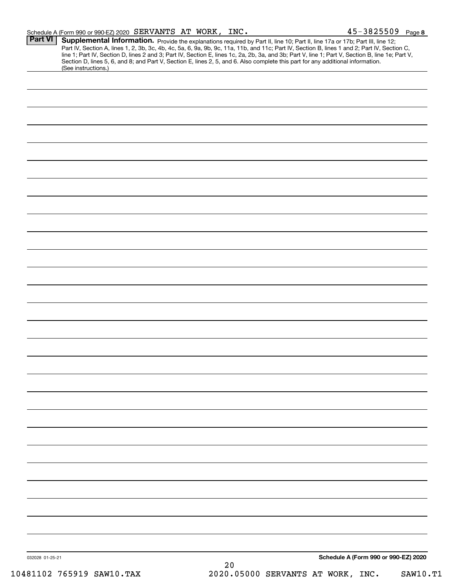| Schedule A (Form 990 or 990-EZ) 2020 $\,$ SERVANTS $\,$ AT $\,$ WORK $_{\rm J}$ |  | INC. | $45 - 3825509$ Page 8 |  |
|---------------------------------------------------------------------------------|--|------|-----------------------|--|
|                                                                                 |  |      |                       |  |

|                 | Supplemental Information. Provide the explanations required by Part II, line 10; Part II, line 17a or 17b; Part III, line 12;<br>Part IV, Section A, lines 1, 2, 3b, 3c, 4b, 4c, 5a, 6, 9a, 9b, 9c, 11a, 11b, and 11c; Part IV, Section B, lines 1 and 2; Part IV, Section C,<br>line 1; Part IV, Section D, lines 2 and 3; Part IV, Section E, lines 1c, 2a, 2b, 3a, and 3b; Part V, line 1; Part V, Section B, line 1e; Part V,<br>Section D, lines 5, 6, and 8; and Part V, Section E, lines 2, 5, and 6. Also complete this part for any additional information.<br>(See instructions.) |
|-----------------|---------------------------------------------------------------------------------------------------------------------------------------------------------------------------------------------------------------------------------------------------------------------------------------------------------------------------------------------------------------------------------------------------------------------------------------------------------------------------------------------------------------------------------------------------------------------------------------------|
|                 |                                                                                                                                                                                                                                                                                                                                                                                                                                                                                                                                                                                             |
|                 |                                                                                                                                                                                                                                                                                                                                                                                                                                                                                                                                                                                             |
|                 |                                                                                                                                                                                                                                                                                                                                                                                                                                                                                                                                                                                             |
|                 |                                                                                                                                                                                                                                                                                                                                                                                                                                                                                                                                                                                             |
|                 |                                                                                                                                                                                                                                                                                                                                                                                                                                                                                                                                                                                             |
|                 |                                                                                                                                                                                                                                                                                                                                                                                                                                                                                                                                                                                             |
|                 |                                                                                                                                                                                                                                                                                                                                                                                                                                                                                                                                                                                             |
|                 |                                                                                                                                                                                                                                                                                                                                                                                                                                                                                                                                                                                             |
|                 |                                                                                                                                                                                                                                                                                                                                                                                                                                                                                                                                                                                             |
|                 |                                                                                                                                                                                                                                                                                                                                                                                                                                                                                                                                                                                             |
|                 |                                                                                                                                                                                                                                                                                                                                                                                                                                                                                                                                                                                             |
|                 |                                                                                                                                                                                                                                                                                                                                                                                                                                                                                                                                                                                             |
|                 |                                                                                                                                                                                                                                                                                                                                                                                                                                                                                                                                                                                             |
|                 |                                                                                                                                                                                                                                                                                                                                                                                                                                                                                                                                                                                             |
|                 |                                                                                                                                                                                                                                                                                                                                                                                                                                                                                                                                                                                             |
|                 |                                                                                                                                                                                                                                                                                                                                                                                                                                                                                                                                                                                             |
|                 |                                                                                                                                                                                                                                                                                                                                                                                                                                                                                                                                                                                             |
|                 |                                                                                                                                                                                                                                                                                                                                                                                                                                                                                                                                                                                             |
|                 |                                                                                                                                                                                                                                                                                                                                                                                                                                                                                                                                                                                             |
|                 |                                                                                                                                                                                                                                                                                                                                                                                                                                                                                                                                                                                             |
|                 |                                                                                                                                                                                                                                                                                                                                                                                                                                                                                                                                                                                             |
|                 |                                                                                                                                                                                                                                                                                                                                                                                                                                                                                                                                                                                             |
|                 |                                                                                                                                                                                                                                                                                                                                                                                                                                                                                                                                                                                             |
|                 |                                                                                                                                                                                                                                                                                                                                                                                                                                                                                                                                                                                             |
|                 |                                                                                                                                                                                                                                                                                                                                                                                                                                                                                                                                                                                             |
|                 |                                                                                                                                                                                                                                                                                                                                                                                                                                                                                                                                                                                             |
|                 |                                                                                                                                                                                                                                                                                                                                                                                                                                                                                                                                                                                             |
|                 |                                                                                                                                                                                                                                                                                                                                                                                                                                                                                                                                                                                             |
|                 |                                                                                                                                                                                                                                                                                                                                                                                                                                                                                                                                                                                             |
|                 |                                                                                                                                                                                                                                                                                                                                                                                                                                                                                                                                                                                             |
|                 |                                                                                                                                                                                                                                                                                                                                                                                                                                                                                                                                                                                             |
|                 |                                                                                                                                                                                                                                                                                                                                                                                                                                                                                                                                                                                             |
|                 |                                                                                                                                                                                                                                                                                                                                                                                                                                                                                                                                                                                             |
|                 |                                                                                                                                                                                                                                                                                                                                                                                                                                                                                                                                                                                             |
|                 |                                                                                                                                                                                                                                                                                                                                                                                                                                                                                                                                                                                             |
|                 |                                                                                                                                                                                                                                                                                                                                                                                                                                                                                                                                                                                             |
|                 |                                                                                                                                                                                                                                                                                                                                                                                                                                                                                                                                                                                             |
|                 |                                                                                                                                                                                                                                                                                                                                                                                                                                                                                                                                                                                             |
|                 |                                                                                                                                                                                                                                                                                                                                                                                                                                                                                                                                                                                             |
|                 |                                                                                                                                                                                                                                                                                                                                                                                                                                                                                                                                                                                             |
|                 |                                                                                                                                                                                                                                                                                                                                                                                                                                                                                                                                                                                             |
| 032028 01-25-21 | Schedule A (Form 990 or 990-EZ) 2020                                                                                                                                                                                                                                                                                                                                                                                                                                                                                                                                                        |
|                 | 20                                                                                                                                                                                                                                                                                                                                                                                                                                                                                                                                                                                          |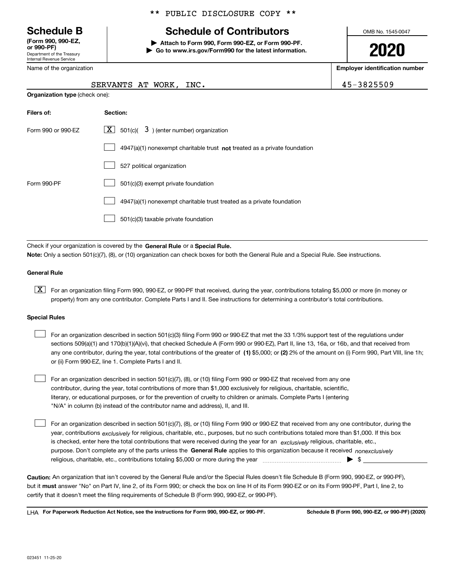Department of the Treasury Internal Revenue Service **(Form 990, 990-EZ, or 990-PF)**

Name of the organization

### \*\* PUBLIC DISCLOSURE COPY \*\*

# **Schedule B Schedule of Contributors**

**| Attach to Form 990, Form 990-EZ, or Form 990-PF. | Go to www.irs.gov/Form990 for the latest information.** OMB No. 1545-0047

**2020**

**Employer identification number**

 $NC.$  and  $(45-3825509)$ 

|                                       | SERVANTS AT WORK, I |  |  |
|---------------------------------------|---------------------|--|--|
| <b>Organization type (check one):</b> |                     |  |  |

| Filers of:         | Section:                                                                    |
|--------------------|-----------------------------------------------------------------------------|
| Form 990 or 990-EZ | $\boxed{\text{X}}$ 501(c)( 3) (enter number) organization                   |
|                    | $4947(a)(1)$ nonexempt charitable trust not treated as a private foundation |
|                    | 527 political organization                                                  |
| Form 990-PF        | 501(c)(3) exempt private foundation                                         |
|                    | 4947(a)(1) nonexempt charitable trust treated as a private foundation       |
|                    | 501(c)(3) taxable private foundation                                        |

Check if your organization is covered by the **General Rule** or a **Special Rule. Note:**  Only a section 501(c)(7), (8), or (10) organization can check boxes for both the General Rule and a Special Rule. See instructions.

#### **General Rule**

 $\boxed{\textbf{X}}$  For an organization filing Form 990, 990-EZ, or 990-PF that received, during the year, contributions totaling \$5,000 or more (in money or property) from any one contributor. Complete Parts I and II. See instructions for determining a contributor's total contributions.

#### **Special Rules**

| For an organization described in section 501(c)(3) filing Form 990 or 990-EZ that met the 33 1/3% support test of the regulations under               |
|-------------------------------------------------------------------------------------------------------------------------------------------------------|
| sections 509(a)(1) and 170(b)(1)(A)(vi), that checked Schedule A (Form 990 or 990-EZ), Part II, line 13, 16a, or 16b, and that received from          |
| any one contributor, during the year, total contributions of the greater of (1) \$5,000; or (2) 2% of the amount on (i) Form 990, Part VIII, line 1h; |
| or (ii) Form 990-EZ, line 1. Complete Parts I and II.                                                                                                 |

For an organization described in section 501(c)(7), (8), or (10) filing Form 990 or 990-EZ that received from any one contributor, during the year, total contributions of more than \$1,000 exclusively for religious, charitable, scientific, literary, or educational purposes, or for the prevention of cruelty to children or animals. Complete Parts I (entering "N/A" in column (b) instead of the contributor name and address), II, and III.  $\mathcal{L}^{\text{max}}$ 

purpose. Don't complete any of the parts unless the **General Rule** applies to this organization because it received *nonexclusively* year, contributions <sub>exclusively</sub> for religious, charitable, etc., purposes, but no such contributions totaled more than \$1,000. If this box is checked, enter here the total contributions that were received during the year for an  $\;$ exclusively religious, charitable, etc., For an organization described in section 501(c)(7), (8), or (10) filing Form 990 or 990-EZ that received from any one contributor, during the religious, charitable, etc., contributions totaling \$5,000 or more during the year  $\Box$ — $\Box$  =  $\Box$  $\mathcal{L}^{\text{max}}$ 

**Caution:**  An organization that isn't covered by the General Rule and/or the Special Rules doesn't file Schedule B (Form 990, 990-EZ, or 990-PF),  **must** but it answer "No" on Part IV, line 2, of its Form 990; or check the box on line H of its Form 990-EZ or on its Form 990-PF, Part I, line 2, to certify that it doesn't meet the filing requirements of Schedule B (Form 990, 990-EZ, or 990-PF).

**For Paperwork Reduction Act Notice, see the instructions for Form 990, 990-EZ, or 990-PF. Schedule B (Form 990, 990-EZ, or 990-PF) (2020)** LHA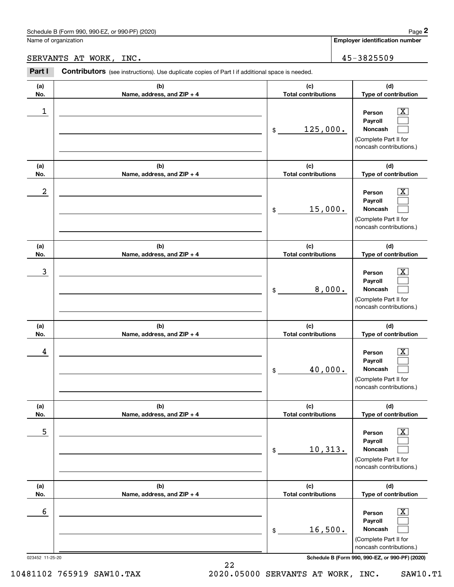### SERVANTS AT WORK, INC. 45-3825509

|                      | Schedule B (Form 990, 990-EZ, or 990-PF) (2020)                                                |                                   |        | Page 2                                                                                                      |
|----------------------|------------------------------------------------------------------------------------------------|-----------------------------------|--------|-------------------------------------------------------------------------------------------------------------|
| Name of organization |                                                                                                |                                   |        | <b>Employer identification number</b>                                                                       |
|                      | SERVANTS AT WORK, INC.                                                                         |                                   |        | 45-3825509                                                                                                  |
| Part I               | Contributors (see instructions). Use duplicate copies of Part I if additional space is needed. |                                   |        |                                                                                                             |
| (a)<br>No.           | (b)<br>Name, address, and ZIP + 4                                                              | (c)<br><b>Total contributions</b> |        | (d)<br>Type of contribution                                                                                 |
| 1                    |                                                                                                | 125,000.<br>\$                    |        | $\overline{\mathbf{X}}$<br>Person<br>Payroll<br>Noncash<br>(Complete Part II for<br>noncash contributions.) |
| (a)<br>No.           | (b)<br>Name, address, and ZIP + 4                                                              | (c)<br><b>Total contributions</b> |        | (d)<br>Type of contribution                                                                                 |
| $\boldsymbol{2}$     |                                                                                                | 15,000.<br>\$                     |        | $\overline{\mathbf{X}}$<br>Person<br>Payroll<br>Noncash<br>(Complete Part II for<br>noncash contributions.) |
| (a)<br>No.           | (b)<br>Name, address, and ZIP + 4                                                              | (c)<br><b>Total contributions</b> |        | (d)<br>Type of contribution                                                                                 |
| 3                    |                                                                                                | \$                                | 8,000. | $\overline{\mathbf{X}}$<br>Person<br>Payroll<br>Noncash<br>(Complete Part II for<br>noncash contributions.) |
| (a)<br>No.           | (b)<br>Name, address, and ZIP + 4                                                              | (c)<br><b>Total contributions</b> |        | (d)<br>Type of contribution                                                                                 |
| 4                    |                                                                                                | 40,000.<br>\$                     |        | $\overline{\mathbf{X}}$<br>Person<br>Payroll<br>Noncash<br>(Complete Part II for<br>noncash contributions.) |
| (a)<br>No.           | (b)<br>Name, address, and ZIP + 4                                                              | (c)<br><b>Total contributions</b> |        | (d)<br>Type of contribution                                                                                 |
| 5                    |                                                                                                | 10, 313.<br>\$                    |        | $\overline{\mathbf{X}}$<br>Person<br>Payroll<br>Noncash<br>(Complete Part II for<br>noncash contributions.) |
| (a)<br>No.           | (b)<br>Name, address, and ZIP + 4                                                              | (c)<br><b>Total contributions</b> |        | (d)<br>Type of contribution                                                                                 |
| 6                    |                                                                                                | 16,500.<br>\$                     |        | $\overline{\mathbf{X}}$<br>Person<br>Payroll<br>Noncash<br>(Complete Part II for<br>noncash contributions.) |
| 023452 11-25-20      |                                                                                                |                                   |        | Schedule B (Form 990, 990-EZ, or 990-PF) (2020)                                                             |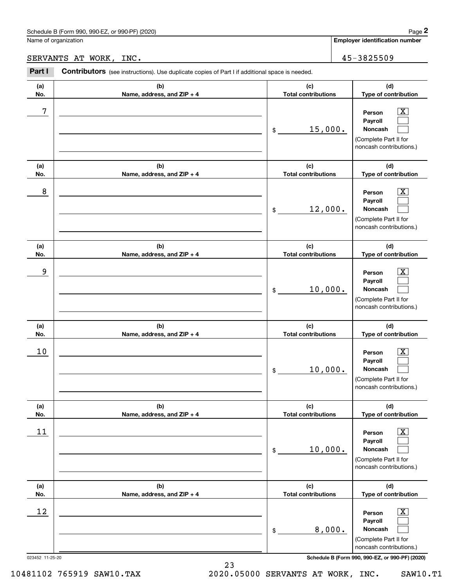|                 | Schedule B (Form 990, 990-EZ, or 990-PF) (2020)                                                |                                   | Page 2                                                                                                      |
|-----------------|------------------------------------------------------------------------------------------------|-----------------------------------|-------------------------------------------------------------------------------------------------------------|
|                 | Name of organization                                                                           |                                   | Employer identification number                                                                              |
|                 | SERVANTS AT WORK, INC.                                                                         |                                   | 45-3825509                                                                                                  |
| Part I          | Contributors (see instructions). Use duplicate copies of Part I if additional space is needed. |                                   |                                                                                                             |
| (a)<br>No.      | (b)<br>Name, address, and ZIP + 4                                                              | (c)<br><b>Total contributions</b> | (d)<br>Type of contribution                                                                                 |
| 7               |                                                                                                | 15,000.<br>\$                     | $\overline{\mathbf{X}}$<br>Person<br>Payroll<br>Noncash<br>(Complete Part II for<br>noncash contributions.) |
| (a)<br>No.      | (b)<br>Name, address, and ZIP + 4                                                              | (c)<br><b>Total contributions</b> | (d)<br>Type of contribution                                                                                 |
| 8               |                                                                                                | 12,000.<br>\$                     | $\overline{\mathbf{X}}$<br>Person<br>Payroll<br>Noncash<br>(Complete Part II for<br>noncash contributions.) |
| (a)<br>No.      | (b)<br>Name, address, and ZIP + 4                                                              | (c)<br><b>Total contributions</b> | (d)<br>Type of contribution                                                                                 |
| 9               |                                                                                                | 10,000.<br>\$                     | $\overline{\mathbf{X}}$<br>Person<br>Payroll<br>Noncash<br>(Complete Part II for<br>noncash contributions.) |
| (a)<br>No.      | (b)<br>Name, address, and ZIP + 4                                                              | (c)<br><b>Total contributions</b> | (d)<br>Type of contribution                                                                                 |
| 10              |                                                                                                | 10,000.<br>\$                     | $\overline{\mathbf{X}}$<br>Person<br>Payroll<br>Noncash<br>(Complete Part II for<br>noncash contributions.) |
| (a)<br>No.      | (b)<br>Name, address, and ZIP + 4                                                              | (c)<br><b>Total contributions</b> | (d)<br>Type of contribution                                                                                 |
| 11              |                                                                                                | 10,000.<br>\$                     | $\overline{\mathbf{X}}$<br>Person<br>Payroll<br>Noncash<br>(Complete Part II for<br>noncash contributions.) |
| (a)<br>No.      | (b)<br>Name, address, and ZIP + 4                                                              | (c)<br><b>Total contributions</b> | (d)<br>Type of contribution                                                                                 |
| 12              |                                                                                                | 8,000.<br>\$                      | $\overline{\mathbf{X}}$<br>Person<br>Payroll<br>Noncash<br>(Complete Part II for<br>noncash contributions.) |
| 023452 11-25-20 |                                                                                                |                                   | Schedule B (Form 990, 990-EZ, or 990-PF) (2020)                                                             |

23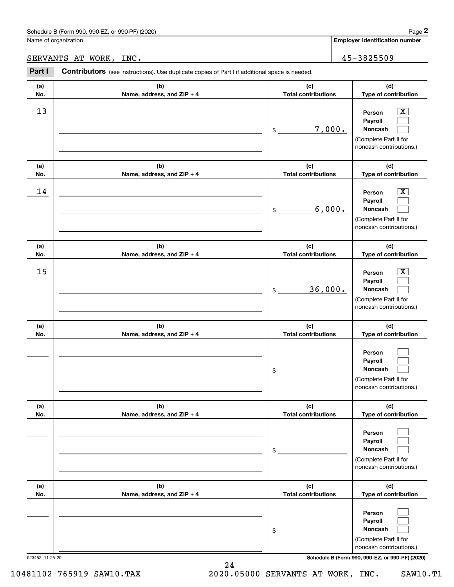|            | Schedule B (Form 990, 990-EZ, or 990-PF) (2020)                                                |                                   | Page 2                                                                                 |
|------------|------------------------------------------------------------------------------------------------|-----------------------------------|----------------------------------------------------------------------------------------|
|            | Name of organization                                                                           |                                   | <b>Employer identification number</b>                                                  |
|            | SERVANTS AT WORK,<br>INC.                                                                      |                                   | 45-3825509                                                                             |
| Part I     | Contributors (see instructions). Use duplicate copies of Part I if additional space is needed. |                                   |                                                                                        |
| (a)<br>No. | (b)<br>Name, address, and ZIP + 4                                                              | (c)<br><b>Total contributions</b> | (d)<br>Type of contribution                                                            |
| 13         |                                                                                                | 7,000.<br>$\mathsf{\$}$           | x<br>Person<br>Payroll<br>Noncash<br>(Complete Part II for<br>noncash contributions.)  |
| (a)<br>No. | (b)<br>Name, address, and ZIP + 4                                                              | (c)<br><b>Total contributions</b> | (d)<br>Type of contribution                                                            |
| 14         |                                                                                                | 6,000.<br>\$                      | x<br>Person<br>Payroll<br>Noncash<br>(Complete Part II for<br>noncash contributions.)  |
| (a)<br>No. | (b)<br>Name, address, and ZIP + 4                                                              | (c)<br><b>Total contributions</b> | (d)<br>Type of contribution                                                            |
| 15         |                                                                                                | 36,000.<br>\$                     | X.<br>Person<br>Payroll<br>Noncash<br>(Complete Part II for<br>noncash contributions.) |
| (a)<br>No. | (b)<br>Name, address, and ZIP + 4                                                              | (c)<br><b>Total contributions</b> | (d)<br>Type of contribution                                                            |
|            |                                                                                                | \$                                | Person<br>Payroll<br>Noncash<br>(Complete Part II for<br>noncash contributions.)       |

|                 |  | <b>Noncash</b>                                  |
|-----------------|--|-------------------------------------------------|
|                 |  | Complete Part II for<br>noncash contributions.) |
| 023452 11-25-20 |  | Schedule B (Form 990, 990-EZ, or 990-PF) (2020) |

**(b) Name, address, and ZIP + 4**

**(b) Name, address, and ZIP + 4**

**(d) Type of contribution**

> $\mathcal{L}^{\text{max}}$  $\mathcal{L}^{\text{max}}$  $\mathcal{L}^{\text{max}}$

> $\mathcal{L}^{\text{max}}$  $\mathcal{L}^{\text{max}}$  $\mathcal{L}^{\text{max}}$

**(d) Type of contribution**

**Person Payroll Noncash**

(Complete Part II for noncash contributions.)

> **Person Payroll Noncash**

**(a) No.**

**(a) No.**

24 10481102 765919 SAW10.TAX 2020.05000 SERVANTS AT WORK, INC. SAW10.T1

**(c) Total contributions**

**(c)Total contributions**

\$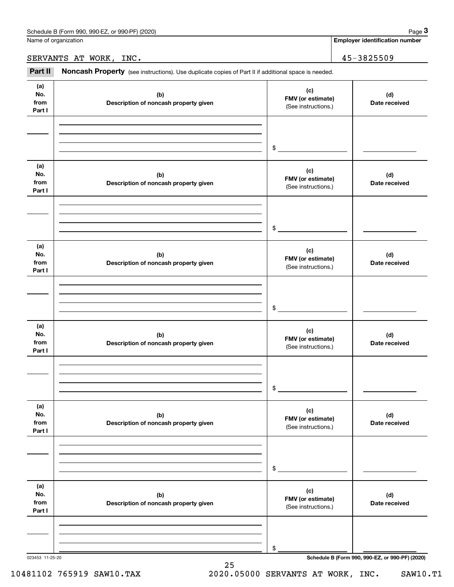**Employer identification number**

#### SERVANTS AT WORK, INC. 45-3825509

Chedule B (Form 990, 990-EZ, or 990-PF) (2020)<br> **2020 Alame of organization**<br> **3PART III Noncash Property** (see instructions). Use duplicate copies of Part II if additional space is needed.<br> **3Part II Noncash Property** 

023453 11-25-20 **Schedule B (Form 990, 990-EZ, or 990-PF) (2020) (a)No.fromPart I (c)FMV (or estimate) (b) Description of noncash property given (d) Date received (a)No.fromPart I (c) FMV (or estimate) (b) Description of noncash property given (d) Date received (a)No.fromPart I (c) FMV (or estimate) (b) Description of noncash property given (d) Date received (a) No.fromPart I (c) FMV (or estimate) (b)Description of noncash property given (d)Date received (a) No.fromPart I (c) FMV (or estimate) (b) Description of noncash property given (d) Date received (a) No.fromPart I (c)FMV (or estimate) (b)Description of noncash property given (d)Date received** (See instructions.) \$(See instructions.) \$(See instructions.) \$(See instructions.) \$(See instructions.) \$(See instructions.) \$

25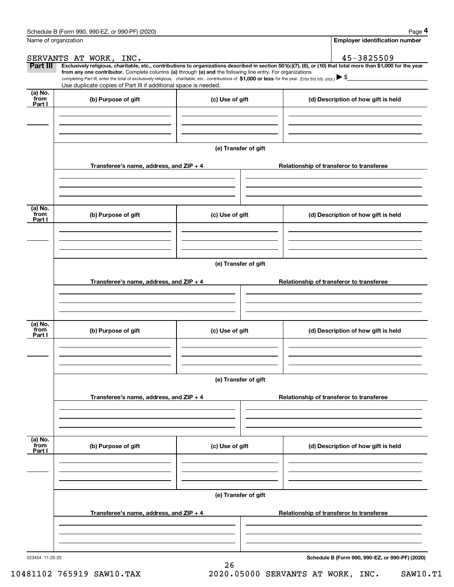|                      | Schedule B (Form 990, 990-EZ, or 990-PF) (2020)                                                                                                                                   |                      | Page 4                                                                                                                                                         |  |  |  |  |  |  |
|----------------------|-----------------------------------------------------------------------------------------------------------------------------------------------------------------------------------|----------------------|----------------------------------------------------------------------------------------------------------------------------------------------------------------|--|--|--|--|--|--|
| Name of organization |                                                                                                                                                                                   |                      | <b>Employer identification number</b>                                                                                                                          |  |  |  |  |  |  |
|                      | SERVANTS AT WORK, INC.                                                                                                                                                            |                      | 45-3825509                                                                                                                                                     |  |  |  |  |  |  |
| Part III             | from any one contributor. Complete columns (a) through (e) and the following line entry. For organizations                                                                        |                      | Exclusively religious, charitable, etc., contributions to organizations described in section 501(c)(7), (8), or (10) that total more than \$1,000 for the year |  |  |  |  |  |  |
|                      | completing Part III, enter the total of exclusively religious, charitable, etc., contributions of \$1,000 or less for the year. (Enter this info. once.) $\blacktriangleright$ \$ |                      |                                                                                                                                                                |  |  |  |  |  |  |
|                      | Use duplicate copies of Part III if additional space is needed.                                                                                                                   |                      |                                                                                                                                                                |  |  |  |  |  |  |
| (a) No.<br>from      | (b) Purpose of gift                                                                                                                                                               | (c) Use of gift      | (d) Description of how gift is held                                                                                                                            |  |  |  |  |  |  |
| Part I               |                                                                                                                                                                                   |                      |                                                                                                                                                                |  |  |  |  |  |  |
|                      |                                                                                                                                                                                   |                      |                                                                                                                                                                |  |  |  |  |  |  |
|                      |                                                                                                                                                                                   |                      |                                                                                                                                                                |  |  |  |  |  |  |
|                      |                                                                                                                                                                                   |                      |                                                                                                                                                                |  |  |  |  |  |  |
|                      |                                                                                                                                                                                   | (e) Transfer of gift |                                                                                                                                                                |  |  |  |  |  |  |
|                      | Transferee's name, address, and ZIP + 4                                                                                                                                           |                      | Relationship of transferor to transferee                                                                                                                       |  |  |  |  |  |  |
|                      |                                                                                                                                                                                   |                      |                                                                                                                                                                |  |  |  |  |  |  |
|                      |                                                                                                                                                                                   |                      |                                                                                                                                                                |  |  |  |  |  |  |
|                      |                                                                                                                                                                                   |                      |                                                                                                                                                                |  |  |  |  |  |  |
| (a) No.              |                                                                                                                                                                                   |                      |                                                                                                                                                                |  |  |  |  |  |  |
| from<br>Part I       | (b) Purpose of gift                                                                                                                                                               | (c) Use of gift      | (d) Description of how gift is held                                                                                                                            |  |  |  |  |  |  |
|                      |                                                                                                                                                                                   |                      |                                                                                                                                                                |  |  |  |  |  |  |
|                      |                                                                                                                                                                                   |                      |                                                                                                                                                                |  |  |  |  |  |  |
|                      |                                                                                                                                                                                   |                      |                                                                                                                                                                |  |  |  |  |  |  |
|                      |                                                                                                                                                                                   | (e) Transfer of gift |                                                                                                                                                                |  |  |  |  |  |  |
|                      |                                                                                                                                                                                   |                      |                                                                                                                                                                |  |  |  |  |  |  |
|                      | Transferee's name, address, and ZIP + 4                                                                                                                                           |                      | Relationship of transferor to transferee                                                                                                                       |  |  |  |  |  |  |
|                      |                                                                                                                                                                                   |                      |                                                                                                                                                                |  |  |  |  |  |  |
|                      |                                                                                                                                                                                   |                      |                                                                                                                                                                |  |  |  |  |  |  |
|                      |                                                                                                                                                                                   |                      |                                                                                                                                                                |  |  |  |  |  |  |
| (a) No.<br>from      | (b) Purpose of gift                                                                                                                                                               | (c) Use of gift      | (d) Description of how gift is held                                                                                                                            |  |  |  |  |  |  |
| Part I               |                                                                                                                                                                                   |                      |                                                                                                                                                                |  |  |  |  |  |  |
|                      |                                                                                                                                                                                   |                      |                                                                                                                                                                |  |  |  |  |  |  |
|                      |                                                                                                                                                                                   |                      |                                                                                                                                                                |  |  |  |  |  |  |
|                      |                                                                                                                                                                                   |                      |                                                                                                                                                                |  |  |  |  |  |  |
|                      |                                                                                                                                                                                   | (e) Transfer of gift |                                                                                                                                                                |  |  |  |  |  |  |
|                      | Transferee's name, address, and $ZIP + 4$                                                                                                                                         |                      | Relationship of transferor to transferee                                                                                                                       |  |  |  |  |  |  |
|                      |                                                                                                                                                                                   |                      |                                                                                                                                                                |  |  |  |  |  |  |
|                      |                                                                                                                                                                                   |                      |                                                                                                                                                                |  |  |  |  |  |  |
|                      |                                                                                                                                                                                   |                      |                                                                                                                                                                |  |  |  |  |  |  |
| (a) No.<br>from      |                                                                                                                                                                                   |                      |                                                                                                                                                                |  |  |  |  |  |  |
| Part I               | (b) Purpose of gift                                                                                                                                                               | (c) Use of gift      | (d) Description of how gift is held                                                                                                                            |  |  |  |  |  |  |
|                      |                                                                                                                                                                                   |                      |                                                                                                                                                                |  |  |  |  |  |  |
|                      |                                                                                                                                                                                   |                      |                                                                                                                                                                |  |  |  |  |  |  |
|                      |                                                                                                                                                                                   |                      |                                                                                                                                                                |  |  |  |  |  |  |
|                      |                                                                                                                                                                                   | (e) Transfer of gift |                                                                                                                                                                |  |  |  |  |  |  |
|                      |                                                                                                                                                                                   |                      |                                                                                                                                                                |  |  |  |  |  |  |
|                      | Transferee's name, address, and $ZIP + 4$                                                                                                                                         |                      | Relationship of transferor to transferee                                                                                                                       |  |  |  |  |  |  |
|                      |                                                                                                                                                                                   |                      |                                                                                                                                                                |  |  |  |  |  |  |
|                      |                                                                                                                                                                                   |                      |                                                                                                                                                                |  |  |  |  |  |  |
|                      |                                                                                                                                                                                   |                      |                                                                                                                                                                |  |  |  |  |  |  |

26

**Schedule B (Form 990, 990-EZ, or 990-PF) (2020)**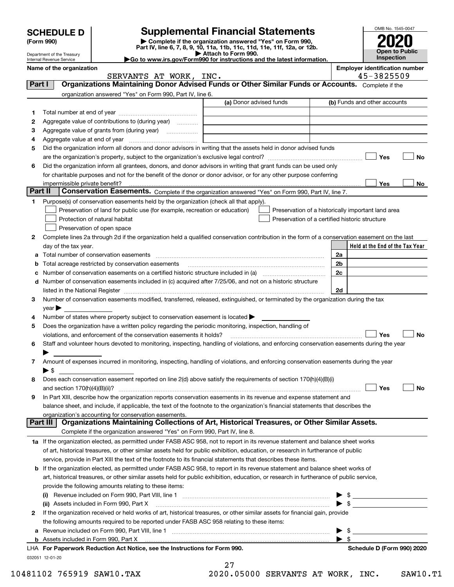|         |                                                                                                                                                                                                                                                        |                                                                                                                                                       |                         |                                                    |                         | OMB No. 1545-0047                     |  |  |
|---------|--------------------------------------------------------------------------------------------------------------------------------------------------------------------------------------------------------------------------------------------------------|-------------------------------------------------------------------------------------------------------------------------------------------------------|-------------------------|----------------------------------------------------|-------------------------|---------------------------------------|--|--|
|         | <b>Supplemental Financial Statements</b><br><b>SCHEDULE D</b><br>Complete if the organization answered "Yes" on Form 990,<br>(Form 990)                                                                                                                |                                                                                                                                                       |                         |                                                    |                         |                                       |  |  |
|         |                                                                                                                                                                                                                                                        | Part IV, line 6, 7, 8, 9, 10, 11a, 11b, 11c, 11d, 11e, 11f, 12a, or 12b.                                                                              | Attach to Form 990.     |                                                    |                         | <b>Open to Public</b>                 |  |  |
|         | Department of the Treasury<br><b>Internal Revenue Service</b>                                                                                                                                                                                          | Inspection                                                                                                                                            |                         |                                                    |                         |                                       |  |  |
|         | Name of the organization                                                                                                                                                                                                                               |                                                                                                                                                       |                         |                                                    |                         | <b>Employer identification number</b> |  |  |
|         |                                                                                                                                                                                                                                                        | SERVANTS AT WORK, INC.                                                                                                                                |                         |                                                    |                         | 45-3825509                            |  |  |
| Part I  |                                                                                                                                                                                                                                                        | Organizations Maintaining Donor Advised Funds or Other Similar Funds or Accounts. Complete if the                                                     |                         |                                                    |                         |                                       |  |  |
|         |                                                                                                                                                                                                                                                        | organization answered "Yes" on Form 990, Part IV, line 6.                                                                                             |                         |                                                    |                         |                                       |  |  |
|         |                                                                                                                                                                                                                                                        |                                                                                                                                                       | (a) Donor advised funds |                                                    |                         | (b) Funds and other accounts          |  |  |
| 1       |                                                                                                                                                                                                                                                        |                                                                                                                                                       |                         |                                                    |                         |                                       |  |  |
| 2       |                                                                                                                                                                                                                                                        | Aggregate value of contributions to (during year)                                                                                                     |                         |                                                    |                         |                                       |  |  |
| З       |                                                                                                                                                                                                                                                        |                                                                                                                                                       |                         |                                                    |                         |                                       |  |  |
| 4       | Aggregate value at end of year                                                                                                                                                                                                                         |                                                                                                                                                       |                         |                                                    |                         |                                       |  |  |
| 5       |                                                                                                                                                                                                                                                        | Did the organization inform all donors and donor advisors in writing that the assets held in donor advised funds                                      |                         |                                                    |                         |                                       |  |  |
| 6       |                                                                                                                                                                                                                                                        | Did the organization inform all grantees, donors, and donor advisors in writing that grant funds can be used only                                     |                         |                                                    |                         | Yes<br>No                             |  |  |
|         |                                                                                                                                                                                                                                                        | for charitable purposes and not for the benefit of the donor or donor advisor, or for any other purpose conferring                                    |                         |                                                    |                         |                                       |  |  |
|         | impermissible private benefit?                                                                                                                                                                                                                         |                                                                                                                                                       |                         |                                                    |                         | Yes<br>No                             |  |  |
| Part II |                                                                                                                                                                                                                                                        | Conservation Easements. Complete if the organization answered "Yes" on Form 990, Part IV, line 7.                                                     |                         |                                                    |                         |                                       |  |  |
| 1       |                                                                                                                                                                                                                                                        | Purpose(s) of conservation easements held by the organization (check all that apply).                                                                 |                         |                                                    |                         |                                       |  |  |
|         |                                                                                                                                                                                                                                                        | Preservation of land for public use (for example, recreation or education)                                                                            |                         | Preservation of a historically important land area |                         |                                       |  |  |
|         |                                                                                                                                                                                                                                                        | Protection of natural habitat                                                                                                                         |                         | Preservation of a certified historic structure     |                         |                                       |  |  |
|         |                                                                                                                                                                                                                                                        | Preservation of open space                                                                                                                            |                         |                                                    |                         |                                       |  |  |
| 2       |                                                                                                                                                                                                                                                        | Complete lines 2a through 2d if the organization held a qualified conservation contribution in the form of a conservation easement on the last        |                         |                                                    |                         |                                       |  |  |
|         | day of the tax year.                                                                                                                                                                                                                                   |                                                                                                                                                       |                         |                                                    |                         | Held at the End of the Tax Year       |  |  |
|         |                                                                                                                                                                                                                                                        | Total number of conservation easements                                                                                                                |                         |                                                    | 2a                      |                                       |  |  |
|         |                                                                                                                                                                                                                                                        | Total acreage restricted by conservation easements                                                                                                    |                         |                                                    | 2b                      |                                       |  |  |
|         |                                                                                                                                                                                                                                                        |                                                                                                                                                       |                         |                                                    | 2c                      |                                       |  |  |
| d       |                                                                                                                                                                                                                                                        | Number of conservation easements included in (c) acquired after 7/25/06, and not on a historic structure                                              |                         |                                                    |                         |                                       |  |  |
|         |                                                                                                                                                                                                                                                        | listed in the National Register [11, 1200] [12] https://www.amazon.com/www.amazon.com/www.amazon.com/www.amazon                                       |                         |                                                    | 2d                      |                                       |  |  |
| з       |                                                                                                                                                                                                                                                        | Number of conservation easements modified, transferred, released, extinguished, or terminated by the organization during the tax                      |                         |                                                    |                         |                                       |  |  |
|         | $\vee$ ear                                                                                                                                                                                                                                             |                                                                                                                                                       |                         |                                                    |                         |                                       |  |  |
| 4       |                                                                                                                                                                                                                                                        | Number of states where property subject to conservation easement is located $\blacktriangleright$                                                     |                         |                                                    |                         |                                       |  |  |
| 5       |                                                                                                                                                                                                                                                        | Does the organization have a written policy regarding the periodic monitoring, inspection, handling of                                                |                         |                                                    |                         |                                       |  |  |
|         |                                                                                                                                                                                                                                                        | violations, and enforcement of the conservation easements it holds?                                                                                   |                         |                                                    |                         | Yes<br>No                             |  |  |
| 6       |                                                                                                                                                                                                                                                        | Staff and volunteer hours devoted to monitoring, inspecting, handling of violations, and enforcing conservation easements during the year             |                         |                                                    |                         |                                       |  |  |
|         |                                                                                                                                                                                                                                                        |                                                                                                                                                       |                         |                                                    |                         |                                       |  |  |
| 7       |                                                                                                                                                                                                                                                        | Amount of expenses incurred in monitoring, inspecting, handling of violations, and enforcing conservation easements during the year                   |                         |                                                    |                         |                                       |  |  |
|         | ▶ \$                                                                                                                                                                                                                                                   |                                                                                                                                                       |                         |                                                    |                         |                                       |  |  |
| 8       |                                                                                                                                                                                                                                                        | Does each conservation easement reported on line 2(d) above satisfy the requirements of section 170(h)(4)(B)(i)                                       |                         |                                                    |                         |                                       |  |  |
|         | and section 170(h)(4)(B)(ii)?                                                                                                                                                                                                                          |                                                                                                                                                       |                         |                                                    |                         | Yes<br>No                             |  |  |
| 9       |                                                                                                                                                                                                                                                        | In Part XIII, describe how the organization reports conservation easements in its revenue and expense statement and                                   |                         |                                                    |                         |                                       |  |  |
|         | balance sheet, and include, if applicable, the text of the footnote to the organization's financial statements that describes the                                                                                                                      |                                                                                                                                                       |                         |                                                    |                         |                                       |  |  |
|         | Part III l                                                                                                                                                                                                                                             | organization's accounting for conservation easements.<br>Organizations Maintaining Collections of Art, Historical Treasures, or Other Similar Assets. |                         |                                                    |                         |                                       |  |  |
|         |                                                                                                                                                                                                                                                        | Complete if the organization answered "Yes" on Form 990, Part IV, line 8.                                                                             |                         |                                                    |                         |                                       |  |  |
|         |                                                                                                                                                                                                                                                        | 1a If the organization elected, as permitted under FASB ASC 958, not to report in its revenue statement and balance sheet works                       |                         |                                                    |                         |                                       |  |  |
|         |                                                                                                                                                                                                                                                        |                                                                                                                                                       |                         |                                                    |                         |                                       |  |  |
|         | of art, historical treasures, or other similar assets held for public exhibition, education, or research in furtherance of public                                                                                                                      |                                                                                                                                                       |                         |                                                    |                         |                                       |  |  |
|         | service, provide in Part XIII the text of the footnote to its financial statements that describes these items.<br><b>b</b> If the organization elected, as permitted under FASB ASC 958, to report in its revenue statement and balance sheet works of |                                                                                                                                                       |                         |                                                    |                         |                                       |  |  |
|         |                                                                                                                                                                                                                                                        | art, historical treasures, or other similar assets held for public exhibition, education, or research in furtherance of public service,               |                         |                                                    |                         |                                       |  |  |
|         |                                                                                                                                                                                                                                                        | provide the following amounts relating to these items:                                                                                                |                         |                                                    |                         |                                       |  |  |
|         |                                                                                                                                                                                                                                                        | Revenue included on Form 990, Part VIII, line 1 [2000] [2000] [2000] [2000] [2000] [2000] [2000] [2000] [2000                                         |                         |                                                    |                         |                                       |  |  |
|         |                                                                                                                                                                                                                                                        | (ii) Assets included in Form 990, Part X                                                                                                              |                         |                                                    |                         | $\triangleright$ \$                   |  |  |
| 2       |                                                                                                                                                                                                                                                        | If the organization received or held works of art, historical treasures, or other similar assets for financial gain, provide                          |                         |                                                    |                         |                                       |  |  |
|         |                                                                                                                                                                                                                                                        | the following amounts required to be reported under FASB ASC 958 relating to these items:                                                             |                         |                                                    |                         |                                       |  |  |
|         |                                                                                                                                                                                                                                                        |                                                                                                                                                       |                         |                                                    | \$                      |                                       |  |  |
|         |                                                                                                                                                                                                                                                        |                                                                                                                                                       |                         |                                                    | $\blacktriangleright$ s |                                       |  |  |
|         |                                                                                                                                                                                                                                                        | LHA For Paperwork Reduction Act Notice, see the Instructions for Form 990.                                                                            |                         |                                                    |                         | Schedule D (Form 990) 2020            |  |  |
|         | 032051 12-01-20                                                                                                                                                                                                                                        |                                                                                                                                                       |                         |                                                    |                         |                                       |  |  |

27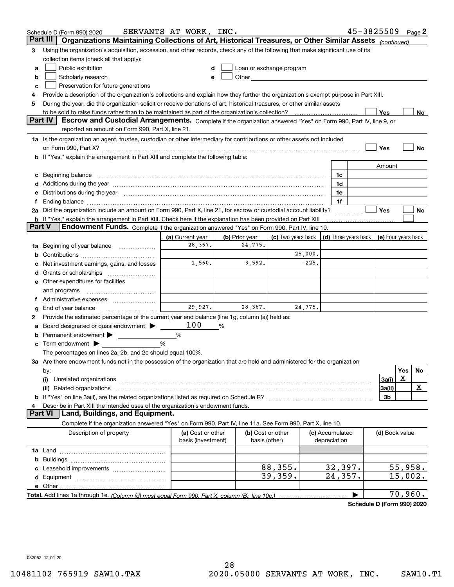|        | Schedule D (Form 990) 2020                                                                                                                                                                                                     | SERVANTS AT WORK, INC.                  |                |                                                                                                                                                                                                                                |                                 | 45-3825509 |                |         | Page 2 |
|--------|--------------------------------------------------------------------------------------------------------------------------------------------------------------------------------------------------------------------------------|-----------------------------------------|----------------|--------------------------------------------------------------------------------------------------------------------------------------------------------------------------------------------------------------------------------|---------------------------------|------------|----------------|---------|--------|
|        | Part III<br>Organizations Maintaining Collections of Art, Historical Treasures, or Other Similar Assets (continued)                                                                                                            |                                         |                |                                                                                                                                                                                                                                |                                 |            |                |         |        |
| 3      | Using the organization's acquisition, accession, and other records, check any of the following that make significant use of its                                                                                                |                                         |                |                                                                                                                                                                                                                                |                                 |            |                |         |        |
|        | collection items (check all that apply):                                                                                                                                                                                       |                                         |                |                                                                                                                                                                                                                                |                                 |            |                |         |        |
| a      | Public exhibition                                                                                                                                                                                                              |                                         |                | Loan or exchange program                                                                                                                                                                                                       |                                 |            |                |         |        |
| b      | Scholarly research                                                                                                                                                                                                             |                                         |                | Other the contract of the contract of the contract of the contract of the contract of the contract of the contract of the contract of the contract of the contract of the contract of the contract of the contract of the cont |                                 |            |                |         |        |
| с      | Preservation for future generations                                                                                                                                                                                            |                                         |                |                                                                                                                                                                                                                                |                                 |            |                |         |        |
| 4      | Provide a description of the organization's collections and explain how they further the organization's exempt purpose in Part XIII.                                                                                           |                                         |                |                                                                                                                                                                                                                                |                                 |            |                |         |        |
| 5      | During the year, did the organization solicit or receive donations of art, historical treasures, or other similar assets                                                                                                       |                                         |                |                                                                                                                                                                                                                                |                                 |            |                |         |        |
|        |                                                                                                                                                                                                                                |                                         |                |                                                                                                                                                                                                                                |                                 |            | <b>Yes</b>     |         | No     |
|        | Escrow and Custodial Arrangements. Complete if the organization answered "Yes" on Form 990, Part IV, line 9, or<br><b>Part IV</b>                                                                                              |                                         |                |                                                                                                                                                                                                                                |                                 |            |                |         |        |
|        | reported an amount on Form 990, Part X, line 21.                                                                                                                                                                               |                                         |                |                                                                                                                                                                                                                                |                                 |            |                |         |        |
|        | 1a Is the organization an agent, trustee, custodian or other intermediary for contributions or other assets not included                                                                                                       |                                         |                |                                                                                                                                                                                                                                |                                 |            |                |         |        |
|        | on Form 990, Part X? [11] matter contracts and contracts and contracts are contracted as a form 990, Part X?                                                                                                                   |                                         |                |                                                                                                                                                                                                                                |                                 |            | Yes            |         | No     |
|        | <b>b</b> If "Yes," explain the arrangement in Part XIII and complete the following table:                                                                                                                                      |                                         |                |                                                                                                                                                                                                                                |                                 |            |                |         |        |
|        |                                                                                                                                                                                                                                |                                         |                |                                                                                                                                                                                                                                |                                 |            | Amount         |         |        |
|        | c Beginning balance measurements and the contract of the contract of the contract of the contract of the contract of the contract of the contract of the contract of the contract of the contract of the contract of the contr |                                         |                |                                                                                                                                                                                                                                | 1c                              |            |                |         |        |
|        |                                                                                                                                                                                                                                |                                         |                |                                                                                                                                                                                                                                | 1d<br>1e                        |            |                |         |        |
|        | e Distributions during the year manufactured and continuum and contract the year manufactured and contract the                                                                                                                 |                                         |                |                                                                                                                                                                                                                                | 1f                              |            |                |         |        |
|        | 2a Did the organization include an amount on Form 990, Part X, line 21, for escrow or custodial account liability?                                                                                                             |                                         |                |                                                                                                                                                                                                                                |                                 |            | <b>Yes</b>     |         | No     |
|        | <b>b</b> If "Yes," explain the arrangement in Part XIII. Check here if the explanation has been provided on Part XIII                                                                                                          |                                         |                |                                                                                                                                                                                                                                |                                 |            |                |         |        |
| Part V | Endowment Funds. Complete if the organization answered "Yes" on Form 990, Part IV, line 10.                                                                                                                                    |                                         |                |                                                                                                                                                                                                                                |                                 |            |                |         |        |
|        |                                                                                                                                                                                                                                | (a) Current year                        | (b) Prior year | (c) Two years back $\vert$ (d) Three years back $\vert$ (e) Four years back                                                                                                                                                    |                                 |            |                |         |        |
|        | 1a Beginning of year balance                                                                                                                                                                                                   | 28,367.                                 | 24,775.        |                                                                                                                                                                                                                                |                                 |            |                |         |        |
|        |                                                                                                                                                                                                                                |                                         |                | 25,000.                                                                                                                                                                                                                        |                                 |            |                |         |        |
|        | Net investment earnings, gains, and losses                                                                                                                                                                                     | 1,560.                                  | 3,592.         |                                                                                                                                                                                                                                | $-225.$                         |            |                |         |        |
|        |                                                                                                                                                                                                                                |                                         |                |                                                                                                                                                                                                                                |                                 |            |                |         |        |
|        | e Other expenditures for facilities                                                                                                                                                                                            |                                         |                |                                                                                                                                                                                                                                |                                 |            |                |         |        |
|        | and programs                                                                                                                                                                                                                   |                                         |                |                                                                                                                                                                                                                                |                                 |            |                |         |        |
|        | f Administrative expenses                                                                                                                                                                                                      |                                         |                |                                                                                                                                                                                                                                |                                 |            |                |         |        |
| g      | End of year balance                                                                                                                                                                                                            | 29,927.                                 | 28,367.        | 24,775.                                                                                                                                                                                                                        |                                 |            |                |         |        |
| 2      | Provide the estimated percentage of the current year end balance (line 1g, column (a)) held as:                                                                                                                                |                                         |                |                                                                                                                                                                                                                                |                                 |            |                |         |        |
| а      | Board designated or quasi-endowment >                                                                                                                                                                                          | 100                                     | %              |                                                                                                                                                                                                                                |                                 |            |                |         |        |
| b      | Permanent endowment >                                                                                                                                                                                                          | %                                       |                |                                                                                                                                                                                                                                |                                 |            |                |         |        |
|        | <b>c</b> Term endowment $\blacktriangleright$                                                                                                                                                                                  | %                                       |                |                                                                                                                                                                                                                                |                                 |            |                |         |        |
|        | The percentages on lines 2a, 2b, and 2c should equal 100%.                                                                                                                                                                     |                                         |                |                                                                                                                                                                                                                                |                                 |            |                |         |        |
|        | 3a Are there endowment funds not in the possession of the organization that are held and administered for the organization                                                                                                     |                                         |                |                                                                                                                                                                                                                                |                                 |            |                |         |        |
|        | by:                                                                                                                                                                                                                            |                                         |                |                                                                                                                                                                                                                                |                                 |            |                | Yes     | No     |
|        | (i)                                                                                                                                                                                                                            |                                         |                |                                                                                                                                                                                                                                |                                 |            | 3a(i)          | X       |        |
|        |                                                                                                                                                                                                                                |                                         |                |                                                                                                                                                                                                                                |                                 |            | 3a(ii)         |         | х      |
|        |                                                                                                                                                                                                                                |                                         |                |                                                                                                                                                                                                                                |                                 |            | 3b             |         |        |
|        | Describe in Part XIII the intended uses of the organization's endowment funds.<br>Part VI<br>Land, Buildings, and Equipment.                                                                                                   |                                         |                |                                                                                                                                                                                                                                |                                 |            |                |         |        |
|        |                                                                                                                                                                                                                                |                                         |                |                                                                                                                                                                                                                                |                                 |            |                |         |        |
|        | Complete if the organization answered "Yes" on Form 990, Part IV, line 11a. See Form 990, Part X, line 10.                                                                                                                     |                                         |                |                                                                                                                                                                                                                                |                                 |            |                |         |        |
|        | Description of property                                                                                                                                                                                                        | (a) Cost or other<br>basis (investment) |                | (b) Cost or other<br>basis (other)                                                                                                                                                                                             | (c) Accumulated<br>depreciation |            | (d) Book value |         |        |
|        |                                                                                                                                                                                                                                |                                         |                |                                                                                                                                                                                                                                |                                 |            |                |         |        |
| b      |                                                                                                                                                                                                                                |                                         |                |                                                                                                                                                                                                                                |                                 |            |                |         |        |
| c      |                                                                                                                                                                                                                                |                                         |                | 88,355.                                                                                                                                                                                                                        |                                 | 32,397.    |                | 55,958. |        |
|        |                                                                                                                                                                                                                                |                                         |                | 39,359.                                                                                                                                                                                                                        |                                 | 24,357.    |                | 15,002. |        |
|        |                                                                                                                                                                                                                                |                                         |                |                                                                                                                                                                                                                                |                                 |            |                |         |        |
|        |                                                                                                                                                                                                                                |                                         |                |                                                                                                                                                                                                                                |                                 |            |                | 70,960. |        |
|        |                                                                                                                                                                                                                                |                                         |                |                                                                                                                                                                                                                                |                                 |            |                |         |        |

**Schedule D (Form 990) 2020**

032052 12-01-20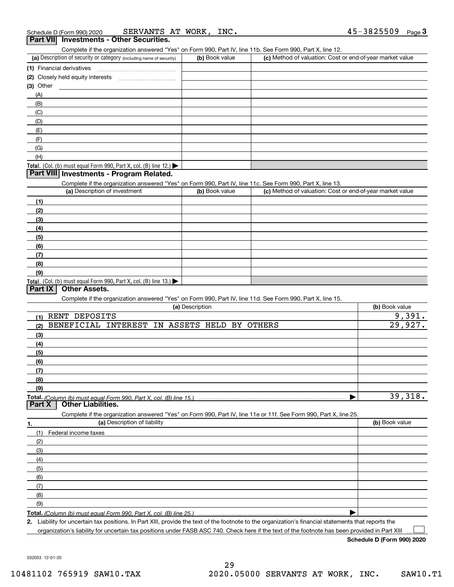| Schedule D (Form 990) 2020 | SERVANTS AT WORK, |  | INC. | 45-3825509 | Page |
|----------------------------|-------------------|--|------|------------|------|
|                            |                   |  |      |            |      |

### **Part VII Investments - Other Securities.**

Complete if the organization answered "Yes" on Form 990, Part IV, line 11b. See Form 990, Part X, line 12.

| (a) Description of security or category (including name of security)                   | (b) Book value | (c) Method of valuation: Cost or end-of-year market value |
|----------------------------------------------------------------------------------------|----------------|-----------------------------------------------------------|
| (1) Financial derivatives                                                              |                |                                                           |
| (2) Closely held equity interests                                                      |                |                                                           |
| $(3)$ Other                                                                            |                |                                                           |
| (A)                                                                                    |                |                                                           |
| (B)                                                                                    |                |                                                           |
| (C)                                                                                    |                |                                                           |
| (D)                                                                                    |                |                                                           |
| (E)                                                                                    |                |                                                           |
| (F)                                                                                    |                |                                                           |
| (G)                                                                                    |                |                                                           |
| (H)                                                                                    |                |                                                           |
| Total. (Col. (b) must equal Form 990, Part X, col. (B) line 12.) $\blacktriangleright$ |                |                                                           |

#### **Part VIII Investments - Program Related.**

Complete if the organization answered "Yes" on Form 990, Part IV, line 11c. See Form 990, Part X, line 13.

| (a) Description of investment                                       | (b) Book value | (c) Method of valuation: Cost or end-of-year market value |
|---------------------------------------------------------------------|----------------|-----------------------------------------------------------|
| (1)                                                                 |                |                                                           |
| (2)                                                                 |                |                                                           |
| $\left(3\right)$                                                    |                |                                                           |
| (4)                                                                 |                |                                                           |
| (5)                                                                 |                |                                                           |
| (6)                                                                 |                |                                                           |
| (7)                                                                 |                |                                                           |
| (8)                                                                 |                |                                                           |
| (9)                                                                 |                |                                                           |
| Total. (Col. (b) must equal Form 990, Part X, col. (B) line $13$ .) |                |                                                           |

#### **Part IX Other Assets.**

Complete if the organization answered "Yes" on Form 990, Part IV, line 11d. See Form 990, Part X, line 15.

|        | $\sim$ . The control of gameation anomology recovering over, rate ty, line that occur only over, rate $\lambda$ , line to:<br>(a) Description | (b) Book value |
|--------|-----------------------------------------------------------------------------------------------------------------------------------------------|----------------|
| (1)    | RENT DEPOSITS                                                                                                                                 | 9,391.         |
| (2)    | BENEFICIAL INTEREST IN ASSETS HELD BY OTHERS                                                                                                  | 29,927.        |
| (3)    |                                                                                                                                               |                |
| (4)    |                                                                                                                                               |                |
| (5)    |                                                                                                                                               |                |
| (6)    |                                                                                                                                               |                |
| (7)    |                                                                                                                                               |                |
| (8)    |                                                                                                                                               |                |
| (9)    |                                                                                                                                               |                |
|        | Total. (Column (b) must equal Form 990, Part X, col. (B) line 15.)                                                                            | 39,318.        |
| Part X | <b>Other Liabilities.</b>                                                                                                                     |                |
|        | Complete if the organization answered "Yes" on Form 990, Part IV, line 11e or 11f. See Form 990, Part X, line 25.                             |                |
| 1.     |                                                                                                                                               |                |
|        | (a) Description of liability                                                                                                                  | (b) Book value |
| (1)    | Federal income taxes                                                                                                                          |                |
| (2)    |                                                                                                                                               |                |
| (3)    |                                                                                                                                               |                |
| (4)    |                                                                                                                                               |                |
| (5)    |                                                                                                                                               |                |
| (6)    |                                                                                                                                               |                |
| (7)    |                                                                                                                                               |                |
| (8)    |                                                                                                                                               |                |
| (9)    |                                                                                                                                               |                |

**Total.**  *(Column (b) must equal Form 990, Part X, col. (B) line 25.)* 

**2.**Liability for uncertain tax positions. In Part XIII, provide the text of the footnote to the organization's financial statements that reports the organization's liability for uncertain tax positions under FASB ASC 740. Check here if the text of the footnote has been provided in Part XIII

**Schedule D (Form 990) 2020**

 $\mathcal{L}^{\text{max}}$ 

032053 12-01-20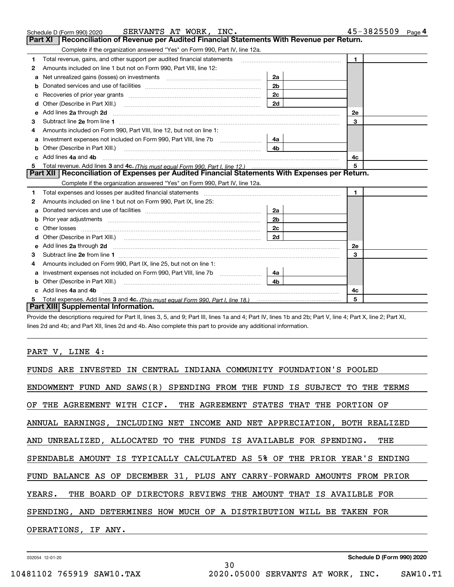|   | SERVANTS AT WORK, INC.<br>Schedule D (Form 990) 2020                                                                                                                                                                           |                | $45 - 3825509$ Page 4 |
|---|--------------------------------------------------------------------------------------------------------------------------------------------------------------------------------------------------------------------------------|----------------|-----------------------|
|   | Reconciliation of Revenue per Audited Financial Statements With Revenue per Return.<br><b>Part XI</b>                                                                                                                          |                |                       |
|   | Complete if the organization answered "Yes" on Form 990, Part IV, line 12a.                                                                                                                                                    |                |                       |
| 1 | Total revenue, gains, and other support per audited financial statements                                                                                                                                                       |                | $\mathbf{1}$          |
| 2 | Amounts included on line 1 but not on Form 990, Part VIII, line 12:                                                                                                                                                            |                |                       |
| a |                                                                                                                                                                                                                                | 2a             |                       |
| b |                                                                                                                                                                                                                                | 2 <sub>b</sub> |                       |
| c |                                                                                                                                                                                                                                | 2c             |                       |
| d | Other (Describe in Part XIII.)                                                                                                                                                                                                 | 2d             |                       |
| е | Add lines 2a through 2d                                                                                                                                                                                                        |                | 2e                    |
| з |                                                                                                                                                                                                                                |                | 3                     |
|   | Amounts included on Form 990, Part VIII, line 12, but not on line 1:                                                                                                                                                           |                |                       |
| a | Investment expenses not included on Form 990, Part VIII, line 7b                                                                                                                                                               | 4a             |                       |
| b | Other (Describe in Part XIII.)                                                                                                                                                                                                 | 4 <sub>b</sub> |                       |
|   | Add lines 4a and 4b                                                                                                                                                                                                            |                | 4c                    |
| 5 |                                                                                                                                                                                                                                |                | 5                     |
|   | Part XII   Reconciliation of Expenses per Audited Financial Statements With Expenses per Return.                                                                                                                               |                |                       |
|   | Complete if the organization answered "Yes" on Form 990, Part IV, line 12a.                                                                                                                                                    |                |                       |
| 1 | Total expenses and losses per audited financial statements [11] [12] manuscription control expenses and losses per audited financial statements [12] [12] manuscription of the statements [12] manuscription of the statements |                | $\mathbf{1}$          |
| 2 | Amounts included on line 1 but not on Form 990, Part IX, line 25:                                                                                                                                                              |                |                       |
| a |                                                                                                                                                                                                                                | 2a             |                       |
| b | Prior year adjustments www.communication.com/www.communication.com/www.com/                                                                                                                                                    | 2 <sub>b</sub> |                       |
|   |                                                                                                                                                                                                                                | 2c             |                       |
|   |                                                                                                                                                                                                                                | 2d             |                       |
| е |                                                                                                                                                                                                                                |                | <b>2e</b>             |
| 3 |                                                                                                                                                                                                                                | 3              |                       |
| 4 | Amounts included on Form 990, Part IX, line 25, but not on line 1:                                                                                                                                                             |                |                       |
| a |                                                                                                                                                                                                                                | 4a             |                       |
|   |                                                                                                                                                                                                                                | 4b             |                       |
|   | Add lines 4a and 4b                                                                                                                                                                                                            | 4c             |                       |
|   |                                                                                                                                                                                                                                |                | 5                     |
|   | Part XIII Supplemental Information.                                                                                                                                                                                            |                |                       |

Provide the descriptions required for Part II, lines 3, 5, and 9; Part III, lines 1a and 4; Part IV, lines 1b and 2b; Part V, line 4; Part X, line 2; Part XI, lines 2d and 4b; and Part XII, lines 2d and 4b. Also complete this part to provide any additional information.

PART V, LINE 4:

| FUNDS ARE INVESTED IN CENTRAL INDIANA COMMUNITY FOUNDATION'S POOLED       |  |  |  |  |  |  |
|---------------------------------------------------------------------------|--|--|--|--|--|--|
| ENDOWMENT FUND AND SAWS(R) SPENDING FROM THE FUND IS SUBJECT TO THE TERMS |  |  |  |  |  |  |
| OF THE AGREEMENT WITH CICF. THE AGREEMENT STATES THAT THE PORTION OF      |  |  |  |  |  |  |
| ANNUAL EARNINGS, INCLUDING NET INCOME AND NET APPRECIATION, BOTH REALIZED |  |  |  |  |  |  |
| AND UNREALIZED, ALLOCATED TO THE FUNDS IS AVAILABLE FOR SPENDING. THE     |  |  |  |  |  |  |
| SPENDABLE AMOUNT IS TYPICALLY CALCULATED AS 5% OF THE PRIOR YEAR'S ENDING |  |  |  |  |  |  |
| FUND BALANCE AS OF DECEMBER 31, PLUS ANY CARRY-FORWARD AMOUNTS FROM PRIOR |  |  |  |  |  |  |
| YEARS. THE BOARD OF DIRECTORS REVIEWS THE AMOUNT THAT IS AVAILBLE FOR     |  |  |  |  |  |  |
| SPENDING, AND DETERMINES HOW MUCH OF A DISTRIBUTION WILL BE TAKEN FOR     |  |  |  |  |  |  |
| OPERATIONS, IF ANY.                                                       |  |  |  |  |  |  |
|                                                                           |  |  |  |  |  |  |

30

032054 12-01-20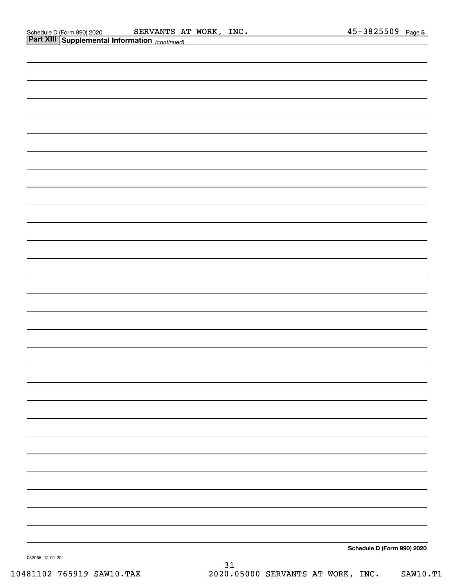|                 | <b>Part XIII Supplemental Information</b> (continued) |  |  |                            |
|-----------------|-------------------------------------------------------|--|--|----------------------------|
|                 |                                                       |  |  |                            |
|                 |                                                       |  |  |                            |
|                 |                                                       |  |  |                            |
|                 |                                                       |  |  |                            |
|                 |                                                       |  |  |                            |
|                 |                                                       |  |  |                            |
|                 |                                                       |  |  |                            |
|                 |                                                       |  |  |                            |
|                 |                                                       |  |  |                            |
|                 |                                                       |  |  |                            |
|                 |                                                       |  |  |                            |
|                 |                                                       |  |  |                            |
|                 |                                                       |  |  |                            |
|                 |                                                       |  |  |                            |
|                 |                                                       |  |  |                            |
|                 |                                                       |  |  |                            |
|                 |                                                       |  |  |                            |
|                 |                                                       |  |  |                            |
|                 |                                                       |  |  |                            |
|                 |                                                       |  |  |                            |
|                 |                                                       |  |  |                            |
|                 |                                                       |  |  |                            |
|                 |                                                       |  |  |                            |
|                 |                                                       |  |  |                            |
|                 |                                                       |  |  |                            |
|                 |                                                       |  |  |                            |
|                 |                                                       |  |  |                            |
|                 |                                                       |  |  |                            |
|                 |                                                       |  |  |                            |
| 032055 12-01-20 |                                                       |  |  | Schedule D (Form 990) 2020 |